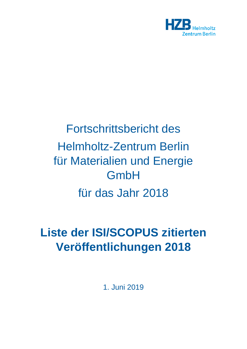

## Fortschrittsbericht des Helmholtz-Zentrum Berlin für Materialien und Energie **GmbH** für das Jahr 2018

## **Liste der ISI/SCOPUS zitierten Veröffentlichungen 2018**

1. Juni 2019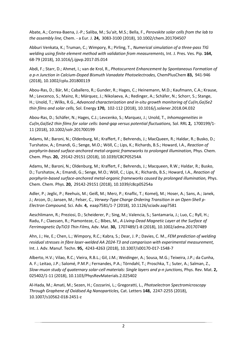Abate, A.; Correa-Baena, J.-P.; Saliba, M.; Su'ait, M.S.; Bella, F., *Perovskite solar cells from the lab to the assembly line,* Chem. - a Eur. J. **24,** 3083-3100 (2018), 10.1002/chem.201704507

Abburi Venkata, K.; Truman, C.; Wimpory, R.; Pirling, T., *Numerical simulation of a three-pass TIG welding using finite element method with validation from measurements,* Int. J. Pres. Ves. Pip. **164,**  68-79 (2018), 10.1016/j.ijpvp.2017.05.014

Abdi, F.; Starr, D.; Ahmet, I.; van de Krol, R., *Photocurrent Enhancement by Spontaneous Formation of a p-n Junction in Calcium-Doped Bismuth Vanadate Photoelectrodes,* ChemPlusChem **83,** 941-946 (2018), 10.1002/cplu.201800119

Abou-Ras, D.; Bär, M.; Caballero, R.; Gunder, R.; Hages, C.; Heinemann, M.D.; Kaufmann, C.A.; Krause, M.; Levcenco, S.; Mainz, R.; Márquez, J.; Nikolaeva, A.; Redinger, A.; Schäfer, N.; Schorr, S.; Stange, H.; Unold, T.; Wilks, R.G., *Advanced characterization and in-situ growth monitoring of Cu(In,Ga)Se2 thin films and solar cells,* Sol. Energy **170,** 102-112 (2018), 10.1016/j.solener.2018.04.032

Abou-Ras, D.; Schäfer, N.; Hages, C.J.; Levcenko, S.; Marquez, J.; Unold, T., *Inhomogeneities in Cu(In,Ga)Se2 thin films for solar cells: band-gap versus potential fluctuations,* Sol. RRL **2,** 1700199/1- 11 (2018), 10.1002/solr.201700199

Adams, M.; Baroni, N.; Oldenburg, M.; Kraffert, F.; Behrends, J.; MacQueen, R.; Haldar, R.; Busko, D.; Turshatov, A.; Emandi, G.; Senge, M.O.; Wöll, C.; Lips, K.; Richards, B.S.; Howard, I.A., *Reaction of porphyrin-based surface-anchored metal-organic frameworks to prolonged illumination,* Phys. Chem. Chem. Phys. **20,** 29142-29151 (2018), 10.1039/C8CP05254A

Adams, M.; Baroni, N.; Oldenburg, M.; Kraffert, F.; Behrends, J.; Macqueen, R.W.; Haldar, R.; Busko, D.; Turshatov, A.; Emandi, G.; Senge, M.O.; Wöll, C.; Lips, K.; Richards, B.S.; Howard, I.A., *Reaction of porphyrin-based surface-anchored metal-organic frameworks caused by prolonged illumination,* Phys. Chem. Chem. Phys. **20,** 29142-29151 (2018), 10.1039/c8cp05254a

Adler, P.; Jeglic, P.; Reehuis, M.; Geiß, M.; Merz, P.; Knaflic, T.; Komelj, M.; Hoser, A.; Sans, A.; Janek, J.; Arcon, D.; Jansen, M.; Felser, C., *Verwey-Type Charge Ordering Transition in an Open-Shell p-Electron Compound,* Sci. Adv. **4,** eaap7581/1-7 (2018), 10.1126/sciadv.aap7581

Aeschlimann, R.; Preziosi, D.; Scheiderer, P.; Sing, M.; Valencia, S.; Santamaria, J.; Luo, C.; Ryll, H.; Radu, F.; Claessen, R.; Piamonteze, C.; Bibes, M., *A Living-Dead Magnetic Layer at the Surface of Ferrimagnetic DyTiO3 Thin Films,* Adv. Mat. **30,** 1707489/1-8 (2018), 10.1002/adma.201707489

Ahn, J.; He, E.; Chen, L.; Wimpory, R.C.; Kabra, S.; Dear, J. P.; Davies, C. M., *FEM prediction of welding residual stresses in fibre laser-welded AA 2024-T3 and comparison with experimental measurement,* Int. J. Adv. Manuf. Techn. **95,** 4243-4263 (2018), 10.1007/s00170-017-1548-7

Alberto, H.V.; Vilao, R.C.; Vieira, R.B.L.; Gil, J.M.; Weidinger, A.; Sousa, M.G.; Teixeira, J.P.; da Cunha, A. F.; Leitao, J.P.; Salomé, P.M.P.; Fernandes, P.A.; Törndahl, T.; Proschka, T.; Suter, A.; Salman, Z., *Slow-muon study of quaternary solar-cell materials: Single layers and p-n junctions,* Phys. Rev. Mat. **2,**  025402/1-11 (2018), 10.1103/PhysRevMaterials.2.025402

Al-Hada, M.; Amati, M.; Sezen, H.; Cozzarini, L.; Gregoratti, L., *Photoelectron Spectromicroscopy Through Graphene of Oxidised Ag Nanoparticles,* Cat. Letters **148,** 2247-2255 (2018), 10.1007/s10562-018-2451-z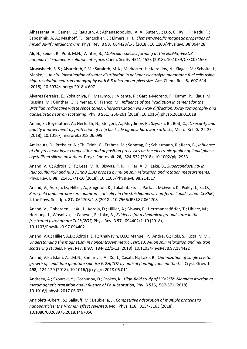Alhassanat, A.; Gamer, C.; Rauguth, A.; Athanasopoulou, A. A.; Sutter, J.; Luo, C.; Ryll, H.; Radu, F.; Sapozhnik, A. A.; Mashoff, T.; Rentschler, E.; Elmers, H. J., *Element-specific magnetic properties of mixed 3d-4f metallacrowns,* Phys. Rev. B **98,** 064428/1-8 (2018), 10.1103/PhysRevB.98.064428

Ali, H.; Seidel, R.; Pohl, M.N.; Winter, B., *Molecular species forming at the α-Fe2O3 nanoparticle–aqueous solution interface,* Chem. Sci. **9,** 4511-4523 (2018), 10.1039/C7SC05156E

Alrwashdeh, S. S.; Alsareireh, F.M.; Saraireh, M.A.; Markötter, H.; Kardjilov, N.; Klages, M.; Scholta, J.; Manke, I., *In-situ investigation of water distribution in polymer electrolyte membrane fuel cells using high-resolution neutron tomography with 6.5 micrometer pixel size,* Acc. Chem. Res. **6,** 607-614 (2018), 10.3934/energy.2018.4.607

Alvares Ferreira, E.; Yokaichiya, F.; Marumo, J.; Vicente, R.; Garcia-Moreno, F.; Kamm, P.; Klaus, M.; Russina, M.; Günther, G.; Jimenez, C.; Franco, M., *Influence of the irradiation in cement for the Brazilian radioactive waste repositories: Characterization via X-ray diffraction, X-ray tomography and quasielastic neutron scattering,* Phy. B **551,** 256-261 (2018), 10.1016/j.physb.2018.01.018

Amini, E.; Beyreuther, A.; Herfurth, N.; Steigert, A.; Muydinov, R.; Szyszka, B.; Boit, C., *IC security and quality improvement by protection of chip backside against hardware attacks,* Micro. Rel. **0,** 22-25 (2018), 10.1016/j.microrel.2018.06.099

Amkreutz, D.; Preissler, N.; Thi-Trinh, C.; Trahms, M.; Sonntag, P.; Schlatmann, R.; Rech, B., *Influence of the precursor layer composition and deposition processes on the electronic quality of liquid phase crystallized silicon absorbers,* Progr. Photovolt. **26,** 524-532 (2018), 10.1002/pip.2953

Anand, V. K.; Adroja, D. T.; Lees, M. R.; Biswas, P. K.; Hillier, A. D.; Lake, B., *Superconductivity in Ru0.55Rh0.45P and Ru0.75Rh0.25As probed by muon spin relaxation and rotation measurements,* Phys. Rev. B **98,** 214517/1-10 (2018), 10.1103/PhysRevB.98.214517

Anand, V.; Adroja, D.; Hillier, A.; Shigetoh, K.; Takabatake, T.; Park, J.; McEwen, K.; Pixley, J.; Si, Q., *Zero-field ambient-pressure quantum criticality in the stoichiometric non-fermi liquid system CeRhBi,* J. the Phys. Soc. Jpn. **87,** 064708/1-8 (2018), 10.7566/JPSJ.87.064708

Anand, V.; Opherden, L.; Xu, J.; Adroja, D.; Hillier, A.; Biswas, P.; Herrmannsdörfer, T.; Uhlarz, M.; Hornung, J.; Wosnitza, J.; Canévet, E.; Lake, B., *Evidence for a dynamical ground state in the frustrated pyrohafnate Tb2Hf2O7,* Phys. Rev. B **97,** 094402/1-10 (2018), 10.1103/PhysRevB.97.094402

Anand, V.K.; Hillier, A.D.; Adroja, D.T.; Khalyavin, D.D.; Manuel, P.; Andre, G.; Rols, S.; Koza, M.M., *Understanding the magnetism in noncentrosymmetric CeIrGe3: Muon spin relaxation and neutron scattering studies,* Phys. Rev. B **97,** 184422/1-13 (2018), 10.1103/PhysRevB.97.184422

Anand, V.K.; Islam, A.T.M.N.; Samartzis, A.; Xu, J.; Casati, N.; Lake, B., *Optimization of single crystal growth of candidate quantum spin-ice Pr2Hf2O7 by optical floating-zone method,* J. Cryst. Growth **498,** 124-129 (2018), 10.1016/j.jcrysgro.2018.06.011

Andreev, A.; Skourski, Y.; Gorbunov, D.; Prokes, K., *High-field study of UCo2Si2: Magnetostriction at metamagnetic transition and influence of Fe substitution,* Phy. B **536,** 567-571 (2018), 10.1016/j.physb.2017.06.025

Angioletti-Uberti, S.; Ballauff, M.; Dzubiella, J., *Competitive adsorption of multiple proteins to nanoparticles: the Vroman effect revisited,* Mol. Phys. **116,** 3154-3163 (2018), 10.1080/00268976.2018.1467056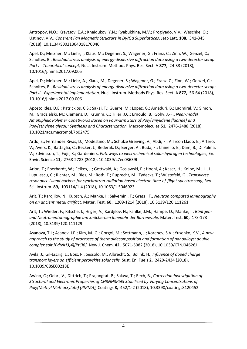Antropov, N.O.; Kravtsov, E.A.; Khaidukov, Y.N.; Ryabukhina, M.V.; Proglyado, V.V.; Weschke, O.; Ustinov, V.V., *Coherent Fan Magnetic Structure in Dy/Gd Superlattices,* Jetp Lett. **108,** 341-345 (2018), 10.1134/S0021364018170046

Apel, D.; Meixner, M.; Liehr, .; Klaus, M.; Degener, S.; Wagener, G.; Franz, C.; Zinn, W.; Genzel, C.; Scholtes, B., *Residual stress analysis of energy-dispersive diffraction data using a two-detector setup: Part I - Theoretical concept,* Nucl. Instrum. Methods Phys. Res. Sect. A **877,** 24-33 (2018), 10.1016/j.nima.2017.09.005

Apel, D.; Meixner, M.; Liehr, A.; Klaus, M.; Degener, S.; Wagener, G.; Franz, C.; Zinn, W.; Genzel, C.; Scholtes, B., *Residual stress analysis of energy-dispersive diffraction data using a two-detector setup: Part II - Experimental implementation,* Nucl. Instrum. Methods Phys. Res. Sect. A **877,** 56-64 (2018), 10.1016/j.nima.2017.09.006

Apostolides, D.E.; Patrickios, C.S.; Sakai, T.; Guerre, M.; Lopez, G.; Améduri, B.; Ladmiral, V.; Simon, M.; Gradzielski, M.; Clemens, D.; Krumm, C.; Tiller, J.C.; Ernould, B.; Gohy, J.-F., *Near-model Amphiphilic Polymer Conetworks Based on Four-arm Stars of Poly(vinylidene fluoride) and Poly(ethylene glycol): Synthesis and Characterization,* Macromolecules **51,** 2476-2488 (2018), 10.1021/acs.macromol.7b02475

Ardo, S.; Fernandez Rivas, D.; Modestino, M.; Schulze Greiving, V.; Abdi, F.; Alarcon Llado, E.; Artero, V.; Ayers, K.; Battaglia, C.; Becker, J.; Bederak, D.; Berger, A.; Buda, F.; Chinello, E.; Dam, B.; Di Palma, V.; Edvinsson, T.; Fujii, K.; Gardeniers, *Pathways to electrochemical solar-hydrogen technologies,* En. Envir. Science **11,** 2768-2783 (2018), 10.1039/c7ee03639f

Arion, T.; Eberhardt, W.; Feikes, J.; Gottwald, A.; Goslawski, P.; Hoehl, A.; Kaser, H.; Kolbe, M.; Li, J.; Lupulescu, C.; Richter, M.; Ries, M.; Roth, F.; Ruprecht, M.; Tydecks, T.; Wüstefeld, G., *Transverse resonance island buckets for synchrotron-radiation based electron time-of-flight spectroscopy,* Rev. Sci. Instrum. **89,** 103114/1-4 (2018), 10.1063/1.5046923

Arlt, T.; Kardjilov, N.; Kupsch, A.; Manke, I.; Salvemini, F.; Grazzi, F., *Neutron computed laminography on an ancient metal artifact,* Mater. Test. **60,** 1209-1214 (2018), 10.3139/120.111261

Arlt, T.; Wieder, F.; Ritsche, I.; Hilger, A.; Kardjilov, N.; Fahlke, J.M.; Hampe, O.; Manke, I., *Röntgenund Neutronentomographie am knöchernen Innenohr der Bartenwale,* Mater. Test. **60,** 173-178 (2018), 10.3139/120.111129

Asanova, T.I.; Asanov, I.P.; Kim, M.-G.; Gorgoi, M.; Sottmann, J.; Korenev, S.V.; Yusenko, K.V., *A new approach to the study of processes of thermaldecomposition and formation of nanoalloys: double complex salt [Pd(NH3)4][PtCl6],* New J. Chem. **42,** 5071-5082 (2018), 10.1039/C7NJ04626J

Avila, J.; Gil-Escrig, L.; Boix, P.; Sessolo, M.; Albrecht, S.; Bolink, H., *Influence of doped charge transport layers on efficient perovskite solar cells,* Sust. En. Fuels **2,** 2429-2434 (2018), 10.1039/C8SE00218E

Awino, C.; Odari, V.; Dittrich, T.; Prajongtat, P.; Sakwa, T.; Rech, B., *Correction:Investigation of Structural and Electronic Properties of CH3NH3PbI3 Stabilized by Varying Concentrations of Poly(Methyl Methacrylate) (PMMA),* Coatings **8,** 452/1-2 (2018), 10.3390/coatings8120452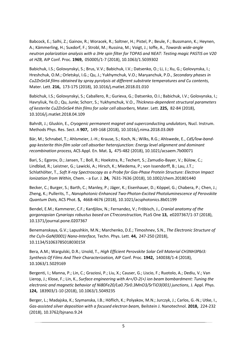Babcock, E.; Salhi, Z.; Gainov, R.; Woracek, R.; Soltner, H.; Pistel, P.; Beule, F.; Bussmann, K.; Heynen, A.; Kämmerling, H.; Suxdorf, F.; Strobl, M.; Russina, M.; Voigt, J.; Ioffe, A., *Towards wide-angle neutron polarization analysis with a 3He spin filter for TOPAS and NEAT: Testing magic PASTIS on V20 at HZB,* AIP Conf. Proc. **1969,** 050005/1-7 (2018), 10.1063/1.5039302

Babichuk, I.S.; Golovynskyi, S.; Brus, V.V.; Babichuk, I.V.; Datsenko, O.; Li, J.; Xu, G.; Golovynska, I.; Hreshchuk, O.M.; Orletskyi, I.G.; Qu, J.; Yukhymchuk, V.O.; Maryanchuk, P.D., *Secondary phases in Cu2ZnSnS4 films obtained by spray pyrolysis at different substrate temperatures and Cu contents,* Mater. Lett. **216,** 173-175 (2018), 10.1016/j.matlet.2018.01.010

Babichuk, I.S.; Golovynskyi, S.; Caballero, R.; Gurieva, G.; Datsenko, O.I.; Babichuk, I.V.; Golovynska, I.; Havryliuk, Ye.O.; Qu, Junle; Schorr, S.; Yukhymchuk, V.O., *Thickness-dependent structural parameters of kesterite Cu2ZnSnSe4 thin films for solar cell absorbers,* Mater. Lett. **225,** 82-84 (2018), 10.1016/j.matlet.2018.04.109

Bahrdt, J.; Gluskin, E., *Cryogenic permanent magnet and superconducting undulators,* Nucl. Instrum. Methods Phys. Res. Sect. A **907,** 149-168 (2018), 10.1016/j.nima.2018.03.069

Bär, M.; Schnabel, T.; Ahlsmeier, J.-H.; Krause, S.; Koch, N.; Wilks, R.G.; Ahlswede, E., *CdS/low-bandgap kesterite thin-film solar cell absorber heterojunction: Energy level alignment and dominant recombination process,* ACS Appl. En. Mat. **1,** 475-482 (2018), 10.1021/acsaem.7b00071

Bari, S.; Egorov, D.; Jansen, T.; Boll, R.; Hoekstra, R.; Techert, S.; Zamudio-Bayer, V.; Bülow, C.; Lindblad, R.; Leistner, G.; Lawicki, A.; Hirsch, K.; Miedema, P.; von Issendorff, B.; Lau, J.T.; Schlathölter, T., *Soft X-ray Spectroscopy as a Probe for Gas-Phase Protein Structure: Electron Impact Ionization from Within,* Chem. - a Eur. J. **24,** 7631-7636 (2018), 10.1002/chem.201801440

Becker, C.; Burger, S.; Barth, C.; Manley, P.; Jäger, K.; Eisenhauer, D.; Köppel, G.; Chabera, P.; Chen, J.; Zheng, K.; Pullerits, T., *Nanophotonic-Enhanced Two-Photon-Excited Photoluminescence of Perovskite Quantum Dots,* ACS Phot. **5,** 4668-4676 (2018), 10.1021/acsphotonics.8b01199

Bendel, E.M.; Kammerer, C.F.; Kardjilov, N.; Fernandez, V.; Fröbisch, J., *Cranial anatomy of the gorgonopsian Cynariops robustus based on CTreconstruction,* PLoS One **13,** e0207367/1-37 (2018), 10.1371/journal.pone.0207367

Benemanskaya, G.V.; Lapushkin, M.N.; Marchenko, D.E.; Timoshnev, S.N., *The Electronic Structure of the Cs/n-GaN(0001) Nano-Interface,* Techn. Phys. Lett. **44,** 247-250 (2018), 10.1134/S106378501803015X

Bera, A.M.; Wargulski, D.R.; Unold, T., *High Efficient Perovskite Solar Cell Material CH3NH3PbI3: Synthesis Of Films And Their Characterization,* AIP Conf. Proc. **1942,** 140038/1-4 (2018), 10.1063/1.5029169

Bergenti, I.; Manna, P.; Lin, C.; Graziosi, P.; Liu, X.; Causer, G.; Liscio, F.; Ruotolo, A.; Dediu, V.; Van Lierop, J.; Klose, F.; Lin, K., *Surface engineering with Ar+/O-2(+) ion beam bombardment: Tuning the electronic and magnetic behavior of Ni80Fe20/La0.7Sr0.3MnO3/SrTiO3(001) junctions,* J. Appl. Phys. **124,** 183903/1-10 (2018), 10.1063/1.5049235

Berger, L.; Madajska, K.; Szymanska, I.B.; Höflich, K.; Polyakov, M.N.; Jurczyk, J.; Carlos, G.-N.; Utke, I., *Gas-assisted silver deposition with a focused electron beam,* Beilstein J. Nanotechnol. **2018,** 224-232 (2018), 10.3762/bjnano.9.24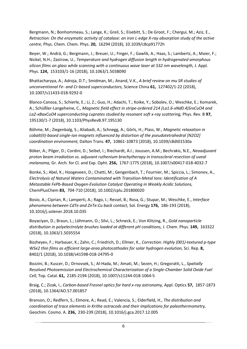Bergmann, N.; Bonhommeau, S.; Lange, K.; Greil, S.; Eisebitt, S.; De Groot, F.; Chergui, M.; Aziz, E., *Retraction: On the enzymatic activity of catalase: an iron L-edge X-ray absorption study of the active centre,* Phys. Chem. Chem. Phys. **20,** 16294 (2018), 10.1039/c8cp91772h

Beyer, W.; Andrä, G.; Bergmann, J.; Breuer, U.; Finger, F.; Gawlik, A.; Haas, S.; Lambertz, A.; Maier, F.; Nickel, N.H.; Zastrow, U., *Temperature and hydrogen diffusion length in hydrogenated amorphous silicon films on glass while scanning with a continuous wave laser at 532 nm wavelength,* J. Appl. Phys. **124,** 153103/1-16 (2018), 10.1063/1.5038090

Bhattacharyya, A.; Adroja, D.T.; Smidman, M.; Anand, V.K., *A brief review on mu SR studies of unconventional Fe- and Cr-based superconductors,* Science China **61,** 127402/1-22 (2018), 10.1007/s11433-018-9292-0

Blanco-Canosa, S.; Schierle, E.; Li, Z.; Guo, H.; Adachi, T.; Koike, Y.; Sobolev, O.; Weschke, E.; Komarek, A.; Schüßler-Langeheine, C., *Magnetic field effect in stripe-ordered 214 (La1.6-xNd0.4)SrxCuO4 and La2-xBaxCuO4 superconducting cuprates studied by resonant soft x-ray scattering,* Phys. Rev. B **97,**  195130/1-7 (2018), 10.1103/PhysRevB.97.195130

Böhme, M.; Ziegenbalg, S.; Aliabadi, A.; Schnegg, A.; Görls, H.; Plass, W., *Magnetic relaxation in cobalt(II)-based single-ion magnets influenced by distortion of the pseudotetrahedral [N2O2] coordination environment,* Dalton Trans. **47,** 10861-10873 (2018), 10.1039/c8dt01530a

Böker, A.; Pilger, D.; Cordini, D.; Seibel, I.; Riechardt, A.I.; Joussen, A.M.; Bechrakis, N.E., *Neoadjuvant proton beam irradiation vs. adjuvant ruthenium brachytherapy in transscleral resection of uveal melanoma,* Gr. Arch. for Cl. and Exp. Opht. **256,** 1767-1775 (2018), 10.1007/s00417-018-4032-7

Bonke, S.; Abel, K.; Hoogeveen, D.; Chatti, M.; Gengenbach, T.; Fournier, M.; Spiccia, L.; Simonov, A., *Electrolysis of Natural Waters Contaminated with Transition-Metal Ions: Identification of A Metastable FePb-Based Oxygen-Evolution Catalyst Operating in Weakly Acidic Solutions,* ChemPlusChem **83,** 704-710 (2018), 10.1002/cplu.201800020

Bosio, A.; Ciprian, R.; Lamperti, A.; Rago, I.; Ressel, B.; Rosa, G.; Stupar, M.; Weschke, E., *Interface phenomena between CdTe and ZnTe:Cu back contact,* Sol. Energy **176,** 186-193 (2018), 10.1016/j.solener.2018.10.035

Boyaciyan, D.; Braun, L.; Löhmann, O.; Silvi, L.; Schneck, E.; Von Klitzing, R., *Gold nanoparticle distribution in polyelectrolyte brushes loaded at different pH conditions,* J. Chem. Phys. **149,** 163322 (2018), 10.1063/1.5035554

Bozheyev, F.; Harbauer, K.; Zahn, C.; Friedrich, D.; Ellmer, K., *Correction: Highly (001)-textured p-type WSe2 thin films as efficient large-area photocathodes for solar hydrogen evolution,* Sci. Rep. **8,**  8402/1 (2018), 10.1038/s41598-018-24795-0

Bozzini, B.; Kuscer, D.; Drnovsek, S.; Al-Hada, M.; Amati, M.; Sezen, H.; Gregoratti, L., *Spatially Resolved Photoemission and Electrochemical Characterization of a Single-Chamber Solid Oxide Fuel Cell,* Top. Catal. **61,** 2185-2194 (2018), 10.1007/s11244-018-1064-5

Braig, C.; Zizak, I., *Carbon-based Fresnel optics for hard x-ray astronomy,* Appl. Optics **57,** 1857-1873 (2018), 10.1364/AO.57.001857

Branson, O.; Redfern, S.; Elmore, A.; Read, E.; Valencia, S.; Elderfield, H., *The distribution and coordination of trace elements in Krithe ostracods and their implications for paleothermometry,* Geochim. Cosmo. A. **236,** 230-239 (2018), 10.1016/j.gca.2017.12.005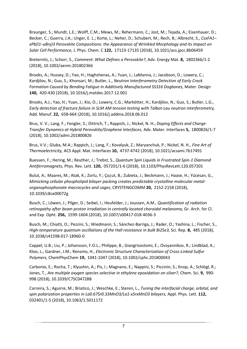Braunger, S.; Mundt, L.E.; Wolff, C.M.; Mews, M.; Rehermann, C.; Jost, M.; Tejada, A.; Eisenhauer, D.; Becker, C.; Guerra, J.A.; Unger, E. L.; Korte, L.; Neher, D.; Schubert, M.; Rech, B.; Albrecht, S., *CsxFA1– xPb(I1–yBry)3 Perovskite Compositions: the Appearance of Wrinkled Morphology and its Impact on Solar Cell Performance,* J. Phys. Chem. C **122,** 17123-17135 (2018), 10.1021/acs.jpcc.8b06459

Breternitz, J.; Schorr, S., *Comment: What Defines a Perovskite?,* Adv. Energy Mat. **8,** 1802366/1-2 (2018), 10.1002/aenm.201802366

Brooks, A.; Hussey, D.; Yao, H.; Haghshenas, A.; Yuan, J.; LaManna, J.; Jacobson, D.; Lowery, C.; Kardjilov, N.; Guo, S.; Khonsari, M.; Butler, L., *Neutron Interferometry Detection of Early Crack Formation Caused by Bending Fatigue in Additively Manufactured SS316 Dogbones,* Mater. Design **140,** 420-430 (2018), 10.1016/j.matdes.2017.12.001

Brooks, A.J.; Yao, H.; Yuan, J.; Kio, O.; Lowery, C.G.; Markötter, H.; Kardjilov, N.; Guo, S.; Butler, L.G., *Early detection of fracture failure in SLM AM tension testing with Talbot-Lau neutron interferometry,* Add. Manuf. **22,** 658-664 (2018), 10.1016/j.addma.2018.06.012

Brus, V. V.; Lang, F.; Fengler, S.; Dittrich, T.; Rappich, J.; Nickel, N. H., *Doping Effects and Charge-Transfer Dynamics at Hybrid Perovskite/Graphene Interfaces,* Adv. Mater. Interfaces **5,** 1800826/1-7 (2018), 10.1002/admi.201800826

Brus, V.V.; Gluba, M.A.; Rappich, J.; Lang, F.; Kovalyuk, Z.; Maryanchuk, P.; Nickel, N. H., *Fine Art of Thermoelectricity,* ACS Appl. Mat. Interfaces **10,** 4737-4742 (2018), 10.1021/acsami.7b17491

Buessen, F.; Hering, M.; Reuther, J.; Trebst, S., *Quantum Spin Liquids in Frustrated Spin-1 Diamond Antiferromagnets,* Phys. Rev. Lett. **120,** 057201/1-6 (2018), 10.1103/PhysRevLett.120.057201

Bulut, A.; Maares, M.; Atak, K.; Zorlu, Y.; Ço¿ut, B.; Zubieta, J.; Beckmann, J.; Haase, H.; Yücesan, G., *Mimicking cellular phospholipid bilayer packing creates predictable crystalline molecular metalorganophosphonate macrocycles and cages,* CRYSTENGCOMM **20,** 2152-2158 (2018), 10.1039/c8ce00072g

Busch, C.; Löwen, J.; Pilger, D.; Seibel, I.; Heufelder, J.; Joussen, A.M., *Quantification of radiation retinopathy after beam proton irradiation in centrally located choroidal melanoma,* Gr. Arch. for Cl. and Exp. Opht. **256,** 1599-1604 (2018), 10.1007/s00417-018-4036-3

Busch, M.; Chiatti, O.; Pezzini, S.; Wiedmann, S.; Sánchez-Barriga, J.; Rader, O.; Yashina, L.; Fischer, S., *High-temperature quantum oscillations of the Hall resistance in bulk Bi2Se3,* Sci. Rep. **8,** 485 (2018), 10.1038/s41598-017-18960-0

Cappel, U.B.; Liu, P.; Johansson, F.O.L.; Philippe, B.; Giangrisostomi, E.; Ovsyannikov, R.; Lindblad, A.; Kloo, L.; Gardner, J.M.; Rensmo, H., *Electronic Structure Characterization of Cross-Linked Sulfur Polymers,* ChemPhysChem **19,** 1041-1047 (2018), 10.1002/cphc.201800043

Carbonio, E.; Rocha, T.; Klyushin, A.; Pis, I.; Magnano, E.; Nappini, S.; Piccinin, S.; Knop, A.; Schlögl, R.; Jones, T., *Are multiple oxygen species selective in ethylene epoxidation on silver?,* Chem. Sci. **9,** 990- 998 (2018), 10.1039/C7SC04728B

Carreira, S.; Aguirre, M.; Briatico, J.; Weschke, E.; Steren, L., *Tuning the interfacial charge, orbital, and spin polarization properties in La0.67Sr0.33MnO3/La1-xSrxMnO3 bilayers,* Appl. Phys. Lett. **112,**  032401/1-5 (2018), 10.1063/1.5011172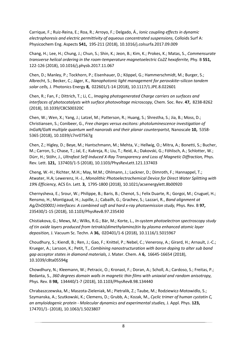Carrique, F.; Ruiz-Reina, E.; Roa, R.; Arroyo, F.; Delgado, Á., *Ionic coupling effects in dynamic electrophoresis and electric permittivity of aqueous concentrated suspensions,* Colloids Surf A: Physicochem Eng. Aspects **541,** 195-211 (2018), 10.1016/j.colsurfa.2017.09.009

Chang, H.; Lee, H.; Chung, J.; Chun, S.; Shin, K.; Jeon, B.; Kim, K.; Prokes, K.; Matas, S., *Commensurate transverse helical ordering in the room-temperature magnetoelectric Co2Z hexaferrite,* Phy. B **551,**  122-126 (2018), 10.1016/j.physb.2017.11.067

Chen, D.; Manley, P.; Tockhorn, P.; Eisenhauer, D.; Köppel, G.; Hammerschmidt, M.; Burger, S.; Albrecht, S.; Becker, C.; Jäger, K., *Nanophotonic light management for perovskite–silicon tandem solar cells,* J. Photonics Energy **8,** 022601/1-14 (2018), 10.1117/1.JPE.8.022601

Chen, R.; Fan, F.; Dittrich, T.; Li, C., *Imaging photogenerated Charge carriers on surfaces and interfaces of photocatalysts with surface photovoltage microscopy,* Chem. Soc. Rev. **47,** 8238-8262 (2018), 10.1039/C8CS00320C

Chen, W.; Wen, X.; Yang, J.; Latzel, M.; Patterson, R.; Huang, S.; Shrestha, S.; Jia, B.; Moss, D.; Christiansen, S.; Conibeer, G., *Free charges versus excitons: photoluminescence investigation of InGaN/GaN multiple quantum well nanorods and their planar counterpartst,* Nanoscale **10,** 5358- 5365 (2018), 10.1039/c7nr07567g

Chen, Z.; Higley, D.; Beye, M.; Hantschmann, M.; Mehta, V.; Hellwig, O.; Mitra, A.; Bonetti, S.; Bucher, M.; Carron, S.; Chase, T.; Jal, E.; Kukreja, R.; Liu, T.; Reid, A.; Dakovski, G.; Föhlisch, A.; Schlotter, W.; Dürr, H.; Stöhr, J., *Ultrafast Self-Induced X-Ray Transparency and Loss of Magnetic Diffraction,* Phys. Rev. Lett. **121,** 137403/1-5 (2018), 10.1103/PhysRevLett.121.137403

Cheng, W.-H.; Richter, M.H.; May, M.M.; Ohlmann, J.; Lackner, D.; Dimroth, F.; Hannappel, T.; Atwater, H.A; Lewerenz, H.-J., *Monolithic Photoelectrochemical Device for Direct Water Splitting with 19% Efficiency,* ACS En. Lett. **3,** 1795-1800 (2018), 10.1021/acsenergylett.8b00920

Chernysheva, E.; Srour, W.; Philippe, B.; Baris, B.; Chenot, S.; Felix Duarte, R.; Gorgoi, M.; Cruguel, H.; Rensmo, H.; Montigaud, H.; Jupille, J.; Cabailh, G.; Grachev, S.; Lazzari, R., *Band alignment at Ag/ZnO(0001) interfaces: A combined soft and hard x-ray photoemission study,* Phys. Rev. B **97,**  235430/1-15 (2018), 10.1103/PhysRevB.97.235430

Chistiakova, G.; Mews, M.; Wilks, R.G.; Bär, M.; Korte, L., *In-system photoelectron spectroscopy study of tin oxide layers produced from tetrakis(dimethylamino)tin by plasma enhanced atomic layer deposition,* J. Vacuum Sc. Techn. A **36,** 02D401/1-6 (2018), 10.1116/1.5015967

Choudhury, S.; Kiendl, B.; Ren, J.; Gao, F.; Knittel, P.; Nebel, C.; Venerosy, A.; Girard, H.; Arnault, J.-C.; Krueger, A.; Larsson, K.; Petit, T., *Combining nanostructuration with boron doping to alter sub band gap acceptor states in diamond materials,* J. Mater. Chem. A **6,** 16645-16654 (2018), 10.1039/c8ta05594g

Chowdhury, N.; Kleemann, W.; Petracic, O.; Kronast, F.; Doran, A.; Scholl, A.; Cardoso, S.; Freitas, P.; Bedanta, S., *360 degrees domain walls in magnetic thin films with uniaxial and random anisotropy,* Phys. Rev. B **98,** 134440/1-7 (2018), 10.1103/PhysRevB.98.134440

Chrabaszczewska, M.; Maszota-Zieleniak, M.; Pietralik, Z.; Taube, M.; Rodziewicz-Motowidlo, S.; Szymanska, A.; Szutkowski, K.; Clemens, D.; Grubb, A.; Kozak, M., *Cyclic trimer of human cystatin C, an amyloidogenic protein - Molecular dynamics and experimental studies,* J. Appl. Phys. **123,**  174701/1- (2018), 10.1063/1.5023807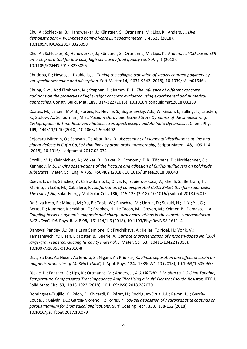Chu, A.; Schlecker, B.; Handwerker, J.; Künstner, S.; Ortmanns, M.; Lips, K.; Anders, J., *Live demonstration: A VCO-based point-of-care ESR spectrometer,* **,** 43525 (2018), 10.1109/BIOCAS.2017.8325098

Chu, A.; Schlecker, B.; Handwerker, J.; Künstner, S.; Ortmanns, M.; Lips, K.; Anders, J., *VCO-based ESRon-a-chip as a tool for low-cost, high-sensitivity food quality control,* **,** 1 (2018), 10.1109/ICSENS.2017.8233896

Chudoba, R.; Heyda, J.; Dzubiella, J., *Tuning the collapse transition of weakly charged polymers by ion-specific screening and adsorption,* Soft Matter **14,** 9631-9642 (2018), 10.1039/c8sm01646a

Chung, S.-Y.; Abd Elrahman, M.; Stephan, D.; Kamm, P.H., *The influence of different concrete additions on the properties of lightweight concrete evaluated using experimental and numerical approaches,* Constr. Build. Mat. **189,** 314-322 (2018), 10.1016/j.conbuildmat.2018.08.189

Coates, M.; Larsen, M.A.B.; Forbes, R.; Neville, S.; Boguslavskiy, A.E.; Wilkinson, I.; Solling, T.; Lausten, R.; Stolow, A.; Schuurman, M.S., *Vacuum Ultraviolet Excited State Dynamics of the smallest ring, Cyclopropane: II. Time-Resolved Photoelectron Spectroscopy and Ab Initio Dynamics,* J. Chem. Phys. **149,** 144311/1-10 (2018), 10.1063/1.5044402

Cojocaru-Mirédin, O.; Schwarz, T.; Abou-Ras, D., *Assessment of elemental distributions at line and planar defects in Cu(In,Ga)Se2 thin films by atom probe tomography,* Scripta Mater. **148,** 106-114 (2018), 10.1016/j.scriptamat.2017.03.034

Cordill, M.J.; Kleinbichler, A.; Völker, B.; Kraker, P.; Economy, D.R.; Többens, D.; Kirchlechner, C.; Kennedy, M.S., *In-situ observations of the fracture and adhesion of Cu/Nb mulitlayers on polyimide substrates,* Mater. Sci. Eng. A **735,** 456-462 (2018), 10.1016/j.msea.2018.08.043

Cueva, L. de la; Sánchez, Y.; Calvo-Barrio, L.; Oliva, F.; Izquierdo-Roca, V.; Khelifi, S.; Bertram, T.; Merino, J.; León, M.; Caballero, R., *Sulfurization of co-evaporated Cu2ZnSnSe4 thin film solar cells: The role of Na,* Solar Energy Mat Solar Cells **186,** 115-123 (2018), 10.1016/j.solmat.2018.06.015

Da Silva Neto, E.; Minola, M.; Yu, B.; Tabis, W.; Bluschke, M.; Unruh, D.; Suzuki, H.; Li, Y.; Yu, G.; Betto, D.; Kummer, K.; Yakhou, F.; Brookes, N.; Le Tacon, M.; Greven, M.; Keimer, B.; Damascelli, A., *Coupling between dynamic magnetic and charge-order correlations in the cuprate superconductor Nd2-xCexCuO4,* Phys. Rev. B **98,** 161114/1-6 (2018), 10.1103/PhysRevB.98.161114

Dangwal Pandey, A.; Dalla Lana Semione, G.; Prudnikava, A.; Keller, T.; Noei, H.; Vonk, V.; Tamashevich, Y.; Elsen, E.; Foster, B.; Stierle, A., *Surface characterization of nitrogen-doped Nb (100) large-grain superconducting RF cavity material,* J. Mater. Sci. **53,** 10411-10422 (2018), 10.1007/s10853-018-2310-8

Dias, E.; Das, A.; Hoser, A.; Emura, S.; Nigam, A.; Priolkar, K., *Phase separation and effect of strain on magnetic properties of Mn3Ga1-xSnxC,* J. Appl. Phys. **124,** 153902/1-10 (2018), 10.1063/1.5050655

Djekic, D.; Fantner, G.; Lips, K.; Ortmanns, M.; Anders, J., *A 0.1% THD, 1-M ohm to 1-G Ohm Tunable, Temperature-Compensated Transimpedance Amplifier Using a Multi-Element Pseudo-Resistor,* IEEE J. Solid-State Circ. **53,** 1913-1923 (2018), 10.1109/JSSC.2018.2820701

Dominguez-Trujillo, C.; Péon, E.; Chicardi, E.; Pérez, H.; Rodriguez-Ortiz, J.A.; Pavón, J.J.; García-Couce, J.; Galván, J.C.; Garcia-Moreno, F.; Torres, Y., *Sol-gel deposition of hydroxyapatite coatings on porous titanium for biomedical applications,* Surf. Coating Tech. **333,** 158-162 (2018), 10.1016/j.surfcoat.2017.10.079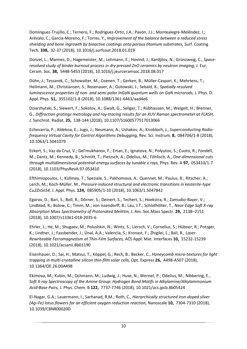Dominguez-Trujillo, C.; Ternero, F.; Rodriguez-Ortiz, J.A.; Pavón, J.J.; Montealegre-Meléndez, I.; Arévalo, C.; Garcia-Moreno, F.; Torres, Y., *Improvement of the balance between a reduced stress shielding and bone ingrowth by bioactive coatings onto porous titanium substrates,* Surf. Coating Tech. **338,** 32-37 (2018), 10.1016/j.surfcoat.2018.01.019

Donzel, L.; Mannes, D.; Hagemeister, M.; Lehmann, E.; Hovind, J.; Kardjilov, N.; Grünzweig, C., *Spaceresolved study of binder burnout process in dry pressed ZnO ceramics by neutron imaging,* J. Eur. Ceram. Soc. **38,** 5448-5453 (2018), 10.1016/j.jeurceramsoc.2018.08.017

Dühn, J.; Tessarek, C.; Schowalter, M.; Coenen, T.; Gerken, B.; Müller-Caspari, K.; Mehrtens, T.; Heilmann, M.; Christiansen, S.; Rosenauer, A.; Gutowski, J.; Sebald, K., *Spatially resolved luminescence properties of non- and semi-polar InGaN quantum wells on GaN microrods,* J. Phys. D. Appl. Phys. **51,** 355102/1-8 (2018), 10.1088/1361-6463/aad4e6

Dziarzhytski, S.; Siewert, F.; Sokolov, A.; Gwalt, G.; Seliger, T.; Rübhausen, M.; Weigelt, H.; Brenner, G., *Diffraction gratings metrology and ray-tracing results for an XUV Raman spectrometer at FLASH,* J. Synchrot. Radiat. **25,** 138-144 (2018), 10.1107/S1600577517013066

Echevarria, P.; Aldekoa, E.; Jugo, J.; Neumann, A.; Ushakov, A.; Knobloch, J., *Superconducting Radiofrequency Virtual Cavity for Control Algorithms Debugging,* Rev. Sci. Instrum. **8,** 084706/1-8 (2018), 10.1063/1.5041079

Eckert, S.; Vaz da Cruz, V.; Gel'mukhanov, F.; Ertan, E.; Ignatova, N.; Polyutov, S.; Cuoto, R.; Fondell, M.; Dantz, M.; Kennedy, B.; Schmitt, T.; Pietzsch, A.; Odelius, M.; Föhlisch, A., *One-dimensional cuts through multidimensional potential-energy surfaces by tunable x rays,* Phys. Rev. A **97,** 053410/1-7 (2018), 10.1103/PhysRevA.97.053410

Efthimiopoulos, I.; Küllmey, T.; Speziale, S.; Pakhomova, A.; Quennet, M.; Paulus, B.; Ritscher, A.; Lerch, M.; Koch-Müller, M., *Pressure-induced structural and electronic transitions in kesterite-type Cu2ZnSnS4,* J. Appl. Phys. **124,** 085905/1-10 (2018), 10.1063/1.5047842

Egorov, D.; Bari, S.; Boll, R.; Dörner, S.; Deinert, S.; Techert, S.; Hoekstra, R.; Zamudio-Bayer, V.; Lindblad, R.; Bülow, C.; Timm, M.; von Issendorff, B.; Lau, J.T.; Schlathölter, T., *Near-Edge Soft X-ray Absorption Mass Spectrometry of Protonated Melittin,* J. Am. Soc.Mass Spectr. **29,** 2138–2151 (2018), 10.1007/s13361-018-2035-6

Ehrler, J.; He, M.; Shugaev, M.; Polushkin, N.; Wintz, S.; Liersch, V.; Cornelius, S.; Hübner, R.; Potzger, K.; Lindner, J.; Fassbender, J.; Ünal, A.A.; Valencia, S.; Kronast, F.; Zhigilei, L.; Bali, R., *Laser-Rewriteable Ferromagnetism at Thin-Film Surfaces,* ACS Appl. Mat. Interfaces **10,** 15232-15239 (2018), 10.1021/acsami.8b01190

Eisenhauer, D.; Sai, H.; Matsui, T.; Köppel, G.; Rech, B.; Becker, C., *Honeycomb micro-textures for light trapping in multi-crystalline silicon thin-film solar cells,* Opt. Express **26,** A498-A507 (2018), 10.1364/OE.26.00A498

Ekimova, M.; Kubin, M.; Ochmann, M.; Ludwig, J.; Huse, N.; Wernet, P.; Odelius, M.; Nibbering, E., *Soft X-ray Spectroscopy of the Amine Group: Hydrogen Bond Motifs in Alkylamine/Alkylammonium Acid-Base Pairs,* J. Phys. Chem. B **122,** 7737-7746 (2018), 10.1021/acs.jpcb.8b05424

El-Nagar, G.A.; Lauermann, I.; Sarhanad, R.M.; Roth, C., *Hierarchically structured iron-doped silver (Ag–Fe) lotus flowers for an efficient oxygen reduction reaction,* Nanoscale **10,** 7304-7310 (2018), 10.1039/C8NR00020D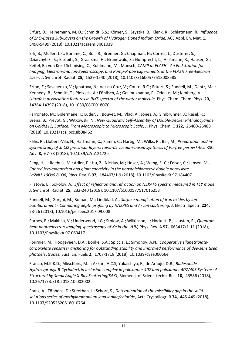Erfurt, D.; Heinemann, M. D.; Schmidt, S.S.; Körner, S.; Szyszka, B.; Klenk, R.; Schlatmann, R., *Influence of ZnO-Based Sub-Layers on the Growth of Hydrogen Doped Indium Oxide,* ACS Appl. En. Mat. **1,**  5490-5499 (2018), 10.1021/acsaem.8b01039

Erk, B.; Müller, J.P.; Bomme, C.; Boll, R.; Brenner, G.; Chapman, H.; Correa, J.; Düsterer, S.; Dziarzhytski, S.; Eisebitt, S.; Graafsma, H.; Grunewald, S.; Gumprecht, L.; Hartmann, R.; Hauser, G.; Keitel, B.; von Korff Schmising, C.; Kuhlmann, M.; Mansch, *CAMP at FLASH - An End-Station for Imaging, Electron-and Ion-Spectroscopy, and Pump-Probe Experiments at the FLASH Free-Electron Laser,* J. Synchrot. Radiat. **25,** 1529-1540 (2018), 10.1107/S1600577518008585

Ertan, E.; Savchenko, V.; Ignatova, N.; Vaz da Cruz, V.; Couto, R.C.; Eckert, S.; Fondell, M.; Dantz, Ma.; Kennedy, B.; Schmitt, T.; Pietzsch, A.; Föhlisch, A.; Gel'mukhanov, F.; Odelius, M.; Kimberg, V., *Ultrafast dissociation features in RIXS spectra of the water molecule,* Phys. Chem. Chem. Phys. **20,**  14384-14397 (2018), 10.1039/C8CP01807C

Farronato, M.; Bidermane, I.; Luder, J.; Bouvet, M.; Vlad, A.; Jones, A.; Simbrunner, J.; Resel, R.; Brena, B.; Prevot, G.; Witkowski, N., *New Quadratic Self-Assembly of Double-Decker Phthalocyanine on Gold(111) Surface: From Macroscopic to Microscopic Scale,* J. Phys. Chem. C **122,** 26480-26488 (2018), 10.1021/acs.jpcc.8b08462

Félix, R.; Llobera-Vila, N.; Hartmann, C.; Klimm, C.; Hartig, M.; Wilks, R.; Bär, M., *Preparation and insystem study of SnCl2 precursor layers: towards vacuum-based synthesis of Pb-free perovskites,* RSC Adv. **8,** 67-73 (2018), 10.1039/c7ra12172e

Feng, H.L.; Reehuis, M.; Adler, P.; Hu, Z.; Nicklas, M.; Hoser, A.; Weng, S.-C.; Felser, C.; Jansen, M., *Canted ferrimagnetism and giant coercivity in the nonstoichiometric double perovskite La2Ni1.19Os0.81O6,* Phys. Rev. B **97,** 184407/1-9 (2018), 10.1103/PhysRevB.97.184407

Filatova, E.; Sokolov, A., *Effect of reflection and refraction on NEXAFS spectra measured in TEY mode,* J. Synchrot. Radiat. **25,** 232-240 (2018), 10.1107/S1600577517016253

Fondell, M.; Gorgoi, M.; Boman, M.; Lindblad, A., *Surface modification of iron oxides by ion bombardment - Comparing depth profiling by HAXPES and Ar ion sputtering,* J. Electr. Spectr. **224,**  23-26 (2018), 10.1016/j.elspec.2017.09.008

Forbes, R.; Makhija, V.; Underwood, J.G.; Stolow, A.; Wilkinson, I.; Hockett, P.; Lausten, R., *Quantumbeat photoelectron-imaging spectroscopy of Xe in the VUV,* Phys. Rev. A **97,** 063417/1-11 (2018), 10.1103/PhysRevA.97.063417

Fournier, M.; Hoogeveen, D.A.; Bonke, S.A.; Spiccia, L.; Simonov, A.N., *Cooperative silanetriolatecarboxylate sensitiser anchoring for outstanding stability and improved performance of dye-sensitised photoelectrodes,* Sust. En. Fuels **2,** 1707-1718 (2018), 10.1039/c8se00056e

Franco, M.K.K.D.; Alkschbirs, M.I.; Akkari, A.C.S; Yokaichiya, F.; de Araújo, D.R., *Budesonide-Hydroxypropyl-B-Cyclodextrin inclusion complex in poloxamer 407 and poloxamer 407/403 Systems: A Structural by Small Angle X-Ray Scattering(SAX),* Biomed j. of Scient. techn. Res. **10,** 43586 (2018), 10.26717/BJSTR.2018.10.002002

Franz, A.; Többens, D.; Steckhan, J.; Schorr, S., *Determination of the miscibility gap in the solid solutions series of methylammonium lead iodide/chloride,* Acta Crystallogr. B **74,** 445-449 (2018), 10.1107/S2052520618010764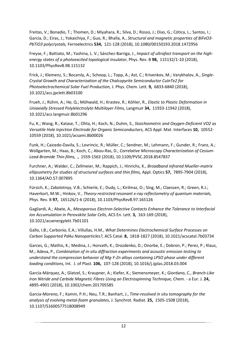Freitas, V.; Bonadio, T.; Thomen, D.; Miyahara, R.; Silva, D.; Rosso, J.; Dias, G.; Cótica, L.; Santos, I.; Garcia, D.; Eiras, J.; Yokaichiya, F.; Guo, R.; Bhalla, A., *Structural and magnetic properties of BiFeO3- PbTiO3 polycrystals,* Ferroelectrics **534,** 121-128 (2018), 10.1080/00150193.2018.1472956

Freyse, F.; Battiato, M.; Yashina, L. V.; Sánchez-Barriga, J., *Impact of ultrafast transport on the highenergy states of a photoexcited topological insulator,* Phys. Rev. B **98,** 115132/1-10 (2018), 10.1103/PhysRevB.98.115132

Frick, J.; Klemenz, S.; Bocarsly, A.; Schoop, L.; Topp, A.; Ast, C.; Krivenkov, M.; Varykhalov, A., *Single-Crystal Growth and Characterization of the Chalcopyrite Semiconductor CuInTe2 for Photoelectrochemical Solar Fuel Production,* J. Phys. Chem. Lett. **9,** 6833-6840 (2018), 10.1021/acs.jpclett.8b03100

Frueh, J.; Rühm, A.; He, Q.; Möhwald, H.; Krastev, R.; Köhler, R., *Elastic to Plastic Deformation in Uniaxially Stressed Polylelectrolyte Multilayer Films,* Langmuir **34,** 11933-11942 (2018), 10.1021/acs.langmuir.8b01296

Fu, K.; Wang, R.; Katase, T.; Ohta, H.; Koch, N.; Duhm, S., *Stoichiometric and Oxygen-Deficient VO2 as Versatile Hole Injection Electrode for Organic Semiconductors,* ACS Appl. Mat. Interfaces **10,** 10552- 10559 (2018), 10.1021/acsami.8b00026

Funk, H.; Caicedo-Davila, S.; Lovrincic, R.; Müller, C.; Sendner, M.; Lehmann, F.; Gunder, R.; Franz, A.; Wollgarten, M.; Haas, B.; Koch, C.; Abou-Ras, D., *Correlative Microscopy Characterization of Cesium-Lead-Bromide Thin-films,* **,** 1559-1563 (2018), 10.1109/PVSC.2018.8547837

Furchner, A.; Walder, C.; Zellmeier, M.; Rappich, J.; Hinrichs, K., *Broadband infrared Mueller-matrix ellipsometry for studies of structured surfaces and thin films,* Appl. Optics **57,** 7895-7904 (2018), 10.1364/AO.57.007895

Fürsich, K.; Zabolotnyy, V.B.; Schierle, E.; Dudy, L.; Kirilmaz, O.; Sing, M.; Claessen, R.; Green, R.J.; Haverkort, M.W.; Hinkov, V., *Theory-restricted resonant x-ray reflectometry of quantum materials,* Phys. Rev. B **97,** 165126/1-6 (2018), 10.1103/PhysRevB.97.165126

Gagliardi, A.; Abate, A., *Mesoporous Electron-Selective Contacts Enhance the Tolerance to Interfacial Ion Accumulation in Perovskite Solar Cells,* ACS En. Lett. **3,** 163-169 (2018), 10.1021/acsenergylett.7b01101

Gallo, I.B.; Carbonio, E.A.; Villullas, H.M., *What Determines Electrochemical Surface Processes on Carbon Supported PdAu Nanoparticles?,* ACS Catal. **8,** 1818-1827 (2018), 10.1021/acscatal.7b03734

Garces, G.; Mathis, K.; Medina, J.; Horvath, K.; Drozdenko, D.; Onorbe, E.; Dobron, P.; Perez, P.; Klaus, M.; Adeva, P., *Combination of in-situ diffraction experiments and acoustic emission testing to understand the compression behavior of Mg-Y-Zn alloys containing LPSO phase under different loading conditions,* Int. J. of Plast. **106,** 107-128 (2018), 10.1016/j.ijplas.2018.03.004

García-Márquez, A.; Glatzel, S.; Kraupner, A.; Kiefer, K.; Siemensmeyer, K.; Giordano, C., *Branch-Like Iron Nitride and Carbide Magnetic Fibres Using an Electrospinning Technique,* Chem. - a Eur. J. **24,**  4895-4901 (2018), 10.1002/chem.201705585

Garcia-Moreno, F.; Kamm, P.H.; Neu, T.R.; Banhart, J., *Time-resolved in situ tomography for the analysis of evolving metal-foam granulates,* J. Synchrot. Radiat. **25,** 1505-1508 (2018), 10.1107/S1600577518008949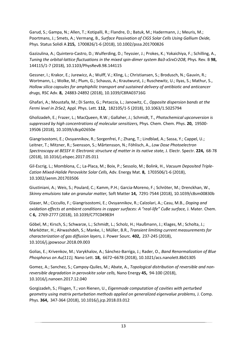Garud, S.; Gampa, N.; Allen, T.; Kotipalli, R.; Flandre, D.; Batuk, M.; Hadermann, J.; Meuris, M.; Poortmans, J.; Smets, A.; Vermang, B., *Surface Passivation of CIGS Solar Cells Using Gallium Oxide,* Phys. Status Solidi A **215,** 1700826/1-6 (2018), 10.1002/pssa.201700826

Gazizulina, A.; Quintero-Castro, D.; Wulferding, D.; Teyssier, J.; Prokes, K.; Yokaichiya, F.; Schilling, A., *Tuning the orbital-lattice fluctuations in the mixed spin-dimer system Ba3-xSrxCr2O8,* Phys. Rev. B **98,**  144115/1-7 (2018), 10.1103/PhysRevB.98.144115

Gessner, I.; Krakor, E.; Jurewicz, A.; Wulff, V.; Kling, L.; Christiansen, S.; Brodusch, N.; Gauvin, R.; Wortmann, L.; Wolke, M.; Plum, G.; Schauss, A.; Krautwurst, J.; Ruschewitz, U.; Ilyas, S.; Mathur, S., *Hollow silica capsules for amphiphilic transport and sustained delivery of antibiotic and anticancer drugs,* RSC Adv. **8,** 24883-24892 (2018), 10.1039/C8RA03716G

Ghafari, A.; Moustafa, M.; Di Santo, G.; Petaccia, L.; Janowitz, C., *Opposite dispersion bands at the Fermi level in ZrSe2,* Appl. Phys. Lett. **112,** 182105/1-5 (2018), 10.1063/1.5025794

Gholizadeh, E.; Frazer, L.; MacQueen, R.W.; Gallaher, J.; Schmidt, T., *Photochemical upconversion is suppressed by high concentrations of molecular sensitizers,* Phys. Chem. Chem. Phys. **20,** 19500- 19506 (2018), 10.1039/c8cp02650e

Giangrisostomi, E.; Ovsyannikov, R.; Sorgenfrei, F.; Zhang, T.; Lindblad, A.; Sassa, Y.; Cappel, U.; Leitner, T.; Mitzner, R.; Svensson, S.; Mårtensson, N.; Föhlisch, A., *Low Dose Photoelectron Spectroscopy at BESSY II: Electronic structure of matter in its native state,* J. Electr. Spectr. **224,** 68-78 (2018), 10.1016/j.elspec.2017.05.011

Gil-Escrig, L.; Momblona, C.; La-Placa, M.; Boix, P.; Sessolo, M.; Bolink, H., *Vacuum Deposited Triple-Cation Mixed-Halide Perovskite Solar Cells,* Adv. Energy Mat. **8,** 1703506/1-6 (2018), 10.1002/aenm.201703506

Giustiniani, A.; Weis, S.; Poulard, C.; Kamm, P.H.; Garcia-Moreno, F.; Schröter, M.; Drenckhan, W., *Skinny emulsions take on granular matter,* Soft Matter **14,** 7291-7544 (2018), 10.1039/c8sm00830b

Glaser, M.; Ciccullo, F.; Giangrisostomi, E.; Ovsyannikov, R.; Calzolari, A.; Casu, M.B., *Doping and oxidation effects at ambient conditions in copper surfaces: A "real-life" CuBe surface,* J. Mater. Chem. C **6,** 2769-2777 (2018), 10.1039/C7TC04983H

Göbel, M.; Kirsch, S.; Schwarze, L.; Schmidt, L.; Scholz, H.; Haußmann, J.; Klages, M.; Scholta, J.; Markötter, H.; Alrwashdeh, S.; Manke, I.; Müller, B.R., *Transient limiting current measurements for characterization of gas diffusion layers,* J. Power Sourc. **402,** 237-245 (2018), 10.1016/j.jpowsour.2018.09.003

Golias, E.; Krivenkov, M.; Varykhalov, A.; Sánchez-Barriga, J.; Rader, O., *Band Renormalization of Blue Phosphorus on Au(111),* Nano Lett. **18,** 6672–6678 (2018), 10.1021/acs.nanolett.8b01305

Gomez, A.; Sanchez, S.; Campoy-Quiles, M.; Abate, A., *Topological distribution of reversible and nonreversible degradation in perovskite solar cells,* Nano Energy **45,** 94-100 (2018), 10.1016/j.nanoen.2017.12.040

Gorgizadeh, S.; Flisgen, T.; von Rienen, U., *Eigenmode computation of cavities with perturbed geometry using matrix perturbation methods applied on generalized eigenvalue problems,* J. Comp. Phys. **364,** 347-364 (2018), 10.1016/j.jcp.2018.03.012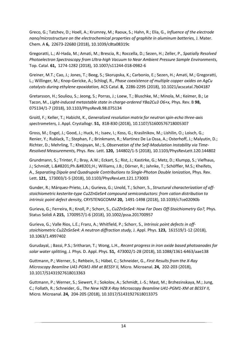Greco, G.; Tatchev, D.; Hoell, A.; Krumrey, M.; Raoux, S.; Hahn, R.; Elia, G., *Influence of the electrode nano/microstructure on the electrochemical properties of graphite in aluminum batteries,* J. Mater. Chem. A **6,** 22673-22680 (2018), 10.1039/c8ta08319c

Gregoratti, L.; Al-Hada, M.; Amati, M.; Brescia, R.; Roccella, D.; Sezen, H.; Zeller, P., *Spatially Resolved Photoelectron Spectroscopy from Ultra-high Vacuum to Near Ambient Pressure Sample Environments,* Top. Catal. **61,** 1274-1282 (2018), 10.1007/s11244-018-0982-6

Greiner, M.T.; Cao, J.; Jones, T.; Beeg, S.; Skorupska, K.; Carbonio, E.; Sezen, H.; Amati, M.; Gregoratti, L.; Willinger, M.; Knop-Gericke, A.; Schlogl, R., *Phase coexistence of multiple copper oxides on AgCu catalysts during ethylene epoxidation,* ACS Catal. **8,** 2286-2295 (2018), 10.1021/acscatal.7b04187

Gretarsson, H.; Souliou, S.; Jeong, S.; Porras, J.; Loew, T.; Bluschke, M.; Minola, M.; Keimer, B.; Le Tacon, M., *Light-induced metastable state in charge-ordered YBa2Cu3 O6+x,* Phys. Rev. B **98,**  075134/1-7 (2018), 10.1103/PhysRevB.98.075134

Groitl, F.; Keller, T.; Habicht, K., *Generalized resolution matrix for neutron spin-echo three-axis spectrometers,* J. Appl. Crystallogr. **51,** 818-830 (2018), 10.1107/S1600576718005307

Gross, M.; Engel, J.; Good, J.; Huck, H.; Isaev, I.; Koss, G.; Krasilnikov, M.; Lishilin, O.; Loisch, G.; Renier, Y.; Rublack, T.; Stephan, F.; Brinkmann, R.; Martinez De La Ossa, A.; Osterhoff, J.; Malyutin, D.; Richter, D.; Mehrling, T.; Khojoyan, M.; S, *Observation of the Self-Modulation Instability via Time-Resolved Measurements,* Phys. Rev. Lett. **120,** 144802/1-5 (2018), 10.1103/PhysRevLett.120.144802

Grundmann, S.; Trinter, F.; Bray, A.W.; Eckart, S.; Rist, J.; Kastirke, G.; Metz, D.; Klumpp, S.; Viefhaus, J.; Schmidt, L. Ph. H.; Williams, J.B.; Dörner, R.; Jahnke, T.; Schöffler, M.S.; Kheifets, A., *Separating Dipole and Quadrupole Contributions to Single-Photon Double Ionization,* Phys. Rev. Lett. **121,** 173003/1-5 (2018), 10.1103/PhysRevLett.121.173003

Gunder, R.; Márquez-Prieto, J.A.; Gurieva, G.; Unold, T.; Schorr, S., *Structural characterization of offstoichiometric kesterite-type Cu2ZnGeSe4 compound semiconductors: from cation distribution to intrinsic point defect density,* CRYSTENGCOMM **20,** 1491-1498 (2018), 10.1039/c7ce02090b

Gurieva, G.; Ferreira, R.; Knoll, P.; Schorr, S., *Cu2ZnSnSe4: How Far Does Off-Stoichiometry Go?,* Phys. Status Solidi A **215,** 1700957/1-6 (2018), 10.1002/pssa.201700957

Gurieva, G.; Valle Rios, L.E.; Franz, A.; Whitfield, P.; Schorr, S., *Intrinsic point defects in offstoichiometric Cu2ZnSnSe4: A neutron diffraction study,* J. Appl. Phys. **123,** 161519/1-12 (2018), 10.1063/1.4997402

Gurudayal, ; Bassi, P.S.; Sritharan, T.; Wong, L.H., *Recent progress in iron oxide based photoanodes for solar water splitting,* J. Phys. D. Appl. Phys. **51,** 473002/1-28 (2018), 10.1088/1361-6463/aae138

Guttmann, P.; Werner, S.; Rehbein, S.; Häbel, C.; Schneider, G., *First Results from the X-Ray Microscopy Beamline U41-PGM1-XM at BESSY II,* Micro. Microanal. **24,** 202-203 (2018), 10.1017/S1431927618013363

Guttmann, P.; Werner, S.; Siewert, F.; Sokolov, A.; Schmidt, J.-S.; Mast, M.; Brzhezinskaya, M.; Jung, C.; Follath, R.; Schneider, G., *The New HZB X-Ray Microscopy Beamline U41-PGM1-XM at BESSY II,* Micro. Microanal. **24,** 204-205 (2018), 10.1017/S1431927618013375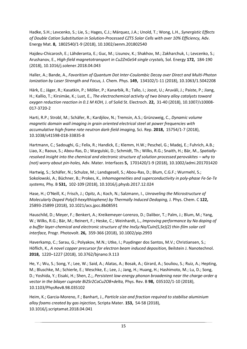Hadke, S.H.; Levcenko, S.; Lie, S.; Hages, C.J.; Márquez, J.A.; Unold, T.; Wong, L.H., *Synergistic Effects of Double Cation Substitution in Solution-Processed CZTS Solar Cells with over 10% Efficiency,* Adv. Energy Mat. **8,** 1802540/1-9 (2018), 10.1002/aenm.201802540

Hajdeu-Chicarosh, E.; Lähderanta, E.; Guc, M.; Lisunov, K.; Shakhov, M.; Zakharchuk, I.; Levcenko, S.; Arushanov, E., *High-field magnetotransport in Cu2ZnGeS4 single crystals,* Sol. Energy **172,** 184-190 (2018), 10.1016/j.solener.2018.04.043

Haller, A.; Bande, A., *Favoritism of Quantum Dot Inter-Coulombic Decay over Direct and Multi-Photon Ionization by Laser Strength and Focus,* J. Chem. Phys. **149,** 134102/1-11 (2018), 10.1063/1.5042208

Härk, E.; Jäger, R.; Kasatkin, P.; Möller, P.; Kanarbik, R.; Tallo, I.; Joost, U.; Aruväli, J.; Paiste, P.; Jiang, H.; Kallio, T.; Kirsimäe, K.; Lust, E., *The electrochemical activity of two binary alloy catalysts toward oxygen reduction reaction in 0.1 M KOH,* J. of Solid St. Electroch. **22,** 31-40 (2018), 10.1007/s10008- 017-3720-2

Harti, R.P.; Strobl, M.; Schäfer, R.; Kardjilov, N.; Tremsin, A.S.; Grünzweig, C., *Dynamic volume magnetic domain wall imaging in grain oriented electrical steel at power frequencies with accumulative high-frame rate neutron dark-field imaging,* Sci. Rep. **2018,** 15754/1-7 (2018), 10.1038/s41598-018-33835-8

Hartmann, C.; Sadoughi, G.; Felix, R.; Handick, E.; Klemm, H.W.; Peschel, G.; Madej, E.; Fuhrich, A.B.; Liao, X.; Raoux, S.; Abou-Ras, D.; Wargulski, D.; Schmidt, Th.; Wilks, R.G.; Snaith, H.; Bär, M., *Spatiallyresolved insight into the chemical and electronic structure of solution processed perovskites – why to (not) worry about pin-holes,* Adv. Mater. Interfaces **5,** 1701420/1-9 (2018), 10.1002/admi.201701420

Hartwig, S.; Schäfer, N.; Schulze, M.; Landsgesell, S.; Abou-Ras, D.; Blum, C.G.F.; Wurmehl, S.; Sokolowski, A.; Büchner, B.; Prokes, K., *Inhomogeneities and superconductivity in poly-phase Fe-Se-Te systems,* Phy. B **531,** 102-109 (2018), 10.1016/j.physb.2017.12.024

Hase, H.; O'Neill, K.; Frisch, J.; Opitz, A.; Koch, N.; Salzmann, I., *Unraveling the Microstructure of Molecularly Doped Poly(3-hexylthiophene) by Thermally Induced Dedoping,* J. Phys. Chem. C **122,**  25893-25899 (2018), 10.1021/acs.jpcc.8b08591

Hauschild, D.; Meyer, F.; Benkert, A.; Kreikemeyer-Lorenzo, D.; Dalibor, T.; Palm, J.; Blum, M.; Yang, W.; Wilks, R.G.; Bär, M.; Reinert, F.; Heske, C.; Weinhardt, L., *Improving performance by Na doping of a buffer layer-chemical and electronic structure of the InxSy:Na/CuIn(S,Se)(2) thin-film solar cell interface,* Progr. Photovolt. **26,** 359-366 (2018), 10.1002/pip.2993

Haverkamp, C.; Sarau, G.; Polyakov, M.N.; Utke, I.; Puydinger dos Santos, M.V.; Christiansen, S.; Höflich, K., *A novel copper precursor for electron beam induced deposition,* Beilstein J. Nanotechnol. **2018,** 1220–1227 (2018), 10.3762/bjnano.9.113

He, Y.; Wu, S.; Song, Y.; Lee, W.; Said, A.; Alatas, A.; Bosak, A.; Girard, A.; Souliou, S.; Ruiz, A.; Hepting, M.; Bluschke, M.; Schierle, E.; Weschke, E.; Lee, J.; Jang, H.; Huang, H.; Hashimoto, M.; Lu, D.; Song, D.; Yoshida, Y.; Eisaki, H.; Shen, Z.;, *Persistent low-energy phonon broadening near the charge-order q vector in the bilayer cuprate Bi2Sr2CaCu2O8+delta,* Phys. Rev. B **98,** 035102/1-10 (2018), 10.1103/PhysRevB.98.035102

Heim, K.; Garcia-Moreno, F.; Banhart, J., *Particle size and fraction required to stabilise aluminium alloy foams created by gas injection,* Scripta Mater. **153,** 54-58 (2018), 10.1016/j.scriptamat.2018.04.041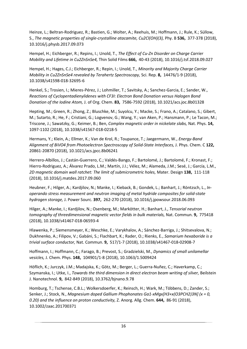Heinze, L.; Beltran-Rodriguez, R.; Bastien, G.; Wolter, A.; Reehuis, M.; Hoffmann, J.; Rule, K.; Süllow, S., *The magnetic properties of single-crystalline atacamite, Cu2Cl(OH)(3),* Phy. B **536,** 377-378 (2018), 10.1016/j.physb.2017.09.073

Hempel, H.; Eichberger, R.; Repins, I.; Unold, T., *The Effect of Cu-Zn Disorder on Charge Carrier Mobility and Lifetime in Cu2ZnSnSe4,* Thin Solid Films **666,** 40-43 (2018), 10.1016/j.tsf.2018.09.027

Hempel, H.; Hages, C.J.; Eichberger, R.; Repin, I.; Unold, T., *Minority and Majority Charge Carrier Mobility in Cu2ZnSnSe4 revealed by Terahertz Spectroscopy,* Sci. Rep. **8,** 14476/1-9 (2018), 10.1038/s41598-018-32695-6

Henkel, S.; Trosien, I.; Mieres-Pérez, J.; Lohmiller, T.; Savitsky, A.; Sanchez-Garcia, E.; Sander, W., *Reactions of Cyclopentadienylidenes with CF3I: Electron Bond Donation versus Halogen Bond Donation of the Iodine Atom,* J. of Org. Chem. **83,** 7586-7592 (2018), 10.1021/acs.joc.8b01328

Hepting, M.; Green, R.; Zhong, Z.; Bluschke, M.; Suyolcu, Y.; Macke, S.; Frano, A.; Catalano, S.; Gibert, M.; Sutarto, R.; He, F.; Cristiani, G.; Logvenov, G.; Wang, Y.; van Aken, P.; Hansmann, P.; Le Tacon, M.; Triscone, J.; Sawatzky, G.; Keimer, B.; Ben, *Complex magnetic order in nickelate slabs,* Nat. Phys. **14,**  1097-1102 (2018), 10.1038/s41567-018-0218-5

Hermans, Y.; Klein, A.; Ellmer, K.; Van de Krol, R.; Toupance, T.; Jaegermann, W., *Energy-Band Alignment of BiVO4 from Photoelectron Spectroscopy of Solid-State Interfaces,* J. Phys. Chem. C **122,**  20861-20870 (2018), 10.1021/acs.jpcc.8b06241

Herrero-Albillos, J.; Castán-Guerrero, C.; Valdés-Bango, F.; Bartolomé, J.; Bartolomé, F.; Kronast, F.; Hierro-Rodriguez, A.; Álvarez Prado, L.M.; Martín, J.I.; Vélez, M.; Alameda, J.M.; Sesé, J.; García, L.M., *2D magnetic domain wall ratchet: The limit of submicrometric holes,* Mater. Design **138,** 111-118 (2018), 10.1016/j.matdes.2017.09.060

Heubner, F.; Hilger, A.; Kardjilov, N.; Manke, I.; Kieback, B.; Gondek, L.; Banhart, J.; Röntzsch, L., *Inoperando stress measurement and neutron imaging of metal hydride composites for solid-state hydrogen storage,* J. Power Sourc. **397,** 262-270 (2018), 10.1016/j.jpowsour.2018.06.093

Hilger, A.; Manke, I.; Kardjilov, N.; Osenberg, M.; Markötter, H.; Banhart, J., *Tensorial neutron tomography of threedimensional magnetic vector fields in bulk materials,* Nat. Commun. **9,** 775418 (2018), 10.1038/s41467-018-06593-4

Hlawenka, P.; Siemensmeyer, K.; Weschke, E.; Varykhalov, A.; Sánchez-Barriga, J.; Shitsevalova, N.; Dukhnenko, A.; Filipov, V.; Gabáni, S.; Flachbart, K.; Rader, O.; Rienks, E., *Samarium hexaboride is a trivial surface conductor,* Nat. Commun. **9,** 517/1-7 (2018), 10.1038/s41467-018-02908-7

Hoffmann, I.; Hoffmann, C.; Farago, B.; Prevost, S.; Gradzielski, M., *Dynamics of small unilamellar vesicles,* J. Chem. Phys. **148,** 104901/1-8 (2018), 10.1063/1.5009424

Höflich, K.; Jurczyk, J.M.; Madajska, K.; Götz, M.; Berger, L.; Guerra-Nuñez, C.; Haverkamp, C.; Szymanska, I.; Utke, I., *Towards the third dimension in direct electron beam writing of silver,* Beilstein J. Nanotechnol. **9,** 842-849 (2018), 10.3762/bjnano.9.78

Homburg, T.; Tschense, C.B.L.; Wolkersdoerfer, K.; Reinsch, H.; Wark, M.; Többens, D.; Zander, S.; Senker, J.; Stock, N., *Magnesium doped Gallium Phophonates Ga1-xMgx[H3+x(O3PCH2)3N] (x = 0, 0.20) and the influence on proton conductivity,* Z. Anorg. Allg. Chem. **644,** 86-91 (2018), 10.1002/zaac.201700371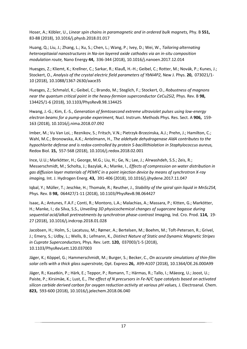Hoser, A.; Köbler, U., *Linear spin chains in paramagnetic and in ordered bulk magnets,* Phy. B **551,**  83-88 (2018), 10.1016/j.physb.2018.01.017

Huang, Q.; Liu, J.; Zhang, L.; Xu, S.; Chen, L.; Wang, P.; Ivey, D.; Wei, W., *Tailoring alternating heteroepitaxial nanostructures in Na-ion layered oxide cathodes via an in-situ composition modulation route,* Nano Energy **44,** 336-344 (2018), 10.1016/j.nanoen.2017.12.014

Huesges, Z.; Kliemt, K.; Krellner, C.; Sarkar, R.; Klauß, H.-H.; Geibel, C.; Rotter, M.; Novák, P.; Kunes, J.; Stockert, O., *Analysis of the crystal electric field parameters of YbNi4P2,* New J. Phys. **20,** 073021/1- 10 (2018), 10.1088/1367-2630/aace35

Huesges, Z.; Schmalzl, K.; Geibel, C.; Brando, M.; Steglich, F.; Stockert, O., *Robustness of magnons near the quantum critical point in the heavy-fermion superconductor CeCu2Si2,* Phys. Rev. B **98,**  134425/1-6 (2018), 10.1103/PhysRevB.98.134425

Hwang, J.-G.; Kim, E.-S., *Generation of femtosecond extreme ultraviolet pulses using low-energy electron beams for a pump-probe experiment,* Nucl. Instrum. Methods Phys. Res. Sect. A **906,** 159- 163 (2018), 10.1016/j.nima.2018.07.092

Imber, M.; Vu Van Loi, ; Reznikov, S.; Fritsch, V.N.; Pietrzyk-Brzezinska, A.J.; Prehn, J.; Hamilton, C.; Wahl, M.C.; Bronowska, A.K.; Antelmann, H., *The aldehyde dehydrogenase AldA contributes to the hypochlorite defense and is redox-controlled by protein S-bacillithiolation in Staphylococcus aureus,* Redox Biol. **15,** 557-568 (2018), 10.1016/j.redox.2018.02.001

Ince, U.U.; Markötter, H.; George, M.G.; Liu, H.; Ge, N.; Lee, J.; Alrwashdeh, S.S.; Zeis, R.; Messerschmidt, M.; Scholta, J.; Bazylak, A.; Manke, I., *Effects of compression on water distribution in gas diffusion layer materials of PEMFC in a point injection device by means of synchrotron X-ray imaging,* Int. J. Hydrogen Energ. **43,** 391-406 (2018), 10.1016/j.ijhydene.2017.11.047

Iqbal, Y.; Müller, T.; Jeschke, H.; Thomale, R.; Reuther, J., *Stability of the spiral spin liquid in MnSc2S4,* Phys. Rev. B **98,** 064427/1-11 (2018), 10.1103/PhysRevB.98.064427

Isaac, A.; Antunes, F.A.F.; Conti, R.; Montoro, L.A.; Malachias, A.; Massara, P.; Kitten, G.; Markötter, H.; Manke, I.; da Silva, S.S., *Unveiling 3D physicochemical changes of sugarcane bagasse during sequential acid/alkali pretreatments by synchrotron phase-contrast Imaging,* Ind. Cro. Prod. **114,** 19- 27 (2018), 10.1016/j.indcrop.2018.01.028

Jacobsen, H.; Holm, S.; Lacatusu, M.; Rømer, A.; Bertelsen, M.; Boehm, M.; Toft-Petersen, R.; Grivel, J.; Emery, S.; Udby, L.; Wells, B.; Lefmann, K., *Distinct Nature of Static and Dynamic Magnetic Stripes in Cuprate Superconductors,* Phys. Rev. Lett. **120,** 037003/1-5 (2018), 10.1103/PhysRevLett.120.037003

Jäger, K.; Köppel, G.; Hammerschmidt, M.; Burger, S.; Becker, C., *On accurate simulations of thin-film solar cells with a thick glass superstrate,* Opt. Express **26,** A99-A107 (2018), 10.1364/OE.26.000A99

Jäger, R.; Kasatkin, P.; Härk, E.; Teppor, P.; Romann, T.; Härmas, R.; Tallo, I.; Mäeorg, U.; Joost, U.; Paiste, P.; Kirsimäe, K.; Lust, E., *The effect of N precursors in Fe-N/C type catalysts based on activated silicon carbide derived carbon for oxygen reduction activity at various pH values,* J. Electroanal. Chem. **823,** 593-600 (2018), 10.1016/j.jelechem.2018.06.040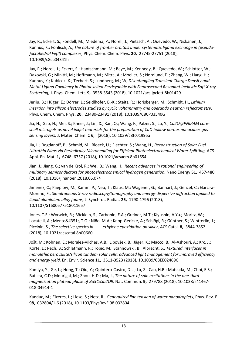Jay, R.; Eckert, S.; Fondell, M.; Miedema, P.; Norell, J.; Pietzsch, A.; Quevedo, W.; Niskanen, J.; Kunnus, K.; Föhlisch, A., *The nature of frontier orbitals under systematic ligand exchange in (pseudo- )octahedral Fe(II) complexes,* Phys. Chem. Chem. Phys. **20,** 27745-27751 (2018), 10.1039/c8cp04341h

Jay, R.; Norell, J.; Eckert, S.; Hantschmann, M.; Beye, M.; Kennedy, B.; Quevedo, W.; Schlotter, W.; Dakovski, G.; Minitti, M.; Hoffmann, M.; Mitra, A.; Moeller, S.; Nordlund, D.; Zhang, W.; Liang, H.; Kunnus, K.; Kubicek, K.; Techert, S.; Lundberg, M.; W, *Disentangling Transient Charge Density and Metal-Ligand Covalency in Photoexcited Ferricyanide with Femtosecond Resonant Inelastic Soft X-ray Scattering,* J. Phys. Chem. Lett. **9,** 3538-3543 (2018), 10.1021/acs.jpclett.8b01429

Jerliu, B.; Hüger, E.; Dörrer, L.; Seidlhofer, B.-K.; Steitz, R.; Horisberger, M.; Schmidt, H., *Lithium insertion into silicon electrodes studied by cyclic voltammetry and operando neutron reflectometry,* Phys. Chem. Chem. Phys. **20,** 23480-23491 (2018), 10.1039/C8CP03540G

Jia, H.; Gao, H.; Mei, S.; Kneer, J.; Lin, X.; Ran, Q.; Wang, F.; Palzer, S.; Lu, Y., *Cu2O@PNIPAM coreshell microgels as novel inkjet materials for the preparation of CuO hollow porous nanocubes gas sensing layers,* J. Mater. Chem. C **6,** (2018), 10.1039/c8tc01995a

Jia, L.; Bogdanoff, P.; Schmid, M.; Bloeck, U.; Fiechter, S.; Wang, H., *Reconstruction of Solar Fuel Ultrathin Films via Periodically Microbending for Efficient Photoelectrochemical Water Splitting,* ACS Appl. En. Mat. **1,** 6748–6757 (2018), 10.1021/acsaem.8b01654

Jian, J.; Jiang, G.; van de Krol, R.; Wei, B.; Wang, H., *Recent advances in rational engineering of multinary semiconductors for photoelectrochemical hydrogen generation,* Nano Energy **51,** 457-480 (2018), 10.1016/j.nanoen.2018.06.074

Jimenez, C.; Paeplow, M.; Kamm, P.; Neu, T.; Klaus, M.; Wagener, G.; Banhart, J.; Genzel, C.; Garci-a-Moreno, F., *Simultaneous X-ray radioscopy/tomography and energy-dispersive diffraction applied to liquid aluminium alloy foams,* J. Synchrot. Radiat. **25,** 1790-1796 (2018), 10.1107/S1600577518011657

Jones, T.E.; Wyrwich, R.; Böcklein, S.; Carbonio, E.A.; Greiner, M.T.; Klyushin, A.Yu.; Moritz, W.; Locatelli, A.; Menteş, T.O.; Niño, M.A.; Knop-Gericke, A.; Schlögl, R.; Günther, S.; Wintterlin, J.; Piccinin, S., *The selective species in ethylene epoxidation on silver,* ACS Catal. **8,** 3844-3852 (2018), 10.1021/acscatal.8b00660

Jošt, M.; Köhnen, E.; Morales-Vilches, A.B.; Lipovšek, B.; Jäger, K.; Macco, B.; Al-Ashouri, A.; Krc, J.; Korte, L.; Rech, B.; Schlatmann, R.; Topic, M.; Stannowski, B.; Albrecht, S., *Textured interfaces in monolithic perovskite/silicon tandem solar cells: advanced light management for improved efficiency and energy yield,* En. Envir. Science **11,** 3511-3523 (2018), 10.1039/C8EE02469C

Kamiya, Y.; Ge, L.; Hong, T.; Qiu, Y.; Quintero-Castro, D.L.; Lu, Z.; Cao, H.B.; Matsuda, M.; Choi, E.S.; Batista, C.D.; Mourigal, M.; Zhou, H.D.; Ma, J., *The nature of spin excitations in the one-third magnetization plateau phase of Ba3CoSb2O9,* Nat. Commun. **9,** 279788 (2018), 10.1038/s41467- 018-04914-1

Kanduc, M.; Eixeres, L.; Liese, S.; Netz, R., *Generalized line tension of water nanodroplets,* Phys. Rev. E **98,** 032804/1-6 (2018), 10.1103/PhysRevE.98.032804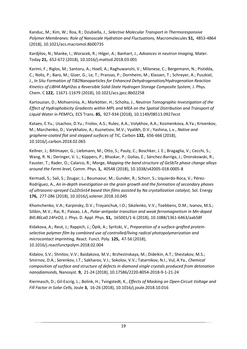Kanduc, M.; Kim, W.; Roa, R.; Dzubiella, J., *Selective Molecular Transport in Thermoresponsive Polymer Membranes: Role of Nanoscale Hydration and Fluctuations,* Macromolecules **51,** 4853-4864 (2018), 10.1021/acs.macromol.8b00735

Kardjilov, N.; Manke, I.; Woracek, R.; Hilger, A.; Banhart, J., *Advances in neutron imaging,* Mater. Today **21,** 652-672 (2018), 10.1016/j.mattod.2018.03.001

Karimi, F.; Riglos, M.; Santoru, A.; Hoell, A.; Raghuwanshi, V.; Milanese, C.; Bergemann, N.; Pistidda, C.; Nolis, P.; Baro, M.; Gizer, G.; Le, T.; Pranzas, P.; Dornheim, M.; Klassen, T.; Schreyer, A.; Puszkiel, J., *In Situ Formation of TiB2Nanoparticles for Enhanced Dehydrogenation/Hydrogenation Reaction Kinetics of LiBH4-MgH2as a Reversible Solid-State Hydrogen Storage Composite System,* J. Phys. Chem. C **122,** 11671-11679 (2018), 10.1021/acs.jpcc.8b02258

Kartouzian, D.; Mohseninia, A.; Markötter, H.; Scholta, J., *Neutron Tomographic Investigation of the Effect of Hydrophobicity Gradients within MPL and MEA on the Spatial Distribution and Transport of Liquid Water in PEMFCs,* ECS Trans. **85,** 927-934 (2018), 10.1149/08513.0927ecst

Kataev, E.Yu.; Usachov, D.Yu.; Frolov, A.S.; Rulev, A.A.; Volykhov, A.A.; Kozmenkova, A.Ya.; Krivenkov, M.; Marchenko, D.; Varykhalov, A.; Kuznetsov, M.V.; Vyalikh, D.V.; Yashina, L.v., *Native and graphene-coated flat and stepped surfaces of TiC,* Carbon **132,** 656-666 (2018), 10.1016/j.carbon.2018.02.065

Kellner, J.; Bihlmayer, G.; Liebmann, M.; Otto, S.; Pauly, C.; Boschker, J. E.; Bragaglia, V.; Cecchi, S.; Wang, R. N.; Deringer, V. L.; Küppers, P.; Bhaskar, P.; Golias, E.; Sánchez-Barriga, J.; Dronskowski, R.; Fauster, T.; Rader, O.; Calarco, R.; Morge, *Mapping the band structure of GeSbTe phase change alloys around the Fermi level,* Comm. Phys. **1,** 40548 (2018), 10.1038/s42005-018-0005-8

Kermadi, S.; Sali, S.; Zougar, L.; Boumaour, M.; Gunder, R.; Schorr, S.; Izquierdo-Roca, V.; Pérez-Rodríguez, A., *An in-depth investigation on the grain growth and the formation of secondary phases of ultrasonic-sprayed Cu2ZnSnS4 based thin films assisted by Na crystallization catalyst,* Sol. Energy **176,** 277-286 (2018), 10.1016/j.solener.2018.10.045

Khomchenko, V.A.; Karpinsky, D.V.; Troyanchuk, I.O.; Sikolenko, V.V.; Toebbens, D.M.; Ivanov, M.S.; Silibin, M.V.; Rai, R.; Paixao, J.A., *Polar-antipolar transition and weak ferromagnetism in Mn-doped Bi0.86La0.14FeO3,* J. Phys. D. Appl. Phys. **51,** 165001/1-6 (2018), 10.1088/1361-6463/aab58f

Kidakova, A.; Reut, J.; Rappich, J.; Öpik, A.; Syritski, V., *Preparation of a surface-grafted proteinselective polymer film by combined use of controlled/living radical photopolymerization and microcontact imprinting,* React. Funct. Poly. **125,** 47-56 (2018), 10.1016/j.reactfunctpolym.2018.02.004

Kidalov, S.V.; Shnitov, V.V.; Baidakova, M.V.; Brzhezinskaya, M.; Dideikin, A.T.; Shestakov, M.S.; Smirnov, D.A.; Serenkov, I.T.; Sakharov, V.I.; Sokolov, V.V.; Tatarnikov, N.I.; Vul, A.Ya., *Chemical composition of surface and structure of defects in diamond single crystals produced from detonation nanodiamonds,* Nanosyst. **9,** 21-24 (2018), 10.17586/2220-8054-2018-9-1-21-24

Kiermasch, D.; Gil-Escrig, L.; Bolink, H.; Tvingstedt, K., *Effects of Masking on Open-Circuit Voltage and Fill Factor in Solar Cells,* Joule **3,** 16-26 (2018), 10.1016/j.joule.2018.10.016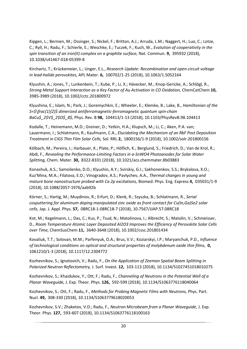Kipgen, L.; Bernien, M.; Ossinger, S.; Nickel, F.; Britton, A.J.; Arruda, L.M.; Naggert, H.; Luo, C.; Lotze, C.; Ryll, H.; Radu, F.; Schierle, E.; Weschke, E.; Tuczek, F.; Kuch, W., *Evolution of cooperativity in the spin transition of an iron(II) complex on a graphite surface,* Nat. Commun. **9,** 395932 (2018), 10.1038/s41467-018-05399-8

Kirchartz, T.; Krückemeier, L.; Unger, E.L., *Research Update: Recombination and open-circuit voltage in lead-halide perovskites,* APL Mater. **6,** 100702/1-25 (2018), 10.1063/1.5052164

Klyushin, A.; Jones, T.; Lunkenbein, T.; Kube, P.; Li, X.; Hävecker, M.; Knop-Gericke, A.; Schlögl, R., *Strong Metal Support Interaction as a Key Factor of Au Activation in CO Oxidation,* ChemCatChem **10,**  3985-3989 (2018), 10.1002/cctc.201800972

Klyushina, E.; Islam, N.; Park, J.; Goremychkin, E.; Wheeler, E.; Klemke, B.; Lake, B., *Hamiltonian of the S=\$\frac{1}{2}\$ dimerized antiferromagnetic-ferromagnetic quantum spin-chain BaCu\$\_2\$V\$\_2\$O\$\_8\$,* Phys. Rev. B **98,** 104413/1-13 (2018), 10.1103/PhysRevB.98.104413

Kodalle, T.; Heinemann, M.D.; Greiner, D.; Yetkin, H.A.; Klupsch, M.; Li, C.; Aken, P.A. van; Lauermann, I.; Schlatmann, R.; Kaufmann, C.A., *Elucidating the Mechanism of an RbF Post Deposition Treatment in CIGS Thin Film Solar Cells,* Sol. RRL **2,** 1800156/1-9 (2018), 10.1002/solr.201800156

Kölbach, M.; Pereira, I.; Harbauer, K.; Plate, P.; Höflich, K.; Berglund, S.; Friedrich, D.; Van de Krol, R.; Abdi, F., *Revealing the Performance-Limiting Factors in a-SnWO4 Photoanodes for Solar Water Splitting,* Chem. Mater. **30,** 8322-8331 (2018), 10.1021/acs.chemmater.8b03883

Konashuk, A.S.; Samoilenko, D.O.; Klyushin, A.Y.; Svirskiy, G.I.; Sakhonenkov, S.S.; Brykalova, X.O.; Kuz'Mina, M.A.; Filatova, E.O.; Vinogradov, A.S.; Pavlychev, A.A., *Thermal changes in young and mature bone nanostructure probed with Ca 2p excitations,* Biomed. Phys. Eng. Express **4,** 035031/1-9 (2018), 10.1088/2057-1976/aab92b

Körner, S.; Hartig, M.; Muydinov, R.; Erfurt, D.; Klenk, R.; Szyszka, B.; Schlatmann, R., *Serial cosputtering for aluminum doping manipulated zinc oxide as front contact for Cu(In,Ga)Se2 solar cells,* Jap. J. Appl. Phys. **57,** 08RC18-1-08RC18-7 (2018), 10.7567/JJAP.57.08RC18

Kot, M.; Kegelmann, L.; Das, C.; Kus, P.; Tsud, N.; Matolinova, I.; Albrecht, S.; Matolin, V.; Schmeisser, D., *Room Temperature Atomic Layer Deposited Al2O3 Improves the Efficiency of Perovskite Solar Cells over Time,* ChemSusChem **11,** 3640-3648 (2018), 10.1002/cssc.201801434

Kovaliuk, T.T.; Solovan, M.M.; Parfenyuk, O.A.; Brus, V.V.; Koziarskyi, I.P.; Maryanchuk, P.D., *Influence of technological conditions on optical and structural properties of molybdenum oxide thin films,* **0,**  1061210/1-3 (2018), 10.1117/12.2304772

Kozhevnikov, S.; Ignatovich, V.; Radu, F., *On the Application of Zeeman Spatial Beam Splitting in Polarized Neutron Reflectometry,* J. Surf. Invest. **12,** 103-113 (2018), 10.1134/S1027451018010275

Kozhevnikov, S.; Khaidukov, Y.; Ott, F.; Radu, F., *Channeling of Neutrons in the Potential Well of a Planar Waveguide,* J. Exp. Theor. Phys. **126,** 592-599 (2018), 10.1134/S1063776118040064

Kozhevnikov, S.; Ott, F.; Radu, F., *Methods for Probing Magnetic Films with Neutrons,* Phys. Part. Nucl. **49,** 308-330 (2018), 10.1134/S1063779618020053

Kozhevnikov, S.V.; Zhaketov, V.D.; Radu, F., *Neutron Microbeam from a Planar Waveguide,* J. Exp. Theor. Phys. **127,** 593-607 (2018), 10.1134/S1063776118100163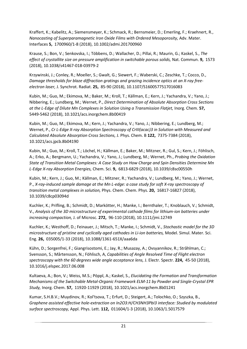Kraffert, K.; Kabelitz, A.; Siemensmeyer, K.; Schmack, R.; Bernsmeier, D.; Emerling, F.; Kraehnert, R., *Nanocasting of Superparamagnetic Iron Oxide Films with Ordered Mesoporosity,* Adv. Mater. Interfaces **5,** 1700960/1-8 (2018), 10.1002/admi.201700960

Krause, S.; Bon, V.; Senkovska, I.; Többens, D.; Wallacher, D.; Pillai, R.; Maurin, G.; Kaskel, S., *The effect of crystallite size on pressure amplification in switchable porous solids,* Nat. Commun. **9,** 1573 (2018), 10.1038/s41467-018-03979-2

Krzywinski, J.; Conley, R.; Moeller, S.; Gwalt, G.; Siewert, F.; Waberski, C.; Zeschke, T.; Cocco, D., *Damage thresholds for blaze diffraction gratings and grazing incidence optics at an X-ray freeelectron laser,* J. Synchrot. Radiat. **25,** 85-90 (2018), 10.1107/S1600577517016083

Kubin, M.; Guo, M.; Ekimova, M.; Baker, M.; Kroll, T.; Källman, E.; Kern, J.; Yachandra, V.; Yano, J.; Nibbering, E.; Lundberg, M.; Wernet, P., *Direct Determination of Absolute Absorption Cross Sections at the L-Edge of Dilute Mn Complexes in Solution Using a Transmission Flatjet,* Inorg. Chem. **57,**  5449-5462 (2018), 10.1021/acs.inorgchem.8b00419

Kubin, M.; Guo, M.; Ekimova, M.; Kern, J.; Yachandra, V.; Yano, J.; Nibbering, E.; Lundberg, M.; Wernet, P., *Cr L-Edge X-ray Absorption Spectroscopy of CrIII(acac)3 in Solution with Measured and Calculated Absolute Absorption Cross Sections,* J. Phys. Chem. B **122,** 7375-7384 (2018), 10.1021/acs.jpcb.8b04190

Kubin, M.; Guo, M.; Kroll, T.; Löchel, H.; Källman, E.; Baker, M.; Mitzner, R.; Gul, S.; Kern, J.; Föhlisch, A.; Erko, A.; Bergmann, U.; Yachandra, V.; Yano, J.; Lundberg, M.; Wernet, Ph., *Probing the Oxidation State of Transition Metal Complexes: A Case Study on How Charge and Spin Densities Determine Mn L-Edge X-ray Absorption Energies,* Chem. Sci. **9,** 6813-6829 (2018), 10.1039/c8sc00550h

Kubin, M.; Kern, J.; Guo, M.; Källman, E.; Mitzner, R.; Yachandra, V.; Lundberg, M.; Yano, J.; Wernet, P., *X-ray-induced sample damage at the Mn L-edge: a case study for soft X-ray spectroscopy of transition metal complexes in solution,* Phys. Chem. Chem. Phys. **20,** 16817-16827 (2018), 10.1039/c8cp03094d

Kuchler, K.; Prifling, B.; Schmidt, D.; Markötter, H.; Manke, I.; Bernthaler, T.; Knoblauch, V.; Schmidt, V., *Analysis of the 3D microstructure of experimental cathode films for lithium-ion batteries under increasing compaction,* J. of Microsc. **272,** 96-110 (2018), 10.1111/jmi.12749

Kuchler, K.; Westhoff, D.; Feinauer, J.; Mitsch, T.; Manke, I.; Schmidt, V., *Stochastic model for the 3D microstructure of pristine and cyclically aged cathodes in Li-ion batteries,* Model. Simul. Mater. Sci. Eng. **26,** 035005/1-33 (2018), 10.1088/1361-651X/aaa6da

Kühn, D.; Sorgenfrei, F.; Giangrisostomi, E.; Jay, R.; Musazay, A.; Ovsyannikov, R.; Stråhlman, C.; Svensson, S.; Mårtensson, N.; Föhlisch, A, *Capabilities of Angle Resolved Time of Flight electron spectroscopy with the 60 degrees wide angle acceptance lens,* J. Electr. Spectr. **224,** 45-50 (2018), 10.1016/j.elspec.2017.06.008

Kultaeva, A.; Bon, V.; Weiss, M.S.; Pöppl, A.; Kaskel, S., *Elucidating the Formation and Transformation Mechanisms of the Switchable Metal-Organic Framework ELM-11 by Powder and Single-Crystal EPR Study,* Inorg. Chem. **57,** 11920-11929 (2018), 10.1021/acs.inorgchem.8b01241

Kumar, S.H.B.V.; Muydinov, R.; Kol'tsova, T.; Erfurt, D.; Steigert, A.; Tolochko, O.; Szyszka, B., *Graphene assisted effective hole-extraction on In2O3:H/CH3NH3PbI3 interface: Studied by modulated surface spectroscopy,* Appl. Phys. Lett. **112,** 011604/1-3 (2018), 10.1063/1.5017579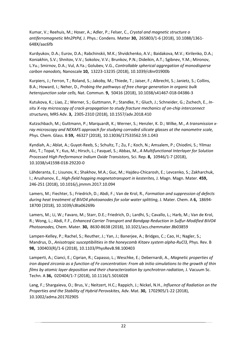Kumar, V.; Reehuis, M.; Hoser, A.; Adler, P.; Felser, C., *Crystal and magnetic structure o antiferromagnetic Mn2PtPd,* J. Phys.: Condens. Matter **30,** 265803/1-6 (2018), 10.1088/1361- 648X/aac6fb

Kurdyukov, D.A.; Eurov, D.A.; Rabchinskii, M.K.; Shvidchenko, A.V.; Baidakova, M.V.; Kirilenko, D.A.; Koniakhin, S.V.; Shnitov, V.V.; Sokolov, V.V.; Brunkov, P.N.; Dideikin, A.T.; Sgibnev, Y.M.; Mironov, L.Yu.; Smirnov, D.A.; Vul, A.Ya.; Golubev, V.G., *Controllable spherical aggregation of monodisperse carbon nanodots,* Nanoscale **10,** 13223-13235 (2018), 10.1039/c8nr01900b

Kurpiers, J.; Ferron, T.; Roland, S.; Jakoby, M.; Thiede, T.; Jaiser, F.; Albrecht, S.; Janietz, S.; Collins, B.A.; Howard, I.; Neher, D., *Probing the pathways of free charge generation in organic bulk heterojunction solar cells,* Nat. Commun. **9,** 50416 (2018), 10.1038/s41467-018-04386-3

Kutukova, K.; Liao, Z.; Werner, S.; Guttmann, P.; Standke, Y.; Gluch, J.; Schneider, G.; Zschech, E., *Insitu X-ray microscopy of crack-propagation to study fracture mechanics of on-chip interconnect structures,* MRS Adv. **3,** 2305-2310 (2018), 10.1557/adv.2018.410

Kutzschbach, M.; Guttmann, P.; Marquardt, K.; Werner, S.; Henzler, K. D.; Wilke, M., *A transmission xray microscopy and NEXAFS approach for studying corroded silicate glasses at the nanometre scale,* Phys. Chem. Glass. B **59,** 46327 (2018), 10.13036/17533562.59.1.043

Kyndiah, A.; Ablat, A.; Guyot-Reeb, S.; Schultz, T.; Zu, F.; Koch, N.; Amsalem, P.; Chiodini, S.; Yilmaz Alic, T.; Topal, Y.; Kus, M.; Hirsch, L.; Fasquel, S.; Abbas, M., *A Multifunctional Interlayer for Solution Processed High Performance Indium Oxide Transistors,* Sci. Rep. **8,** 10946/1-7 (2018), 10.1038/s41598-018-29220-0

Lähderanta, E.; Lisunov, K.; Shakhov, M.A.; Guc, M.; Hajdeu-Chicarosh, E.; Levcenko, S.; Zakharchuk, I.; Arushanov, E., *High-field hopping magnetotransport in kesterites,* J. Magn. Magn. Mater. **459,**  246-251 (2018), 10.1016/j.jmmm.2017.10.094

Lamers, M.; Fiechter, S.; Friedrich, D.; Abdi, F.; Van de Krol, R., *Formation and suppression of defects during heat treatment of BiVO4 photoanodes for solar water splitting,* J. Mater. Chem. A **6,** 18694- 18700 (2018), 10.1039/c8ta06269b

Lamers, M.; Li, W.; Favaro, M.; Starr, D.E.; Friedrich, D.; Lardhi, S.; Cavallo, L.; Harb, M.; Van de Krol, R.; Wong, L.; Abdi, F.F., *Enhanced Carrier Transport and Bandgap Reduction in Sulfur-Modified BiVO4 Photoanodes,* Chem. Mater. **30,** 8630-8638 (2018), 10.1021/acs.chemmater.8b03859

Lampen-Kelley, P.; Rachel, S.; Reuther, J.; Yan, J.; Banerjee, A.; Bridges, C.; Cao, H.; Nagler, S.; Mandrus, D., *Anisotropic susceptibilities in the honeycomb Kitaev system alpha-RuCl3,* Phys. Rev. B **98,** 100403(R)/1-6 (2018), 10.1103/PhysRevB.98.100403

Lamperti, A.; Cianci, E.; Ciprian, R.; Capasso, L.; Weschke, E.; Debernardi, A., *Magnetic properties of iron doped zirconia as a function of Fe concentration: From ab initio simulations to the growth of thin films by atomic layer deposition and their characterization by synchrotron radiation,* J. Vacuum Sc. Techn. A **36,** 02D404/1-7 (2018), 10.1116/1.5016028

Lang, F.; Shargaieva, O.; Brus, V.; Neitzert, H.C.; Rappich, J.; Nickel, N.H., *Influence of Radiation on the Properties and the Stability of Hybrid Perovskites,* Adv. Mat. **30,** 1702905/1-22 (2018), 10.1002/adma.201702905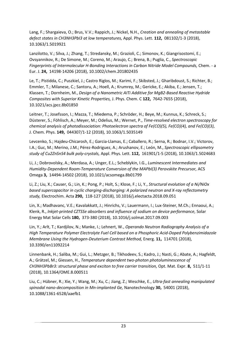Lang, F.; Shargaieva, O.; Brus, V.V.; Rappich, J.; Nickel, N.H., *Creation and annealing of metastable defect states in CH3NH3PbI3 at low temperatures,* Appl. Phys. Lett. **112,** 081102/1-3 (2018), 10.1063/1.5019921

Lanzilotto, V.; Silva, J.; Zhang, T.; Stredansky, M.; Grazioli, C.; Simonov, K.; Giangrisostomi, E.; Ovsyannikov, R.; De Simone, M.; Coreno, M.; Araujo, C.; Brena, B.; Puglia, C., *Spectroscopic Fingerprints of Intermolecular H-Bonding Interactions in Carbon Nitride Model Compounds,* Chem. - a Eur. J. **24,** 14198-14206 (2018), 10.1002/chem.201802435

Le, T.; Pistidda, C.; Puszkiel, J.; Castro Riglos, M.; Karimi, F.; Skibsted, J.; Gharibdoust, S.; Richter, B.; Emmler, T.; Milanese, C.; Santoru, A.; Hoell, A.; Krumrey, M.; Gericke, E.; Akiba, E.; Jensen, T.; Klassen, T.; Dornheim, M., *Design of a Nanometric AITi Additive for MgB2-Based Reactive Hydride Composites with Superior Kinetic Properties,* J. Phys. Chem. C **122,** 7642-7655 (2018), 10.1021/acs.jpcc.8b01850

Leitner, T.; Josefsson, I.; Mazza, T.; Miedema, P.; Schröder, H.; Beye, M.; Kunnus, K.; Schreck, S.; Düsterer, S.; Föhlisch, A.; Meyer, M.; Odelius, M.; Wernet, P., *Time-resolved electron spectroscopy for chemical analysis of photodissociation: Photoelectron spectra of Fe(CO)(5), Fe(CO)(4), and Fe(CO)(3),* J. Chem. Phys. **149,** 044307/1-12 (2018), 10.1063/1.5035149

Levcenko, S.; Hajdeu-Chicarosh, E.; Garcia-Llamas, E.; Caballero, R.; Serna, R.; Bodnar, I.V.; Victorov, I.A.; Guc, M.; Merino, J.M.; Pérez-Rodriguez, A.; Arushanov, E.; León, M., *Spectroscopic ellipsometry study of Cu2ZnSnS4 bulk poly-crystals,* Appl. Phys. Lett. **112,** 161901/1-5 (2018), 10.1063/1.5024683

Li, J.; Dobrovolsky, A.; Merdasa, A.; Unger, E.L.; Scheblykin, I.G., *Luminescent Intermediates and Humidity-Dependent Room-Temperature Conversion of the MAPbI(3) Perovskite Precursor,* ACS Omega **3,** 14494-14502 (2018), 10.1021/acsomega.8b01799

Li, Z.; Liu, X.; Causer, G.; Lin, K.; Pong, P.; Holt, S.; Klose, F.; Li, Y., *Structural evolution of a Ni/NiOx based supercapacitor in cyclic charging-discharging: A polarized neutron and X-ray reflectometry study,* Electrochim. Acta **290,** 118-127 (2018), 10.1016/j.electacta.2018.09.051

Lin, X.; Madhavanc, V.E.; Kavalakkatt, J.; Hinrichs, V.; Lauermann, I.; Lux-Steiner, M.Ch.; Ennaoui, A.; Klenk, R., *Inkjet-printed CZTSSe absorbers and influence of sodium on device performance,* Solar Energy Mat Solar Cells **180,** 373-380 (2018), 10.1016/j.solmat.2017.09.003

Lin, Y.; Arlt, T.; Kardjilov, N.; Manke, I.; Lehnert, W., *Operando Neutron Radiography Analysis of a High Temperature Polymer Electrolyte Fuel Cell based on a Phosphoric Acid-Doped Polybenzimidazole Membrane Using the Hydrogen-Deuterium Contrast Method,* Energ. **11,** 114701 (2018), 10.3390/en11092214

Linnenbank, H.; Saliba, M.; Gui, L.; Metzger, B.; Tikhodeev, S.; Kadro, J.; Nasti, G.; Abate, A.; Hagfeldt, A.; Grätzel, M.; Giessen, H., *Temperature dependent two-photon photoluminescence of CH3NH3PbBr3: structural phase and exciton to free carrier transition,* Opt. Mat. Expr. **8,** 511/1-11 (2018), 10.1364/OME.8.000511

Liu, C.; Hübner, R.; Xie, Y.; Wang, M.; Xu, C.; Jiang, Z.; Weschke, E., *Ultra-fast annealing manipulated spinodal nano-decomposition in Mn-implanted Ge,* Nanotechnology **30,** 54001 (2018), 10.1088/1361-6528/aaefb1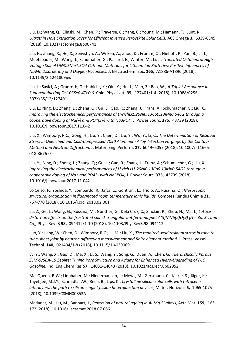Liu, D.; Wang, Q.; Elinski, M.; Chen, P.; Traverse, C.; Yang, C.; Young, M.; Hamann, T.; Lunt, R., *Ultrathin Hole Extraction Layer for Efficient Inverted Perovskite Solar Cells,* ACS Omega **3,** 6339-6345 (2018), 10.1021/acsomega.8b00741

Liu, H.; Zhang, X.; He, X.; Senyshyn, A.; Wilken, A.; Zhou, D.; Fromm, O.; Niehoff, P.; Yan, B.; Li, J.; Muehlbauer, M.; Wang, J.; Schumaher, G.; Paillard, E.; Winter, M.; Li, J., *Truncated Octahedral High-Voltage Spinel LiNi0.5Mn1.5O4 Cathode Materials for Lithium Ion Batteries: Positive Influences of Ni/Mn Disordering and Oxygen Vacancies,* J. Electrochem. Soc. **165,** A1886-A1896 (2018), 10.1149/2.1241809jes

Liu, J.; Savici, A.; Granroth, G.; Habicht, K.; Qiu, Y.; Hu, J.; Mao, Z.; Bao, W., *A Triplet Resonance in Superconducting Fe1.03Se0.4Te0.6,* Chin. Phys. Lett. **35,** 127401/1-4 (2018), 10.1088/0256- 307X/35/12/127401

Liu, L.; Ning, D.; Zheng, L.; Zhang, Q.; Gu, L.; Gao, R.; Zhang, J.; Franz, A.; Schumacher, G.; Liu, X., *Improving the electrochemical performances of Li-richLi1.20Ni0.13Co0.13Mn0.54O2 through a cooperative doping of Na(+) and PO4(3+) with Na3PO4,* J. Power Sourc. **375,** 43739 (2018), 10.1016/j.jpowsour.2017.11.042

Liu, X.; Wimpory, R.C.; Gong, H.; Liu, Y.; Chen, D.; Liu, Y.; Wu, Y.; Li, C., *The Determination of Residual Stress in Quenched and Cold-Compressed 7050 Aluminum Alloy T-Section Forgings by the Contour Method and Neutron Diffraction,* J. Mater. Eng. Perform. **27,** 6049–6057 (2018), 10.1007/s11665- 018-3676-0

Liu, Y.; Ning, D.; Zheng, L.; Zhang, Q.; Gu, L.; Gao, R.; Zhang, J.; Franz, A.; Schumacher, G.; Liu, X., *Improving the electrochemical performances of Li-rich Li1.20Ni0.13Co0.13Mn0.54O2 through a cooperative doping of Na+ and PO43- with Na3PO4,* J. Power Sourc. **375,** 43739 (2018), 10.1016/j.ipowsour.2017.11.042

Lo Celso, F.; Yoshida, Y.; Lombardo, R.; Jafta, C.; Gontrani, L.; Triolo, A.; Russina, O., *Mesoscopic structural organization in fluorinated room temperature ionic liquids,* Comptes Rendus Chimie **21,**  757-770 (2018), 10.1016/j.crci.2018.02.001

Lu, Z.; Ge, L.; Wang, G.; Russina, M.; Günther, G.; Dela Cruz, C.; Sinclair, R.; Zhou, H.; Ma, J., *Lattice distortion effects on the frustrated spin-1 triangular-antiferromagnet A(3)NiNb(2)O(9) (A = Ba, Sr, and Ca),* Phys. Rev. B **98,** 094412/1-10 (2018), 10.1103/PhysRevB.98.094412

Luo, Y.; Jiang, W.; Chen, D.; Wimpory, R.C.; Li, M.; Liu, X., *The repaired weld residual stress in tube to tube-sheet joint by neutron diffraction measurement and finite element method,* J. Press. Vessel Technol. **140,** 021404/1-8 (2018), 10.1115/1.4039069

Lv, Y.; Wang, X.; Gao, D.; Ma, X.; Li, S.; Wang, Y.; Song, G.; Duan, A.; Chen, G., *Hierarchically Porous ZSM-5/SBA-15 Zeolite: Tuning Pore Structure and Acidity for Enhanced Hydro-Upgrading of FCC Gasoline,* Ind. Eng Chem Res **57,** 14031-14043 (2018), 10.1021/acs.iecr.8b02952

MacQueen, R.W.; Liebhaber, M.; Niederhausen, J.; Mews, M.; Gersmann, C.; Jäckle, S.; Jäger, K.; Tayebjee, M.J.Y.; Schmidt, T.W.; Rech, B.; Lips, K., *Crystalline silicon solar cells with tetracene interlayers: the path to silicon-singlet fission heterojunction devices,* Mater. Horizons **5,** 1065-1075 (2018), 10.1039/C8MH00853A

Madanat, M.; Liu, M.; Banhart, J., *Reversion of natural ageing in Al-Mg-Si alloys,* Acta Mat. **159,** 163- 172 (2018), 10.1016/j.actamat.2018.07.066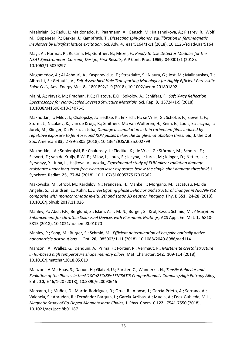Maehrlein, S.; Radu, I.; Maldonado, P.; Paarmann, A.; Gensch, M.; Kalashnikova, A.; Pisarev, R.; Wolf, M.; Oppeneer, P.; Barker, J.; Kampfrath, T., *Dissecting spin-phonon equilibration in ferrimagnetic insulators by ultrafast lattice excitation,* Sci. Adv. **4,** eaar5164/1-11 (2018), 10.1126/sciadv.aar5164

Magi, A.; Harmat, P.; Russina, M.; Günther, G.; Mezei, F., *Ready to Use Detector Modules for the NEAT Spectrometer: Concept, Design, First Results,* AIP Conf. Proc. **1969,** 040001/1 (2018), 10.1063/1.5039297

Magomedov, A.; Al-Ashouri, A.; Kasparavicius, E.; Strazdaite, S.; Niaura, G.; Jost, M.; Malinauskas, T.; Albrecht, S.; Getautis, V., *Self-Assembled Hole Transporting Monolayer for Highly Efficient Perovskite Solar Cells,* Adv. Energy Mat. **8,** 1801892/1-9 (2018), 10.1002/aenm.201801892

Majhi, A.; Nayak, M.; Pradhan, P.C.; Filatova, E.O.; Sokolov, A.; Schäfers, F., *Soft X-ray Reflection Spectroscopy for Nano-Scaled Layered Structure Materials,* Sci. Rep. **8,** 15724/1-9 (2018), 10.1038/s41598-018-34076-5

Makhotkin, I.; Milov, I.; Chalopsky, J.; Tiedtke, K.; Enkisch, H.; se Vries, G.; Scholze, F.; Siewert, F.; Sturm, J.; Nicolaev, K.; van de Kruijs, R.; Smithers, M.; van Wolferen, H.; Keim, E.; Louis, E.; Jacyna, I.; Jurek, M.; Klinger, D.; Pelka, J.; Juha, *Damage accumulation in thin ruthenium films induced by repetitive exposure to femtosecond XUV pulses below the single-shot ablation threshold,* J. the Opt. Soc. America B **35,** 2799-2805 (2018), 10.1364/JOSAB.35.002799

Makhotkin, I.A.; Sobierajski, R.; Chalupsky, J.; Tiedtke, K.; de Vries, G.; Störmer, M.; Scholze, F.; Siewert, F.; van de Kruijs, R.W. E.; Milov, I.; Louis, E.; Jacyna, I.; Jurek, M.; Klinger, D.; Nittler, La.; Syryanyy, Y.; Juha, L.; Hajkova, V.; Vozda,, *Experimental study of EUV mirror radiation damage resistance under long-term free-electron laser exposures below the single-shot damage threshold,* J. Synchrot. Radiat. **25,** 77-84 (2018), 10.1107/S1600577517017362

Makowska, M.; Strobl, M.; Kardjilov, N.; Frandsen, H.; Manke, I.; Morgano, M.; Lacatusu, M.; de Angelis, S.; Lauridsen, E.; Kuhn, L., *Investigating phase behavior and structural changes in NiO/Ni-YSZ composite with monochromatic in-situ 2D and static 3D neutron imaging,* Phy. B **551,** 24-28 (2018), 10.1016/j.physb.2017.11.026

Manley, P.; Abdi, F.F.; Berglund, S.; Islam, A. T. M. N.; Burger, S.; Krol, R.v.d.; Schmid, M., *Absorption Enhancement for Ultrathin Solar Fuel Devices with Plasmonic Gratings,* ACS Appl. En. Mat. **1,** 5810- 5815 (2018), 10.1021/acsaem.8b01070

Manley, P.; Song, M.; Burger, S.; Schmid, M., *Efficient determination of bespoke optically active nanoparticle distributions,* J. Opt. **20,** 085003/1-11 (2018), 10.1088/2040-8986/aad114

Manzoni, A.; Wallez, G.; Denquin, A.; Prima, F.; Portier, R.; Vermaut, P., *Martensite crystal structure in Ru-based high temperature shape memory alloys,* Mat. Character. **142,** 109-114 (2018), 10.1016/j.matchar.2018.05.019

Manzoni, A.M.; Haas, S.; Daoud, H.; Glatzel, U.; Förster, C.; Wanderka, N., *Tensile Behavior and Evolution of the Phases in theAl10Co25Cr8Fe15Ni36Ti6 Compositionally Complex/High Entropy Alloy,* Entr. **20,** 646/1-20 (2018), 10.3390/e20090646

Marcano, L.; Muñoz, D.; Martín-Rodríguez, R.; Orue, R.; Alonso, J.; García-Prieto, A.; Serrano, A.; Valencia, S.; Abrudan, R.; Fernández Barquín, L.; García-Arribas, A.; Muela, A.; Fdez-Gubieda, M.L., *Magnetic Study of Co-Doped Magnetosome Chains,* J. Phys. Chem. C **122,** 7541-7550 (2018), 10.1021/acs.jpcc.8b01187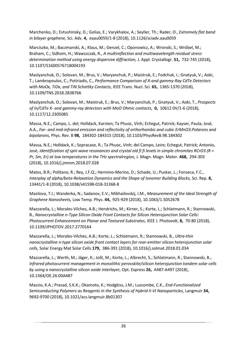Marchenko, D.; Evtushinsky, D.; Golias, E.; Varykhalov, A.; Seyller, Th.; Rader, O., *Extremely flat band in bilayer graphene,* Sci. Adv. **4,** eaau0059/1-8 (2018), 10.1126/sciadv.aau0059

Marciszko, M.; Baczmanski, A.; Klaus, M.; Genzel, C.; Oponowicz, A.; Wronski, S.; Wróbel, M.; Braham, C.; Sidhom, H.; Wawszczak, R., *A multireflection and multiwavelength residual stress determination method using energy dispersive diffraction,* J. Appl. Crystallogr. **51,** 732-745 (2018), 10.1107/S1600576718004193

Maslyanchuk, O.; Solovan, M.; Brus, V.; Maryanchuk, P.; Maistruk, E.; Fodchuk, I.; Gnatyuk, V.; Aoki, T.; Lambropoulos, C.; Potiriadis, C., *Performance Comparison of X-and gammy-Ray CdTe Detectors with MoOx, TiOx, and TiN Schottky Contacts,* IEEE Trans. Nucl. Sci. **65,** 1365-1370 (2018), 10.1109/TNS.2018.2838766

Maslyanchuk, O.; Solovan, M.; Maistruk, E.; Brus, V.; Maryanchuk, P.; Gnatyuk, V.; Aoki, T., *Prospects of In/CdTe X- and gammy-ray detectors with MoO Ohmic contacts,* **0,** 10612 0V/1-6 (2018), 10.1117/12.2305085

Massa, N.E.; Campo, L. del; Holldack, Karsten; Ta Phuoc, Vinh; Echegut, Patrick; Kayser, Paula; José, A.A., *Far- and mid-infrared emission and reflectivity of orthorhombic and cubic ErMnO3:Polarons and bipolarons,* Phys. Rev. B **98,** 184302-184315 (2018), 10.1103/PhysRevB.98.184302

Massa, N.E.; Holldack, K.; Sopracase, R.; Ta Phuoc, Vinh; del Campo, Leire; Echegut, Patrick; Antonio, José, *Identification of spin wave resonances and crystal eld fi fi levels in simple chromites RCrO3 (R = Pr, Sm, Er) at low temperatures in the THz spectralregion,* J. Magn. Magn. Mater. **468,** 294-303 (2018), 10.1016/j.jmmm.2018.07.028

Matos, B.R.; Politano, R.; Rey, J.F.Q.; Hermino-Merino, D.; Schade, U.; Puskar, L.; Fonseca, F.C., *Interplay of alpha/beta-Relaxation Dynamics and the Shape of Ionomer Building Blocks,* Sci. Rep. **8,**  13441/1-8 (2018), 10.1038/s41598-018-31368-8

Mazilova, T.I.; Wanderka, N.; Sadanov, E.V.; Mikhailovskij, I.M., *Measurement of the Ideal Strength of Graphene Nanosheets,* Low Temp. Phys. **44,** 925-929 (2018), 10.1063/1.5052678

Mazzarella, L.; Morales-Vilches, A.B.; Hendrichs, M.; Kirner, S.; Korte, L.; Schlatmann, R.; Stannowski, B., *Nanocrystalline n-Type Silicon Oxide Front Contacts for Silicon Heterojunction Solar Cells: Photocurrent Enhancement on Planar and Textured Substrates,* IEEE J. Photovolt, **8,** 70-80 (2018), 10.1109/JPHOTOV.2017.2770164

Mazzarella, L.; Morales-Vilches, A.B.; Korte, L.; Schlatmann, R.; Stannowski, B., *Ultra-thin nanocrystalline n-type silicon oxide front contact layers for rear-emitter silicon heterojunction solar cells,* Solar Energy Mat Solar Cells **179,** 386-391 (2018), 10.1016/j.solmat.2018.01.034

Mazzarella, L.; Werth, M.; Jäger, K.; Jošt, M.; Korte, L.; Albrecht, S.; Schlatmann, R.; Stannowski, B., *Infrared photocurrent management in monolithic perovskite/silicon heterojunction tandem solar cells by using a nanocrystalline silicon oxide interlayer,* Opt. Express **26,** A487-A497 (2018), 10.1364/OE.26.00A487

Mazzio, K.A.; Prasad, S.K.K.; Okamoto, K.; Hodgkiss, J.M.; Luscombe, C.K., *End-Functionalized Semiconducting Polymers as Reagents in the Synthesis of Hybrid II-VI Nanoparticles,* Langmuir **34,**  9692-9700 (2018), 10.1021/acs.langmuir.8b01307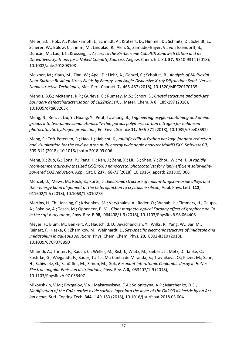Meier, S.C.; Holz, A.; Kulenkampff, J.; Schmidt, A.; Kratzert, D.; Himmel, D.; Schmitz, D.; Scheidt, E.; Scherer, W.; Bülow, C.; Timm, M.; Lindblad, R.; Akin, S.; Zamudio-Bayer, V.; von Issendorff, B.; Duncan, M.; Lau, J.T.; Krossing, I., *Access to the Bis-benzene Cobalt(I) Sandwich Cation and its Derivatives: Synthons for a Naked Cobalt(I) Source?,* Angew. Chem. Int. Ed. **57,** 9310-9314 (2018), 10.1002/anie.201803108

Meixner, M.; Klaus, M.; Zinn, W.; Apel, D.; Liehr, A.; Genzel, C.; Scholtes, B., *Analysis of Multiaxial Near-Surface Residual Stress Fields by Energy- and Angle-Dispersive X-ray Diffraction: Semi- Versus Nondestructive Techniques,* Mat. Perf. Charact. **7,** 465-487 (2018), 10.1520/MPC20170135

Mendis, B.G.; McKenna, K.P.; Gurieva, G.; Rumsey, M.S.; Schorr, S., *Crystal structure and anti-site boundary defectcharacterisation of Cu2ZnSnSe4,* J. Mater. Chem. A **6,** 189-197 (2018), 10.1039/c7ta08263k

Meng, N.; Ren, J.; Liu, Y.; Huang, Y.; Petit, T.; Zhang, B., *Engineering oxygen-containing and amino groups into two-dimensional atomically-thin porous polymeric carbon nitrogen for enhanced photocatalytic hydrogen production,* En. Envir. Science **11,** 566-571 (2018), 10.1039/c7ee03592f

Meng, S.; Toft-Petersen, R.; Hao, L.; Habicht, K., *multiflexxlib: A Python package for data reduction and visualization for the cold-neutron multi energy wide angle analyzer MultiFLEXX,* SoftwareX **7,**  309-312 (2018), 10.1016/j.softx.2018.09.006

Meng, X.; Zuo, G.; Zong, P.; Pang, H.; Ren, J.; Zeng, X.; Liu, S.; Shen, Y.; Zhou, W.; Ye, J., *A rapidly room-temperature-synthesized Cd/ZnS:Cu nanocrystal photocatalyst for highly efficient solar-lightpowered CO2 reduction,* Appl. Cat. B **237,** 68-73 (2018), 10.1016/j.apcatb.2018.05.066

Menzel, D.; Mews, M.; Rech, B.; Korte, L., *Electronic structure of indium-tungsten-oxide alloys and their energy band alignment at the heterojunction to crystalline silicon,* Appl. Phys. Lett. **112,**  011602/1-5 (2018), 10.1063/1.5010278

Mertins, H.-Ch.; Jansing, C.; Krivenkov, M.; Varykhalov, A.; Rader, O.; Wahab, H.; Timmers, H.; Gaupp, A.; Sokolov, A.; Tesch, M.; Oppeneer, P. M., *Giant magneto-optical Faraday effect of graphene on Co in the soft x-ray range,* Phys. Rev. B **98,** 064408/1-9 (2018), 10.1103/PhysRevB.98.064408

Meyer, F.; Blum, M.; Benkert, A.; Hauschild, D.; Jeyachandran, Y.; Wilks, R.; Yang, W.; Bär, M.; Reinert, F.; Heske, C.; Zharnikov, M.; Weinhardt, L., *Site-specific electronic structure of imidazole and imidazolium in aqueous solutions,* Phys. Chem. Chem. Phys. **20,** 8302-8310 (2018), 10.1039/C7CP07885D

Mhamdi, A.; Trinter, F.; Rauch, C.; Weller, M.; Rist, J.; Waitz, M.; Siebert, J.; Metz, D.; Janke, C.; Kastirke, G.; Wiegandt, F.; Bauer, T.; Tia, M.; Cunha de Miranda, B.; Travnikova, O.; Pitzer, M.; Sann, H.; Schiwietz, G.; Schöffler, M.; Simon, M.; Gok, *Resonant interatomic Coulombic decay in HeNe: Electron angular Emission distributions,* Phys. Rev. A **0,** 053407/1-9 (2018), 10.1103/PhysRevA.97.053407

Mikoushkin, V.M.; Bryzgalov, V.V.; Makarevskaya, E.A.; Solonitsyna, A.P.; Marchenko, D.E., *Modification of the GaAs native oxide surface layer into the layer of the Ga2O3 dielectric by an Ar+ ion beam,* Surf. Coating Tech. **344,** 149-153 (2018), 10.1016/j.surfcoat.2018.03.004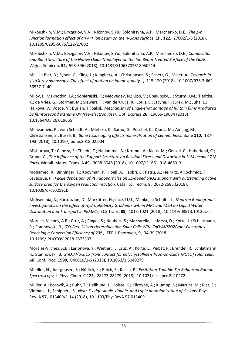Mikoushkin, V.M.; Bryzgalov, V.V.; Nikonov, S.Yu.; Solonitsyna, A.P.; Marchenko, D.E., *The p-n junction formation effect of an Ar+ ion beam on the n-GaAs surface,* EPL **122,** 27002/1-5 (2018), 10.1209/0295-5075/122/27002

Mikoushkin, V.M.; Bryzgalov, V.V.; Nikonov, S.Yu.; Solonitsyna, A.P.; Marchenko, D.E., *Composition and Band Structure of the Native Oxide Nanolayer on the Ion Beam Treated Surface of the GaAs Wafer,* Semicon. **52,** 593-596 (2018), 10.1134/S1063782618050214

Mill, L.; Bier, B.; Syben, C.; Kling, L.; Klingberg, A.; Christiansen, S.; Schett, G.; Maier, A., *Towards invivo X-ray nanoscopy: The effect of motion on image quality,* **,** 115-120 (2018), 10.1007/978-3-662- 56537-7\_40

Milov, I.; Makhotkin, I.A.; Sobierajski, R.; Medvedev, N.; Lipp, V.; Chalupsky, J.; Sturm, J.M.; Tiedtke, K.; de Vries, G.; Störmer, M.; Siewert, F.; van de Kruijs, R.; Louis, E.; Jacyna, I.; Jurek, M.; Juha, L.; Hajkova, V.; Vozda, V.; Burian, T.; Saksl,, *Mechanism of single-shot damage of Ru thin films irradiated by femtosecond extreme UV free-electron laser,* Opt. Express **26,** 19665-19684 (2018), 10.1364/OE.26.019665

Milovanovic, P.; vom Scheidt, A.; Mletzko, K.; Sarau, G.; Püschel, K.; Djuric, M.; Amling, M.; Christiansen, S.; Busse, B., *Bone tissue aging affects mineralization of cement lines,* Bone **110,** 187- 193 (2018), 10.1016/j.bone.2018.02.004

Mishurova, T.; Cabeza, S.; Thiede, T.; Nadammal, N.; Kromm, A.; Klaus, M.; Genzel, C.; Haberland, C.; Bruno, G., *The Influence of the Support Structure on Residual Stress and Distortion in SLM Inconel 718 Parts,* Metall. Mater. Trans. A **49,** 3038-3046 (2018), 10.1007/s11661-018-4653-9

Mohamed, R.; Binninger, T.; Kooyman, P.; Hoell, A.; Fabbri, E.; Patru, A.; Heinritz, A.; Schmidt, T.; Levecque, P., *Facile deposition of Pt nanoparticles on Sb-doped SnO2 support with outstanding active surface area for the oxygen reduction reaction,* Catal. Sc. Techn. **8,** 2672-2685 (2018), 10.1039/c7cy02591b

Mohseninia, A.; Kartouzian, D.; Markötter, H.; Ince, U.U.; Manke, I.; Scholta, J., *Neutron Radiographic Investigations on the Effect of Hydrophobicity Gradients within MPL and MEA on Liquid Water Distribution and Transport in PEMFCs,* ECS Trans. **85,** 1013-1021 (2018), 10.1149/08513.1013ecst

Morales-Vilches, A.B.; Cruz, A.; Pingel, S.; Neubert, S.; Mazzarella, L.; Meza, D.; Korte, L.; Schlatmann, R.; Stannowski, B., *ITO-Free Silicon Heterojunction Solar Cells With ZnO:Al/SiO2Front Electrodes Reaching a Conversion Efficiency of 23%,* IEEE J. Photovolt, **9,** 34-39 (2018), 10.1109/JPHOTOV.2018.2873307

Morales-Vilches, A.B.; Larionova, Y.; Wietler, T.; Cruz, A.; Korte, L.; Peibst, R.; Brendel, R.; Schlatmann, R.; Stannowski, B., *ZnO:Al/a-SiOx front contact for polycrystalline-silicon-on-oxide (POLO) solar cells,* AIP Conf. Proc. **1999,** 040016/1-6 (2018), 10.1063/1.5049279

Mueller, N.; Juergensen, S.; Höflich, K.; Reich, S.; Kusch, P., *Excitation-Tunable Tip-Enhanced Raman Spectroscopy,* J. Phys. Chem. C **122,** 28273-28279 (2018), 10.1021/acs.jpcc.8b10272

Müller, A.; Borovik, A.; Buhr, T.; Hellhund, J.; Holste, K.; Kilcoyne, A.; Klumpp, S.; Martins, M.; Ricz, S.; Viefhaus, J.; Schippers, S., *Near-K-edge single, double, and triple photoionization of C+ ions,* Phys. Rev. A **97,** 013409/1-14 (2018), 10.1103/PhysRevA.97.013409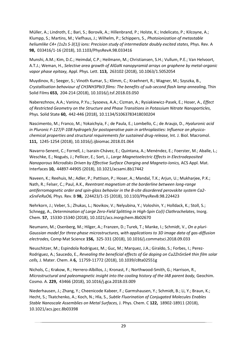Müller, A.; Lindroth, E.; Bari, S.; Borovik, A.; Hillenbrand, P.; Holste, K.; Indelicato, P.; Kilcoyne, A.; Klumpp, S.; Martins, M.; Viefhaus, J.; Wilhelm, P.; Schippers, S., *Photoionization of metastable heliumlike C4+ (1s2s S-3(1)) ions: Precision study of intermediate doubly excited states,* Phys. Rev. A **98,** 033416/1-16 (2018), 10.1103/PhysRevA.98.033416

Munshi, A.M.; Kim, D.C.; Heimdal, C.P.; Heilmann, M.; Christiansen, S.H.; Vullum, P.E.; Van Helvoort, A.T.J.; Weman, H., *Selective area growth of AlGaN nanopyramid arrays on graphene by metal-organic vapor phase epitaxy,* Appl. Phys. Lett. **113,** 263102 (2018), 10.1063/1.5052054

Muydinov, R.; Seeger, S.; Vinoth Kumar, S.; Klimm, C.; Kraehnert, R.; Wagner, M.; Szyszka, B., *Crystallisation behaviour of CH3NH3PbI3 films: The benefits of sub-second flash lamp annealing,* Thin Solid Films **653,** 204-214 (2018), 10.1016/j.tsf.2018.03.050

Naberezhnov, A.A.; Vanina, P.Yu.; Sysoeva, A.A.; Cizman, A.; Rysiakiewicz-Pasek, E.; Hoser, A., *Effect of Restricted Geometry on the Structure and Phase Transitions in Potassium Nitrate Nanoparticles,* Phys. Solid State **60,** 442-446 (2018), 10.1134/S1063783418030204

Nascimento, M.; Franco, M.; Yokaichyia, F.; de Paula, E.; Lombello, C.; de Araujo, D., *Hyaluronic acid in Pluronic F-127/F-108 hydrogels for postoperative pain in arthroplasties: Influence on physicochemical properties and structural requirements for sustained drug-release,* Int. J. Biol. Macromol. **111,** 1245-1254 (2018), 10.1016/j.ijbiomac.2018.01.064

Navarro-Senent, C.; Fornell, J.; Isarain-Chávez, E.; Quintana, A.; Menéndez, E.; Foerster, M.; Aballe, L.; Weschke, E.; Nogués, J.; Pellicer, E.; Sort, J., *Large Magnetoelectric Effects in Electrodeposited Nanoporous Microdisks Driven by Effective Surface Charging and Magneto-Ionics,* ACS Appl. Mat. Interfaces **10,** 44897-44905 (2018), 10.1021/acsami.8b17442

Naveen, K.; Reehuis, M.; Adler, P.; Pattison, P.; Hoser, A.; Mandal, T.K.; Arjun, U.; Mukharjee, P.K.; Nath, R.; Felser, C.; Paul, A.K., *Reentrant magnetism at the borderline between long-range antiferromagnetic order and spin-glass behavior in the B-site disordered perovskite system Ca2 xSrxFeRuO6,* Phys. Rev. B **98,** 224423/1-15 (2018), 10.1103/PhysRevB.98.224423

Nehrkorn, J.; Veber, S.; Zhukas, L.; Novikov, V.; Nelyubina, Y.; Voloshin, Y.; Holldack, K.; Stoll, S.; Schnegg, A., *Determination of Large Zero-Field Splitting in High-Spin Co(I) Clathrochelates,* Inorg. Chem. **57,** 15330-15340 (2018), 10.1021/acs.inorgchem.8b02670

Neumann, M.; Osenberg, M.; Hilger, A.; Franzen, D.; Turek, T.; Manke, I.; Schmidt, V., *On a pluri-Gaussian model for three-phase microstructures, with applications to 3D image data of gas-diffusion electrodes,* Comp Mat Science **156,** 325-331 (2018), 10.1016/j.commatsci.2018.09.033

Neuschitzer, M.; Espindola Rodriguez, M.; Guc, M.; Marquez, J.A.; Giraldo, S.; Forbes, I.; Perez-Rodriguez, A.; Saucedo, E., *Revealing the beneficial effects of Ge doping on Cu2ZnSnSe4 thin film solar cells,* J. Mater. Chem. A **6,** 11759-11772 (2018), 10.1039/c8ta02551g

Nichols, C.; Krakow, R.; Herrero-Albillos, J.; Kronast, F.; Northwood-Smith, G.; Harrison, R., *Microstructural and paleomagnetic insight into the cooling history of the IAB parent body,* Geochim. Cosmo. A. **229,** 43466 (2018), 10.1016/j.gca.2018.03.009

Niederhausen, J.; Zhang, Y.; Cheenicode Kabeer, F.; Garmshausen, Y.; Schmidt, B.; Li, Y.; Braun, K.; Hecht, S.; Tkatchenko, A.; Koch, N.; Hla, S., *Subtle Fluorination of Conjugated Molecules Enables Stable Nanoscale Assemblies on Metal Surfaces,* J. Phys. Chem. C **122,** 18902-18911 (2018), 10.1021/acs.jpcc.8b03398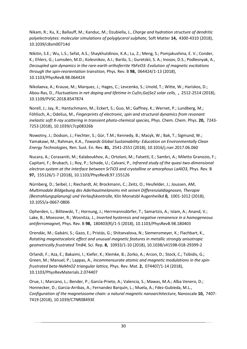Nikam, R.; Xu, X.; Ballauff, M.; Kanduc, M.; Dzubiella, J., *Charge and hydration structure of dendritic polyelectrolytes: molecular simulations of polyglycerol sulphate,* Soft Matter **14,** 4300-4310 (2018), 10.1039/c8sm00714d

Nikitin, S.E.; Wu, L.S.; Sefat, A.S.; Shaykhutdinov, K.A.; Lu, Z.; Meng, S.; Pomjakushina, E. V.; Conder, K.; Ehlers, G.; Lumsden, M.D.; Kolesnikov, A.I.; Barilo, S.; Guretskii, S. A.; Inosov, D.S.; Podlesnyak, A., *Decoupled spin dynamics in the rare-earth orthoferrite YbFeO3: Evolution of magnetic excitations through the spin-reorientation transition,* Phys. Rev. B **98,** 064424/1-13 (2018), 10.1103/PhysRevB.98.064424

Nikolaeva, A.; Krause, M.; Marquez, J.; Hages, C.; Levcenko, S.; Unold, T.; Witte, W.; Hariskos, D.; Abou-Ras, D., *Fluctuations in net doping and lifetime in Cu(In,Ga)Se2 solar cells,* **,** 2512-2514 (2018), 10.1109/PVSC.2018.8547874

Norell, J.; Jay, R.; Hantschmann, M.; Eckert, S.; Guo, M.; Gaffney, K.; Wernet, P.; Lundberg, M.; Föhlisch, A.; Odelius, M., *Fingerprints of electronic, spin and structural dynamics from resonant inelastic soft X-ray scattering in transient photo-chemical species,* Phys. Chem. Chem. Phys. **20,** 7243- 7253 (2018), 10.1039/c7cp08326b

Nowotny, J.; Dodson, J.; Fiechter, S.; Gür, T.M.; Kennedy, B.; Macyk, W.; Bak, T.; Sigmund, W.; Yamakawi, M.; Rahman, K.A., *Towards Global Sustainability: Education on Environmentally Clean Energy Technologies,* Ren. Sust. En. Rev. **81,** 2541-2551 (2018), 10.1016/j.rser.2017.06.060

Nucara, A.; Corasaniti, M.; Kalaboukhov, A.; Ortolani, M.; Falsetti, E.; Sambri, A.; Miletto Granozio, F.; Capitani, F.; Brubach, J.; Roy, P.; Schade, U.; Calvani, P., *Infrared study of the quasi-two-dimensional electron system at the interface between SrTiO3 and crystalline or amorphous LaAlO3,* Phys. Rev. B **97,** 155126/1-7 (2018), 10.1103/PhysRevB.97.155126

Nürnberg, D.; Seibel, I.; Riechardt, AI; Brockmann, C.; Zeitz, O.; Heufelder, J.; Joussen, AM, *Multimodale Bildgebung des Aderhautmelanoms mit seinen Differenzialdiagnosen, Therapie (Bestrahlungsplanung) und Verlaufskontrolle,* Klin Monatsbl Augenheilkd **0,** 1001-1012 (2018), 10.1055/a-0667-0806

Opherden, L.; Bilitewski, T.; Hornung, J.; Herrmannsdörfer, T.; Samartzis, A.; Islam, A.; Anand, V.; Lake, B.; Moessner, R.; Wosnitza, J., *Inverted hysteresis and negative remanence in a homogeneous antiferromagnet,* Phys. Rev. B **98,** 180403(R)/1-5 (2018), 10.1103/PhysRevB.98.180403

Orendác, M.; Gabáni, S.; Gazo, E.; Pristás, G.; Shitsevalova, N.; Siemensmeyer, K.; Flachbart, K., *Rotating magnetocaloric effect and unusual magnetic features in metallic strongly anisotropic geometrically frustrated TmB4,* Sci. Rep. **8,** 10933/1-10 (2018), 10.1038/s41598-018-29399-2

Orlandi, F.; Aza, E.; Bakaimi, I.; Kiefer, K.; Klemke, B.; Zorko, A.; Arcon, D.; Stock, C.; Tsibidis, G.; Green, M.; Manuel, P.; Lappas, A., *Incommensurate atomic and magnetic modulations in the spinfrustrated beta-NaMnO2 triangular lattice,* Phys. Rev. Mat. **2,** 074407/1-14 (2018), 10.1103/PhysRevMaterials.2.074407

Orue, I.; Marcano, L.; Bender, P.; García-Prieto, A.; Valencia, S.; Mawas, M.A.; Alba Venero, D.; Honnecker, D.; Garcia-Arribas, A.; Fernandez Barquín, L.; Muela, A.; Fdez-Gubieda, M.L., *Configuration of the magnetosome chain: a natural magnetic nanoarchitecture,* Nanoscale **10,** 7407- 7419 (2018), 10.1039/C7NR08493E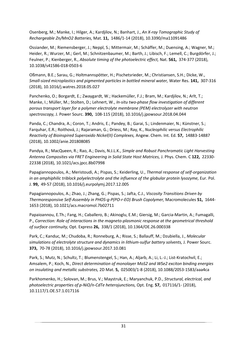Osenberg, M.; Manke, I.; Hilger, A.; Kardjilov, N.; Banhart, J., *An X-ray Tomographic Study of Rechargeable Zn/MnO2 Batteries,* Mat. **11,** 1486/1-14 (2018), 10.3390/ma11091486

Ossiander, M.; Riemensberger, J.; Neppl, S.; Mittermair, M.; Schäffer, M.; Duensing, A.; Wagner, M.; Heider, R.; Wurzer, M.; Gerl, M.; Schnitzenbaumer, M.; Barth, J.; Libisch, F.; Lemell, C.; Burgdörfer, J.; Feulner, P.; Kienberger, R., *Absolute timing of the photoelectric effect,* Nat. **561,** 374-377 (2018), 10.1038/s41586-018-0503-6

Oßmann, B.E.; Sarau, G.; Holtmannspötter, H.; Pischetsrieder, M.; Christiansen, S.H.; Dicke, W., *Small-sized microplastics and pigmented particles in bottled mineral water,* Water Res. **141,** 307-316 (2018), 10.1016/j.watres.2018.05.027

Panchenko, O.; Borgardt, E.; Zwaygardt, W.; Hackemüller, F.J.; Bram, M.; Kardjilov, N.; Arlt, T.; Manke, I.; Müller, M.; Stolten, D.; Lehnert, W., *In-situ two-phase flow investigation of different porous transport layer for a polymer electrolyte membrane (PEM) electrolyzer with neutron spectroscopy,* J. Power Sourc. **390,** 108-115 (2018), 10.1016/j.jpowsour.2018.04.044

Panda, C.; Chandra, A.; Coron, T.; Andris, E.; Pandey, B.; Garai, S.; Lindenmaier, N.; Künstner, S.; Farquhar, E.R.; Roithová, J.; Rajaraman, G.; Driess, M.; Ray, K., *Nucleophilic versus Electrophilic Reactivity of Bioinspired Superoxido Nickel(II) Complexes,* Angew. Chem. Int. Ed. **57,** 14883-14887 (2018), 10.1002/anie.201808085

Pandya, R.; MacQueen, R.; Rao, A.; Davis, N.J.L.K., *Simple and Robust Panchromatic Light Harvesting Antenna Composites via FRET Engineering in Solid State Host Matrices,* J. Phys. Chem. C **122,** 22330- 22338 (2018), 10.1021/acs.jpcc.8b07998

Papagiannopoulos, A.; Meristoudi, A.; Pispas, S.; Keiderling, U., *Thermal response of self-organization in an amphiphilic triblock polyelectrolyte and the influence of the globular protein lysozyme,* Eur. Pol. J. **99,** 49-57 (2018), 10.1016/j.eurpolymj.2017.12.005

Papagiannopoulos, A.; Zhao, J.; Zhang, G.; Pispas, S.; Jafta, C.J., *Viscosity Transitions Driven by Thermoresponsive Self-Assembly in PHOS-g-P(PO-r-EO) Brush Copolymer,* Macromolecules **51,** 1644- 1653 (2018), 10.1021/acs.macromol.7b02711

Papaioannou, E.Th.; Fang, H.; Caballero, B.; Akinoglu, E.M.; Giersig, M.; Garcia-Martin, A.; Fumagalli, P., *Correction: Role of interactions in the magneto-plasmonic response at the geometrical threshold of surface continuity,* Opt. Express **26,** 338/1 (2018), 10.1364/OE.26.000338

Park, C.; Kanduc, M.; Chudoba, R.; Ronneburg, A.; Risse, S.; Ballauff, M.; Dzubiella, J., *Molecular simulations of electrolyte structure and dynamics in lithium-sulfur battery solvents,* J. Power Sourc. **373,** 70-78 (2018), 10.1016/j.jpowsour.2017.10.081

Park, S.; Mutz, N.; Schultz, T.; Blumenstengel, S.; Han, A.; Aljarb, A.; Li, L.-J.; List-Kratochvil, E.; Amsalem, P.; Koch, N., *Direct determination of monolayer MoS2 and WSe2 exciton binding energies on insulating and metallic substrates,* 2D Mat. **5,** 025003/1-8 (2018), 10.1088/2053-1583/aaa4ca

Parkhomenko, H.; Solovan, M.; Brus, V.; Maystruk, E.; Maryanchuk, P.D., *Structural, electrical, and photoelectric properties of p-NiO/n-CdTe heterojunctions,* Opt. Eng. **57,** 017116/1- (2018), 10.1117/1.OE.57.1.017116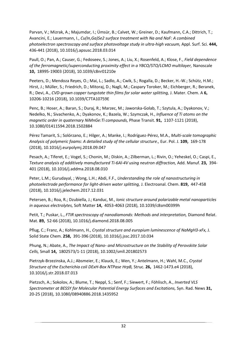Parvan, V.; Mizrak, A.; Majumdar, I.; Ümsür, B.; Calvet, W.; Greiner, D.; Kaufmann, C.A.; Dittrich, T.; Avancini, E.; Lauermann, I., *Cu(In,Ga)Se2 surface treatment with Na and NaF: A combined photoelectron spectroscopy and surface photovoltage study in ultra-high vacuum,* Appl. Surf. Sci. **444,**  436-441 (2018), 10.1016/j.apsusc.2018.03.014

Paull, O.; Pan, A.; Causer, G.; Fedoseev, S.; Jones, A.; Liu, X.; Rosenfeld, A.; Klose, F., *Field dependence of the ferromagnetic/superconducting proximity effect in a YBCO/STO/LCMO multilayer,* Nanoscale **10,** 18995-19003 (2018), 10.1039/c8nr01210e

Peeters, D.; Mendoza Reyes, O.; Mai, L.; Sadlo, A.; Cwik, S.; Rogalla, D.; Becker, H.-W.; Schütz, H.M.; Hirst, J.; Müller, S.; Friedrich, D.; Mitoraj, D.; Nagli, M.; Caspary Toroker, M.; Eichberger, R.; Beranek, R.; Devi, A., *CVD-grown copper tungstate thin films for solar water splitting,* J. Mater. Chem. A **6,**  10206-10216 (2018), 10.1039/C7TA10759E

Penc, B.; Hoser, A.; Baran, S.; Duraj, R.; Marzec, M.; Jaworska-Golab, T.; Szytula, A.; Dyakonov, V.; Nedelko, N.; Sivachenko, A.; Dyakonov, K.; Bazela, W.; Szymczak, H., *Influence of Ti atoms on the magnetic order in quaternary NiMnGe:Ti compounds,* Phase Transit. **91,** 1107-1121 (2018), 10.1080/01411594.2018.1502884

Pérez Tamarit, S.; Solórzano, E.; Hilger, A.; Manke, I.; Rodríguez-Pérez, M.A., *Multi-scale tomographic Analysis of polymeric foams: A detailed study of the cellular structure.,* Eur. Pol. J. **109,** 169-178 (2018), 10.1016/j.eurpolymj.2018.09.047

Pesach, A.; Tiferet, E.; Vogel, S.; Chonin, M.; Diskin, A.; Zilberman, L.; Rivin, O.; Yeheskel, O.; Caspi, E., *Texture analysis of additively manufactured Ti-6Al-4V using neutron diffraction,* Add. Manuf. **23,** 394- 401 (2018), 10.1016/j.addma.2018.08.010

Peter, L.M.; Gurudayal, ; Wong, L.H.; Abdi, F.F., *Understanding the role of nanostructuring in photoelectrode performance for light-driven water splitting,* J. Electroanal. Chem. **819,** 447-458 (2018), 10.1016/j.jelechem.2017.12.031

Petersen, B.; Roa, R.; Dzubiella, J.; Kanduc, M., *Ionic structure around polarizable metal nanoparticles in aqueous electrolytes,* Soft Matter **14,** 4053-4063 (2018), 10.1039/c8sm00399h

Petit, T.; Puskar, L., *FTIR spectroscopy of nanodiamonds: Methods and interpretation,* Diamond Relat. Mat. **89,** 52-66 (2018), 10.1016/j.diamond.2018.08.005

Pflug, C.; Franz, A.; Kohlmann, H., *Crystal structure and europium luminescence of NaMgH3-xFx,* J. Solid State Chem. **258,** 391-396 (2018), 10.1016/j.jssc.2017.10.034

Phung, N.; Abate, A., *The Impact of Nano- and Microstructure on the Stability of Perovskite Solar Cells,* Small **14,** 1802573/1-11 (2018), 10.1002/smll.201802573

Pietrzyk-Brzezinska, A.J.; Absmeier, E.; Klauck, E.; Wen, Y.; Antelmann, H.; Wahl, M.C., *Crystal Structure of the Escherichia coli DExH-Box NTPase HrpB,* Struc. **26,** 1462-1473.e4 (2018), 10.1016/j.str.2018.07.013

Pietzsch, A.; Sokolov, A.; Blume, T.; Neppl, S.; Senf, F.; Siewert, F.; Föhlisch, A., *Inverted VLS Spectrometer at BESSY for Molecular Potential Energy Surfaces and Excitations,* Syn. Rad. News **31,**  20-25 (2018), 10.1080/08940886.2018.1435952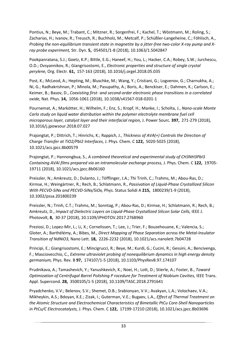Pontius, N.; Beye, M.; Trabant, C.; Mitzner, R.; Sorgenfrei, F.; Kachel, T.; Wöstmann, M.; Roling, S.; Zacharias, H.; Ivanov, R.; Treusch, R.; Buchholz, M.; Metcalf, P.; Schüßler-Langeheine, C.; Föhlisch, A., *Probing the non-equilibrium transient state in magnetite by a jitter-free two-color X-ray pump and Xray probe experiment,* Str. Dyn. **5,** 054501/1-8 (2018), 10.1063/1.5042847

Pookpanratana, S.J.; Goetz, K.P.; Bittle, E.G.; Haneef, H.; You, L.; Hacker, C.A.; Robey, S.W.; Jurchescu, O.D.; Ovsyannikov, R.; Giangrisostomi, E., *Electronic properties and structure of single crystal perylene,* Org. Electr. **61,** 157-163 (2018), 10.1016/j.orgel.2018.05.035

Post, K.; McLeod, A.; Hepting, M.; Bluschke, M.; Wang, Y.; Cristiani, G.; Logvenov, G.; Charnukha, A.; Ni, G.; Radhakrishnan, P.; Minola, M.; Pasupathy, A.; Boris, A.; Benckiser, E.; Dahmen, K.; Carlson, E.; Keimer, B.; Basov, D., *Coexisting first- and second-order electronic phase transitions in a correlated oxide,* Nat. Phys. **14,** 1056-1061 (2018), 10.1038/s41567-018-0201-1

Pournemat, A.; Markötter, H.; Wilhelm, F.; Enz, S.; Kropf, H.; Manke, I.; Scholta, J., *Nano-scale Monte Carlo study on liquid water distribution within the polymer electrolyte membrane fuel cell microporous layer, catalyst layer and their interfacial region,* J. Power Sourc. **397,** 271-279 (2018), 10.1016/j.jpowsour.2018.07.027

Prajongtat, P.; Dittrich, T.; Hinrichs, K.; Rappich, J., *Thickness of AVA(+) Controls the Direction of Charge Transfer at TiO2/PbI2 Interfaces,* J. Phys. Chem. C **122,** 5020-5025 (2018), 10.1021/acs.jpcc.8b00579

Prajongtat, P.; Hannongbua, S., *A combined theoretical and experimental study of CH3NH3PbI3 Containing AVAI films prepared via an intramolecular exchange process,* J. Phys. Chem. C **122,** 19705- 19711 (2018), 10.1021/acs.jpcc.8b06160

Preissler, N.; Amkreutz, D.; Dulanto, J.; Töfflinger, J.A.; Thi Trinh, C.; Trahms, M.; Abou-Ras, D.; Kirmse, H.; Weingärtner, R.; Rech, B.; Schlatmann, R., *Passivation of Liquid-Phase Crystallized Silicon With PECVD-SiNx and PECVD-SiNx/SiOx,* Phys. Status Solidi A **215,** 1800239/1-9 (2018), 10.1002/pssa.201800239

Preissler, N.; Trinh, C.T.; Trahms, M.; Sonntag, P.; Abou-Ras, D.; Kirmse, H.; Schlatmann, R.; Rech, B.; Amkreutz, D., *Impact of Dielectric Layers on Liquid-Phase Crystallized Silicon Solar Cells,* IEEE J. Photovolt, **8,** 30-37 (2018), 10.1109/JPHOTOV.2017.2768960

Preziosi, D.; Lopez-Mir, L.; Li, X.; Cornelissen, T.; Lee, J.; Trier, F.; Bouzehouane, K.; Valencia, S.; Gloter, A.; Barthélémy, A.; Bibes, M., *Direct Mapping of Phase Separation across the Metal-Insulator Transition of NdNiO3,* Nano Lett. **18,** 2226-2232 (2018), 10.1021/acs.nanolett.7b04728

Principi, E.; Giangrisostomi, E.; Mincigrucci, R.; Beye, M.; Kurdi, G.; Cucini, R.; Gessini, A.; Bencivenga, F.; Masciovecchio, C., *Extreme ultraviolet probing of nonequilibrium dynamics in high energy density germanium,* Phys. Rev. B **97,** 174107/1-5 (2018), 10.1103/PhysRevB.97.174107

Prudnikava, A.; Tamashevich, Y.; Yanushkevich, K.; Noei, H.; Lott, D.; Stierle, A.; Foster, B., *Toward Optimization of Centrifugal Barrel Polishing P rocedure for Treatment of Niobium Cavities,* IEEE Trans. Appl. Supercond. **28,** 3500105/1-5 (2018), 10.1109/TASC.2018.2791641

Pryadchenko, V.V.; Belenov, S.V.; Shemet, D.B.; Srabionyan, V.V.; Avakyan, L.A.; Volochaev, V.A.; Mikheykin, A.S.; Bdoyan, K.E.; Zizak, I.; Guterman, V.E.; Bugaev, L.A., *Effect of Thermal Treatment on the Atomic Structure and Electrochemical Characteristics of Bimetallic PtCu Core-Shell Nanoparticles in PtCu/C Electrocatalysts,* J. Phys. Chem. C **122,** 17199-17210 (2018), 10.1021/acs.jpcc.8b03696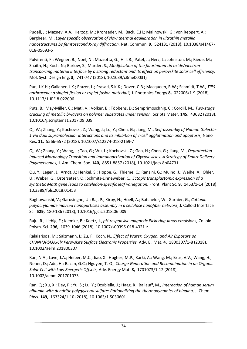Pudell, J.; Maznev, A.A.; Herzog, M.; Kronseder, M.; Back, C.H.; Malinowski, G.; von Reppert, A.; Bargheer, M., *Layer specific observation of slow thermal equilibration in ultrathin metallic nanostructures by femtosecond X-ray diffraction,* Nat. Commun. **9,** 524131 (2018), 10.1038/s41467- 018-05693-5

Pulvirenti, F.; Wegner, B.; Noel, N.; Mazzotta, G.; Hill, R.; Patel, J.; Herz, L.; Johnston, M.; Riede, M.; Snaith, H.; Koch, N.; Barlow, S.; Marder, S., *Modification of the fluorinated tin oxide/electrontransporting material interface by a strong reductant and its effect on perovskite solar cell efficiency,* Mol. Syst. Design Eng. **3,** 741-747 (2018), 10.1039/c8me00031j

Pun, J.K.H.; Gallaher, J.K.; Frazer, L.; Prasad, S.K.K.; Dover, C.B.; Macqueen, R.W.; Schmidt, T.W., *TIPSanthracene: a singlet fission or triplet fusion material?,* J. Photonics Energy **8,** 022006/1-9 (2018), 10.1117/1.JPE.8.022006

Putz, B.; May-Miller, C.; Matl, V.; Völker, B.; Többens, D.; Semprimoschnig, C.; Cordill, M., *Two-stage cracking of metallic bi-layers on polymer substrates under tension,* Scripta Mater. **145,** 43682 (2018), 10.1016/j.scriptamat.2017.09.039

Qi, W.; Zhang, Y.; Kochovski, Z.; Wang, J.; Lu, Y.; Chen, G.; Jiang, M., *Self-assembly of Human Galectin-1 via dual supramolecular interactions and its inhibition of T-cell agglutination and apoptosis,* Nano Res. **11,** 5566-5572 (2018), 10.1007/s12274-018-2169-7

Qi, W.; Zhang, Y.; Wang, J.; Tao, G.; Wu, L.; Kochovski, Z.; Gao, H.; Chen, G.; Jiang, M., *Deprotection-Induced Morphology Transition and Immunoactivation of Glycovesicles: A Strategy of Smart Delivery Polymersomes,* J. Am. Chem. Soc. **140,** 8851-8857 (2018), 10.1021/jacs.8b04731

Qu, Y.; Legen, J.; Arndt, J.; Henkel, S.; Hoppe, G.; Thieme, C.; Ranzini, G.; Muino, J.; Weihe, A.; Ohler, U.; Weber, G.; Ostersetzer, O.; Schmitz-Linneweber, C., *Ectopic transplastomic expression of a synthetic MatK gene leads to cotyledon-specific leaf variegation,* Front. Plant Sc. **9,** 1453/1-14 (2018), 10.3389/fpls.2018.01453

Raghuwanshi, V.; Garusinghe, U.; Raj, P.; Kirby, N.; Hoell, A.; Batchelor, W.; Garnier, G., *Cationic polyacrylamide induced nanoparticles assembly in a cellulose nanofiber network,* J. Colloid Interface Sci. **529,** 180-186 (2018), 10.1016/j.jcis.2018.06.009

Raju, R.; Liebig, F.; Klemke, B.; Koetz, J., *pH-responsive magnetic Pickering Janus emulsions,* Colloid Polym. Sci. **296,** 1039-1046 (2018), 10.1007/s00396-018-4321-z

Ralaiarisoa, M.; Salzmann, I.; Zu, F.; Koch, N., *Effect of Water, Oxygen, and Air Exposure on CH3NH3PbI3¿xClx Perovskite Surface Electronic Properties,* Adv. El. Mat. **4,** 1800307/1-8 (2018), 10.1002/aelm.201800307

Ran, N.A.; Love, J.A.; Heiber, M.C.; Jiao, X.; Hughes, M.P.; Karki, A.; Wang, M.; Brus, V.V.; Wang, H.; Neher, D.; Ade, H.; Bazan, G.C.; Nguyen, T.-Q., *Charge Generation and Recombination in an Organic Solar Cell with Low Energetic Offsets,* Adv. Energy Mat. **8,** 1701073/1-12 (2018), 10.1002/aenm.201701073

Ran, Q.; Xu, X.; Dey, P.; Yu, S.; Lu, Y.; Dzubiella, J.; Haag, R.; Ballauff, M., *Interaction of human serum albumin with dendritic polyglycerol sulfate: Rationalizing the thermodynamics of binding,* J. Chem. Phys. **149,** 163324/1-10 (2018), 10.1063/1.5030601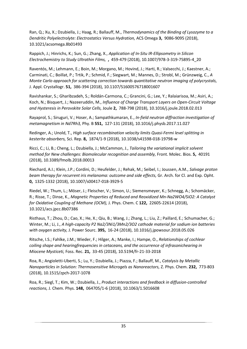Ran, Q.; Xu, X.; Dzubiella, J.; Haag, R.; Ballauff, M., *Thermodynamics of the Binding of Lysozyme to a Dendritic Polyelectrolyte: Electrostatics Versus Hydration,* ACS Omega **3,** 9086-9095 (2018), 10.1021/acsomega.8b01493

Rappich, J.; Hinrichs, K.; Sun, G.; Zhang, X., *Application of In-Situ IR-Ellipsometry in Silicon Electrochemistry to Study Ultrathin Films,* **,** 459-479 (2018), 10.1007/978-3-319-75895-4\_20

Raventós, M.; Lehmann, E.; Boin, M.; Morgano, M.; Hovind, J.; Harti, R.; Valsecchi, J.; Kaestner, A.; Carminati, C.; Boillat, P.; Trtik, P.; Schmid, F.; Siegwart, M.; Mannes, D.; Strobl, M.; Grünzweig, C., *A Monte Carlo approach for scattering correction towards quantitative neutron imaging of polycrystals,* J. Appl. Crystallogr. **51,** 386-394 (2018), 10.1107/S1600576718001607

Ravishankar, S.; Gharibzadeh, S.; Roldán-Carmona, C.; Grancini, G.; Lee, Y.; Ralaiarisoa, M.; Asiri, A.; Koch, N.; Bisquert, J.; Nazeeruddin, M., *Influence of Charge Transport Layers on Open-Circuit Voltage and Hysteresis in Perovskite Solar Cells,* Joule **2,** 788-798 (2018), 10.1016/j.joule.2018.02.013

Rayaprol, S.; Siruguri, V.; Hoser, A.; Sampathkumaran, E., *In-field neutron diffraction investigation of metamagnetism in Nd7Rh3,* Phy. B **551,** 127-131 (2018), 10.1016/j.physb.2017.11.027

Redinger, A.; Unold, T., *High surface recombination velocity limits Quasi-Fermi level splitting in kesterite absorbers,* Sci. Rep. **8,** 1874/1-9 (2018), 10.1038/s41598-018-19798-w

Ricci, C.; Li, B.; Cheng, L.; Dzubiella, J.; McCammon, J., *Tailoring the variational implicit solvent method for New challenges: Biomolecular recognition and assembly,* Front. Molec. Bios. **5,** 40191 (2018), 10.3389/fmolb.2018.00013

Riechard, A.I.; Klein, J.P.; Cordini, D.; Heufelder, J.; Rehak, M.; Seibel, I.; Joussen, A.M., *Salvage proton beam therapy for recurrent iris melanoma: outcome and side effects,* Gr. Arch. for Cl. and Exp. Opht. **0,** 1325-1332 (2018), 10.1007/s00417-018-3929-5

Riedel, W.; Thum, L.; Möser, J.; Fleischer, V.; Simon, U.; Siemensmeyer, K.; Schnegg, A.; Schomäcker, R.; Risse, T.; Dinse, K., *Magnetic Properties of Reduced and Reoxidized Mn-Na2WO4/SiO2: A Catalyst for Oxidative Coupling of Methane (OCM),* J. Phys. Chem. C **122,** 22605-22614 (2018), 10.1021/acs.jpcc.8b07386

Risthaus, T.; Zhou, D.; Cao, X.; He, X.; Qiu, B.; Wang, J.; Zhang, L.; Liu, Z.; Paillard, E.; Schumacher, G.; Winter, M.; Li, J., *A high-capacity P2 Na2/3Ni1/3Mn2/3O2 cathode material for sodium ion batteries with oxygen activity,* J. Power Sourc. **395,** 16-24 (2018), 10.1016/j.jpowsour.2018.05.026

Ritsche, I.S.; Fahlke, J.M.; Wieder, F.; Hilger, A.; Manke, I.; Hampe, O., *Relationships of cochlear coiling shape and hearingfrequencies in cetaceans, and the occurrence of infrasonichearing in Miocene Mysticeti,* Foss. Rec. **21,** 33-45 (2018), 10.5194/fr-21-33-2018

Roa, R.; Angioletti-Uberti, S.; Lu, Y.; Dzubiella, J.; Piazza, F.; Ballauff, M., *Catalysis by Metallic Nanoparticles in Solution: Thermosensitive Microgels as Nanoreactors,* Z. Phys. Chem. **232,** 773-803 (2018), 10.1515/zpch-2017-1078

Roa, R.; Siegl, T.; Kim, W.; Dzubiella, J., *Product interactions and feedback in diffusion-controlled reactions,* J. Chem. Phys. **148,** 064705/1-6 (2018), 10.1063/1.5016608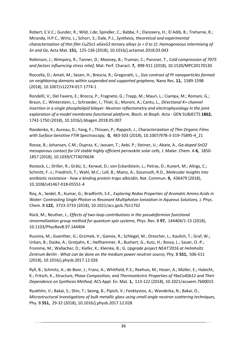Robert, E.V.C.; Gunder, R.; Wild, J.de; Spindler, C.; Babbe, F.; Elanzeery, H.; El Adib, B.; Treharne, R.; Miranda, H.P.C.; Wirtz, L.; Schorr, S.; Dale, P.J., *Synthesis, theoretical and experimental characterisation of thin film Cu2Sn1-xGexS3 ternary alloys (x = 0 to 1): Homogeneous intermixing of Sn and Ge,* Acta Mat. **151,** 125-136 (2018), 10.1016/j.actamat.2018.03.043

Robinson, J.; Wimpory, R.; Tanner, D.; Mooney, B.; Truman, C.; Panzner, T., *Cold compression of 7075 and factors influencing stress relief,* Mat. Perf. Charact. **7,** 898-911 (2018), 10.1520/MPC20170130

Roccella, D.; Amati, M.; Sezen, H.; Brescia, R.; Gregoratti, L., *Size contrast of Pt nanoparticles formed on neighboring domains within suspended and supported graphene,* Nano Res. **11,** 1589-1598 (2018), 10.1007/s12274-017-1774-1

Rondelli, V.; Del Favero, E.; Brocca, P.; Fragneto, G.; Trapp, M.; Mauri, L.; Ciampa, M.; Romani, G.; Braun, C.; Winterstein, L.; Schroeder, I.; Thiel, G.; Moroni, A.; Cantu, L., *Directional K+ channel insertion in a single phospholipid bilayer: Neutron reflectometry and electrophysiology in the joint exploration of a model membrane functional platform,* Bioch. et Bioph. Acta - GEN SUBJECTS **1862,**  1742-1750 (2018), 10.1016/j.bbagen.2018.05.007

Roodenko, K.; Aureau, D.; Yang, F.; Thissen, P.; Rappich, J., *Characterization of Thin Organic Films with Surface-Sensitive FTIR Spectroscopy,* **0,** 483-503 (2018), 10.1007/978-3-319-75895-4\_21

Roose, B.; Johansen, C.M.; Dupraz, K.; Jaouen, T.; Aebi, P.; Steiner, U.; Abate, A., *Ga-doped SnO2 mesoporous contact for UV stable highly efficient perovskite solar cells,* J. Mater. Chem. A **6,** 1850- 1857 (2018), 10.1039/C7TA07663K

Rostock, L.; Driller, R.; Grätz, S.; Kerwat, D.; von Eckardstein, L.; Petras, D.; Kunert, M.; Alings, C.; Schmitt, F.-J.; Friedrich, T.; Wahl, M.C.; Loll, B.; Mainz, A.; Süssmuth, R.D., *Molecular insights into antibiotic resistance - how a binding protein traps albicidin,* Nat. Commun. **9,** 436479 (2018), 10.1038/s41467-018-05551-4

Roy, A.; Seidel, R.; Kumar, G.; Bradforth, S.E., *Exploring Redox Properties of Aromatic Amino Acids in Water: Contrasting Single Photon vs Resonant Multiphoton Ionization in Aqueous Solutions,* J. Phys. Chem. B **122,** 3723-3733 (2018), 10.1021/acs.jpcb.7b11762

Rück, M.; Reuther, J., *Effects of two-loop contributions in the pseudofermion functional renormalization group method for quantum spin systems,* Phys. Rev. B **97,** 144404/1-15 (2018), 10.1103/PhysRevB.97.144404

Russina, M.; Guenther, G.; Grzimek, V.; Gainov, R.; Schlegel, M.; Drescher, L.; Kaulich, T.; Graf, W.; Urban, B.; Daske, A.; Grotjahn, K.; Hellhammer, R.; Buchert, G.; Kutz, H.; Rossa, L.; Sauer, O.-P.; Fromme, M.; Wallacher, D.; Kiefer, K.; Klemke, B.; G, *Upgrade project NEAT'2016 at Helmholtz Zentrum Berlin - What can be done on the medium power neutron source,* Phy. B **551,** 506-511 (2018), 10.1016/j.physb.2017.12.026

Ryll, B.; Schmitz, A.; de Boor, J.; Franz, A.; Whitfield, P.S.; Reehuis, M.; Hoser, A.; Müller, E.; Habicht, K.; Fritsch, K., *Structure, Phase Composition, and Thermoelectric Properties of YbxCo4Sb12 and Their Dependence on Synthesis Method,* ACS Appl. En. Mat. **1,** 113-122 (2018), 10.1021/acsaem.7b00015

Ryukhtin, V.; Bakai, S.; Shin, T.; Seong, B.; Pipich, V.; Feoktystov, A.; Wanderka, N.; Bakai, O., *Microstructural investigations of bulk metallic glass using small-angle neutron scattering techniques,* Phy. B **551,** 29-32 (2018), 10.1016/j.physb.2017.12.028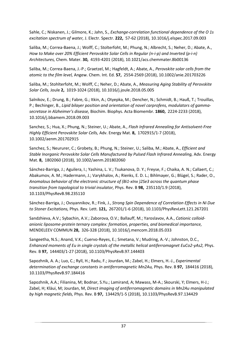Sahle, C.; Niskanen, J.; Gilmore, K.; Jahn, S., *Exchange-correlation functional dependence of the O 1s excitation spectrum of water,* J. Electr. Spectr. **222,** 57-62 (2018), 10.1016/j.elspec.2017.09.003

Saliba, M.; Correa-Baena, J.; Wolff, C.; Stolterfoht, M.; Phung, N.; Albrecht, S.; Neher, D.; Abate, A., *How to Make over 20% Efficient Perovskite Solar Cells in Regular (n-i-p) and Inverted (p-i-n) Architectures,* Chem. Mater. **30,** 4193-4201 (2018), 10.1021/acs.chemmater.8b00136

Saliba, M.; Correa-Baena, J.-P.; Graetzel, M.; Hagfeldt, A.; Abate, A., *Perovskite solar cells from the atomic to the film level,* Angew. Chem. Int. Ed. **57,** 2554-2569 (2018), 10.1002/anie.201703226

Saliba, M.; Stohlterfoht, M.; Wolff, C.; Neher, D.; Abate, A., *Measuring Aging Stability of Perovskite Solar Cells,* Joule **2,** 1019-1024 (2018), 10.1016/j.joule.2018.05.005

Salnikov, E.; Drung, B.; Fabre, G.; Itkin, A.; Otyepka, M.; Dencher, N.; Schmidt, B.; Hauß, T.; Trouillas, P.; Bechinger, B., *Lipid bilayer position and orientation of novel carprofens, modulators of gammasecretase in Alzheimer's disease,* Biochim. Biophys. Acta Biomembr. **1860,** 2224-2233 (2018), 10.1016/j.bbamem.2018.09.003

Sanchez, S.; Hua, X.; Phung, N.; Steiner, U.; Abate, A., *Flash Infrared Annealing for Antisolvent-Free Highly Efficient Perovskite Solar Cells,* Adv. Energy Mat. **8,** 1702915/1-7 (2018), 10.1002/aenm.201702915

Sanchez, S.; Neururer, C.; Grobety, B.; Phung, N.; Steiner, U.; Saliba, M.; Abate, A., *Efficient and Stable Inorganic Perovskite Solar Cells Manufactured by Pulsed Flash Infrared Annealing,* Adv. Energy Mat. **8,** 1802060 (2018), 10.1002/aenm.201802060

Sánchez-Barriga, J.; Aguilera, I.; Yashina, L. V.; Tsukanova, D. Y.; Freyse, F.; Chaika, A. N.; Callaert, C.; Abakumov, A. M.; Hadermann, J.; Varykhalov, A.; Rienks, E. D. L.; Bihlmayer, G.; Blügel, S.; Rader, O., *Anomalous behavior of the electronic structure of (Bi1-xInx )2Se3 across the quantum phase transition from topological to trivial insulator,* Phys. Rev. B **98,** 235110/1.9 (2018), 10.1103/PhysRevB.98.235110

Sánchez-Barriga, J.; Ovsyannikov, R.; Fink, J., *Strong Spin Dependence of Correlation Effects in Ni Due to Stoner Excitations,* Phys. Rev. Lett. **121,** 267201/1-6 (2018), 10.1103/PhysRevLett.121.267201

Sandzhieva, A.V.; Sybachin, A.V.; Zaborova, O.V.; Ballauff, M.; Yaroslavov, A.A., *Cationic colloidanionic liposome-protein ternary complex: formation, properties, and biomedical importance,* MENDELEEV COMMUN **28,** 326-328 (2018), 10.1016/j.mencom.2018.05.033

Sangeetha, N.S.; Anand, V.K.; Cuervo-Reyes, E.; Smetana, V.; Mudring, A.-V.; Johnston, D.C., *Enhanced moments of Eu in single crystals of the metallic helical antiferromagnet EuCo2-yAs2,* Phys. Rev. B **97,** 144403/1-27 (2018), 10.1103/PhysRevB.97.144403

Sapozhnik, A. A.; Luo, C.; Ryll, H.; Radu, F.; Jourdan, M.; Zabel, H.; Elmers, H.-J., *Experimental determination of exchange constants in antiferromagnetic Mn2Au,* Phys. Rev. B **97,** 184416 (2018), 10.1103/PhysRevB.97.184416

Sapozhnik, A.A.; Filianina, M; Bodnar, S.Yu.; Lamirand, A; Mawass, M-A.; Skourski, Y; Elmers, H-J.; Zabel, H; Kläui, M; Jourdan, M, *Direct imaging of antiferromagnetic domains in Mn2Au manipulated by high magnetic fields,* Phys. Rev. B **97,** 134429/1-5 (2018), 10.1103/PhysRevB.97.134429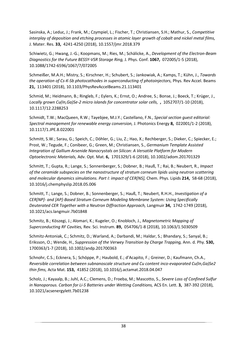Sasinska, A.; Leduc, J.; Frank, M.; Czympiel, L.; Fischer, T.; Christiansen, S.H.; Mathur, S., *Competitive interplay of deposition and etching processes in atomic layer growth of cobalt and nickel metal films,* J. Mater. Res. **33,** 4241-4250 (2018), 10.1557/jmr.2018.379

Schiwietz, G.; Hwang, J.-G.; Koopmans, M.; Ries, M.; Schälicke, A., *Development of the Electron-Beam Diagnostics for the Future BESSY-VSR Storage Ring,* J. Phys. Conf. **1067,** 072005/1-5 (2018), 10.1088/1742-6596/1067/7/072005

Schmeißer, M.A.H.; Mistry, S.; Kirschner, H.; Schubert, S.; Jankowiak, A.; Kamps, T.; Kühn, J., *Towards the operation of Cs-K-Sb photocathodes in superconducting rf photoinjectors,* Phys. Rev Accel. Beams **21,** 113401 (2018), 10.1103/PhysRevAccelBeams.21.113401

Schmid, M.; Heidmann, B.; Ringleb, F.; Eylers, K.; Ernst, O.; Andree, S.; Bonse, J.; Boeck, T.; Krüger, J., *Locally grown Cu(In,Ga)Se-2 micro islands for concentrator solar cells,* **,** 1052707/1-10 (2018), 10.1117/12.2288253

Schmidt, T.W.; MacQueen, R.W.; Tayebjee, M.J.Y.; Castellano, F.N., *Special section guest editorial: Spectral management for renewable energy conversion,* J. Photonics Energy **8,** 022001/1-2 (2018), 10.1117/1.JPE.8.022001

Schmitt, S.W.; Sarau, G.; Speich, C.; Döhler, G.; Liu, Z.; Hao, X.; Rechberger, S.; Dieker, C.; Spiecker, E.; Prost, W.; Tegude, F.; Conibeer, G.; Green, M.; Christiansen, S., *Germanium Template Assisted Integration of Gallium Arsenide Nanocrystals on Silicon: A Versatile Platform for Modern Optoelectronic Materials,* Adv. Opt. Mat. **6,** 1701329/1-6 (2018), 10.1002/adom.201701329

Schmitt, T.; Gupta, R.; Lange, S.; Sonnenberger, S.; Dobner, B.; Hauß, T.; Rai, B.; Neubert, R., *Impact of the ceramide subspecies on the nanostructure of stratum corneum lipids using neutron scattering and molecular dynamics simulations. Part I: impact of CER[NS],* Chem. Phys. Lipids **214,** 58-68 (2018), 10.1016/j.chemphyslip.2018.05.006

Schmitt, T.; Lange, S.; Dobner, B.; Sonnenberger, S.; Hauß, T.; Neubert, R.H.H., *Investigation of a CER[NP]- and [AP]-Based Stratum Corneum Modeling Membrane System: Using Specifically Deuterated CER Together with a Neutron Diffraction Approach,* Langmuir **34,** 1742-1749 (2018), 10.1021/acs.langmuir.7b01848

Schmitz, B.; Köszegi, J.; Alomari, K.; Kugeler, O.; Knobloch, J., *Magnetometric Mapping of Superconducting RF Cavities,* Rev. Sci. Instrum. **89,** 054706/1-8 (2018), 10.1063/1.5030509

Schmitz-Antoniak, C.; Schmitz, D.; Warland, A.; Darbandi, M.; Haldar, S.; Bhandary, S.; Sanyal, B.; Eriksson, O.; Wende, H., *Suppression of the Verwey Transition by Charge Trapping,* Ann. d. Phy. **530,**  1700363/1-7 (2018), 10.1002/andp.201700363

Schnohr, C.S.; Ecknera, S.; Schöppe, P.; Haubold, E.; d'Acapito, F.; Greiner, D.; Kaufmann, Ch.A., *Reversible correlation between subnanoscale structure and Cu content inco-evaporated Cu(In,Ga)Se2 thin fims,* Acta Mat. **153,** 41852 (2018), 10.1016/j.actamat.2018.04.047

Scholz, J.; Kayaalp, B.; Juhl, A.C.; Clemens, D.; Froeba, M.; Mascotto, S., *Severe Loss of Confined Sulfur in Nanoporous. Carbon for Li-S Batteries under Wetting Conditions,* ACS En. Lett. **3,** 387-392 (2018), 10.1021/acsenergylett.7b01238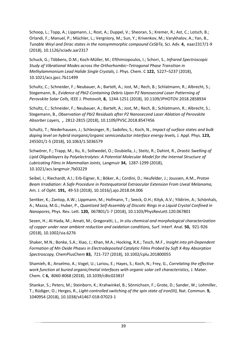Schoop, L.; Topp, A.; Lippmann, J.; Rost, A.; Duppel, V.; Sheoran, S.; Kremer, R.; Ast, C.; Lotsch, B.; Orlandi, F.; Manuel, P.; Müchler, L.; Vergniory, M.; Sun, Y.; Krivenkov, M.; Varykhalov, A.; Yan, B., *Tunable Weyl and Dirac states in the nonsymmorphic compound CeSbTe,* Sci. Adv. **4,** eaar2317/1-9 (2018), 10.1126/sciadv.aar2317

Schuck, G.; Többens, D.M.; Koch-Müller, M.; Efthimiopoulos, I.; Schorr, S., *Infrared Spectroscopic Study of Vibrational Modes across the Orthorhombic–Tetragonal Phase Transition in Methylammonium Lead Halide Single Crystals,* J. Phys. Chem. C **122,** 5227–5237 (2018), 10.1021/acs.jpcc.7b11499

Schultz, C.; Schneider, F.; Neubauer, A.; Bartelt, A.; Jost, M.; Rech, B.; Schlatmann, R.; Albrecht, S.; Stegemann, B., *Evidence of PbI2-Containing Debris Upon P2 Nanosecond Laser Patterning of Perovskite Solar Cells,* IEEE J. Photovolt, **8,** 1244-1251 (2018), 10.1109/JPHOTOV.2018.2858934

Schultz, C.; Schneider, F.; Neubauer, A.; Bartelt, A.; Jost, M.; Rech, B.; Schlatmann, R.; Albrecht, S.; Stegemann, B., *Observation of PbI2 Residuals after P2 Nanosecond Laser Ablation of Perovskite Absorber Layers,* **,** 2812-2815 (2018), 10.1109/PVSC.2018.8547456

Schultz, T.; Niederhausen, J.; Schlesinger, R.; Sadofev, S.; Koch, N., *Impact of surface states and bulk doping level on hybrid inorganic/organic semiconductor interface energy levels,* J. Appl. Phys. **123,**  245501/1-5 (2018), 10.1063/1.5036579

Schwörer, F.; Trapp, M.; Xu, X.; Soltwedel, O.; Dzubiella, J.; Steitz, R.; Dahint, R., *Drastic Swelling of Lipid Oligobilayers by Polyelectrolytes: A Potential Molecular Model for the Internal Structure of Lubricating Films in Mammalian Joints,* Langmuir **34,** 1287-1299 (2018), 10.1021/acs.langmuir.7b03229

Seibel, I.; Riechardt, A.I.; Erb-Eigner, K.; Böker, A.; Cordini, D.; Heufelder, J.; Joussen, A.M., *Proton Beam Irradiation: A Safe Procedure in Postequatorial Extraocular Extension From Uveal Melanoma,* Am. J. of Opht. **191,** 49-53 (2018), 10.1016/j.ajo.2018.04.006

Sentker, K.; Zantop, A.W.; Lippmann, M.; Hofmann, T.; Seeck, O.H.; Kityk, A.V.; Yildirim, A.; Schönhals, A.; Mazza, M.G.; Huber, P., *Quantized Self-Assembly of Discotic Rings in a Liquid Crystal Confined in Nanopores,* Phys. Rev. Lett. **120,** 067801/1-7 (2018), 10.1103/PhysRevLett.120.067801

Sezen, H.; Al-Hada, M.; Amati, M.; Gregoratti, L., *In situ chemical and morphological characterization of copper under near ambient reduction and oxidation conditions,* Surf. Interf. Anal. **50,** 921-926 (2018), 10.1002/sia.6276

Shaker, M.N.; Bonke, S.A.; Xiao, J.; Khan, M.A.; Hocking, R.K.; Tesch, M.F., *Insight into pH-Dependent Formation of Mn Oxide Phases in Electrodeposited Catalytic Films Probed by Soft X-Ray Absorption Spectroscopy,* ChemPlusChem **83,** 721-727 (2018), 10.1002/cplu.201800055

Shamieh, B.; Anselmo, A.; Vogel, U.; Lariou, E.; Hayes, S.; Koch, N.; Frey, G., *Correlating the effective work function at buried organic/metal interfaces with organic solar cell characteristics,* J. Mater. Chem. C **6,** 8060-8068 (2018), 10.1039/c8tc02381f

Shankar, S.; Peters, M.; Steinborn, K.; Krahwinkel, B.; Sönnichsen, F.; Grote, D.; Sander, W.; Lohmiller, T.; Rüdiger, O.; Herges, R., *Light-controlled switching of the spin state of iron(III),* Nat. Commun. **9,**  1040954 (2018), 10.1038/s41467-018-07023-1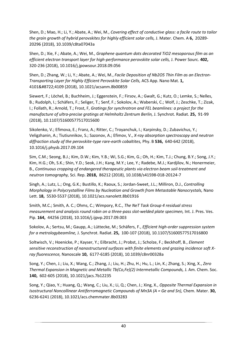Shen, D.; Mao, H.; Li, Y.; Abate, A.; Wei, M., *Covering effect of conductive glass: a facile route to tailor the grain growth of hybrid perovskites for highly efficient solar cells,* J. Mater. Chem. A **6,** 20289- 20296 (2018), 10.1039/c8ta07043a

Shen, D.; Xie, F.; Abate, A.; Wei, M., *Graphene quantum dots decorated TiO2 mesoporous film as an efficient electron transport layer for high-performance perovskite solar cells,* J. Power Sourc. **402,**  320-236 (2018), 10.1016/j.jpowsour.2018.09.056

Shen, D.; Zhang, W.; Li, Y.; Abate, A.; Wei, M., *Facile Deposition of Nb2O5 Thin Film as an Electron-Transporting Layer for Highly Efficient Perovskite Solar Cells,* ACS App. Nano Mat. **1,**  4101−4109 (2018), 10.1021/acsanm.8b00859

Siewert, F.; Löchel, B.; Buchheim, J.; Eggenstein, F.; Firsov, A.; Gwalt, G.; Kutz, O.; Lemke, S.; Nelles, B.; Rudolph, I.; Schäfers, F.; Seliger, T.; Senf, F.; Sokolov, A.; Waberski, C.; Wolf, J.; Zeschke, T.; Zizak, I.; Follath, R.; Arnold, T.; Frost, F, *Gratings for synchrotron and FEL beamlines: a project for the manufacture of ultra-precise gratings at Helmholtz Zentrum Berlin,* J. Synchrot. Radiat. **25,** 91-99 (2018), 10.1107/S1600577517015600

Sikolenko, V.; Efimova, E.; Franz, A.; Ritter, C.; Troyanchuk, I.; Karpinsky, D.; Zubavichus, Y.; Veligzhanin, A.; Tiutiunnikov, S.; Sazonov, A.; Efimov, V., *X-ray absorption spectroscopy and neutron diffraction study of the perovskite-type rare-earth cobaltites,* Phy. B **536,** 640-642 (2018), 10.1016/j.physb.2017.09.104

Sim, C.M.; Seong, B.J.; Kim, D.W.; Kim, Y.B.; Wi, S.G.; Kim, G.; Oh, H.; Kim, T.J.; Chung, B.Y.; Song, J.Y.; Kim, H.G.; Oh, S.K.; Shin, Y.D.; Seok, J.H.; Kang, M.Y.; Lee, Y.; Radebe, M.J.; Kardjilov, N.; Honermeier, B., *Continuous cropping of endangered therapeutic plants via electron beam soil-treatment and neutron tomography,* Sci. Rep. **2018,** 86212 (2018), 10.1038/s41598-018-20124-7

Singh, A.; Lutz, L.; Ong, G.K.; Bustillo, K.; Raoux, S.; Jordan-Sweet, J.L.; Milliron, D.J., *Controlling Morphology in Polycrystalline Films by Nucleation and Growth from Metastable Nanocrystals,* Nano Lett. **18,** 5530-5537 (2018), 10.1021/acs.nanolett.8b01916

Smith, M.C.; Smith, A. C.; Ohms, C.; Wimpory, R.C., *The NeT Task Group 4 residual stress measurement and analysis round robin on a three-pass slot-welded plate specimen,* Int. J. Pres. Ves. Pip. **164,** 44256 (2018), 10.1016/j.ijpvp.2017.09.003

Sokolov, A.; Sertsu, M.; Gaupp, A.; Lüttecke, M.; Schäfers, F., *Efficient high-order suppression system for a metrologybeamline,* J. Synchrot. Radiat. **25,** 100-107 (2018), 10.1107/S1600577517016800

Soltwisch, V.; Hoenicke, P.; Kayser, Y.; Eilbracht, J.; Probst, J.; Scholze, F.; Beckhoff, B., *Element sensitive reconstruction of nanostructured surfaces with finite elements and grazing incidence soft Xray fluorescence,* Nanoscale **10,** 6177-6185 (2018), 10.1039/c8nr00328a

Song, Y.; Chen, J.; Liu, X.; Wang, C.; Zhang, J.; Liu, H.; Zhu, H.; Hu, L.; Lin, K.; Zhang, S.; Xing, X., *Zero Thermal Expansion in Magnetic and Metallic Tb(Co,Fe)(2) Intermetallic Compounds,* J. Am. Chem. Soc. **140,** 602-605 (2018), 10.1021/jacs.7b12235

Song, Y.; Qiao, Y.; Huang, Q.; Wang, C.; Liu, X.; Li, Q.; Chen, J.; Xing, X., *Opposite Thermal Expansion in Isostructural Noncollinear Antiferromagnetic Compounds of Mn3A (A = Ge and Sn),* Chem. Mater. **30,**  6236-6241 (2018), 10.1021/acs.chemmater.8b03283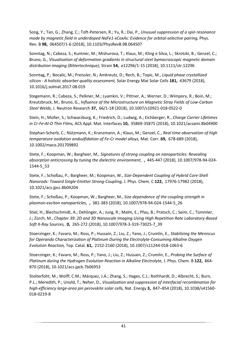Song, Y.; Tan, G.; Zhang, C.; Toft-Petersen, R.; Yu, R.; Dai, P., *Unusual suppression of a spin resonance mode by magnetic field in underdoped NaFe1-xCoxAs: Evidence for orbital-selective pairing,* Phys. Rev. B **98,** 064507/1-6 (2018), 10.1103/PhysRevB.98.064507

Sonntag, N.; Cabeza, S.; Kuntner, M.; Mishurova, T.; Klaus, M.; Kling e Silva, L.; Skrotzki, B.; Genzel, C.; Bruno, G., *Visualisation of deformation gradients in structural steel bymacroscopic magnetic domain distribution imaging (Bittertechnique),* Strain **54,** e12296/1-15 (2018), 10.1111/str.12296

Sonntag, P.; Bocalic, M.; Preissler, N.; Amkreutz, D.; Rech, B.; Topic, M., *Liquid phase crystallized silicon - A holistic absorber quality assessment,* Solar Energy Mat Solar Cells **181,** 43679 (2018), 10.1016/j.solmat.2017.08.019

Stegemann, R.; Cabeza, S.; Pelkner, M.; Lyamkin, V.; Pittner, A.; Werner, D.; Wimpory, R.; Boin, M.; Kreutzbruck, M.; Bruno, G., *Influence of the Microstructure on Magnetic Stray Fields of Low-Carbon Steel Welds,* J. Neutron Research **37,** 66/1-18 (2018), 10.1007/s10921-018-0522-0

Stein, H.; Müller, S.; Schwarzburg, K.; Friedrich, D.; Ludwig, A.; Eichberger, R., *Charge Carrier Lifetimes in Cr-Fe-Al-O Thin Films,* ACS Appl. Mat. Interfaces **10,** 35869-35875 (2018), 10.1021/acsami.8b04900

Stephan-Scherb, C.; Nützmann, K.; Kranzmann, A.; Klaus, M.; Genzel, C., *Real time observation of high temperature oxidation andsulfidation of Fe-Cr model alloys,* Mat. Corr. **69,** 678-689 (2018), 10.1002/maco.201709892

Stete, F.; Koopman, W.; Bargheer, M., *Signatures of strong coupling on nanoparticles: Revealing absorption anticrossing by tuning the dielectric environment,* **,** 445-447 (2018), 10.1007/978-94-024- 1544-5\_53

Stete, F.; Schoßau, P.; Bargheer, M.; Koopman, W., *Size-Dependent Coupling of Hybrid Core-Shell Nanorods: Toward Single-Emitter Strong-Coupling,* J. Phys. Chem. C **122,** 17976-17982 (2018), 10.1021/acs.jpcc.8b04204

Stete, F.; Schoßau, P.; Koopman, W.; Bargheer, M., *Size dependence of the coupling strength in plasmon-exciton nanoparticles,* **,** 381-383 (2018), 10.1007/978-94-024-1544-5\_26

Stiel, H.; Blechschmidt, A.; Dehlinger, A.; Jung, R.; Malm, E.; Pfau, B.; Pratsch, C.; Seim, C.; Tümmler, J.; Zürch, M., *Chapter 39: 2D and 3D Nanoscale Imaging Using High Repetition Rate Laboratory-Based Soft X-Ray Sources,* **0,** 265-272 (2018), 10.1007/978-3-319-73025-7\_39

Stoerzinger, K.; Favaro, M.; Ross, P.; Hussain, Z.; Liu, Z.; Yano, J.; Crumlin, E., *Stabilizing the Meniscus for Operando Characterization of Platinum During the Electrolyte-Consuming Alkaline Oxygen Evolution Reaction,* Top. Catal. **61,** 2152-2160 (2018), 10.1007/s11244-018-1063-6

Stoerzinger, K.; Favaro, M.; Ross, P.; Yano, J.; Liu, Z.; Hussain, Z.; Crumlin, E., *Probing the Surface of Platinum during the Hydrogen Evolution Reaction in Alkaline Electrolyte,* J. Phys. Chem. B **122,** 864- 870 (2018), 10.1021/acs.jpcb.7b06953

Stolterfoht, M.; Wolff, C.M.; Márquez, J.A.; Zhang, S.; Hages, C.J.; Rothhardt, D.; Albrecht, S.; Burn, P.L.; Meredith, P.; Unold, T.; Neher, D., *Visualization and suppression of interfacial recombination for high-efficiency large-area pin perovskite solar cells,* Nat. Energy **3,** 847–854 (2018), 10.1038/s41560- 018-0219-8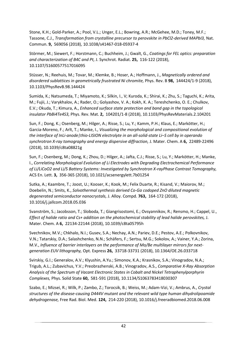Stone, K.H.; Gold-Parker, A.; Pool, V.L.; Unger, E.L.; Bowring, A.R.; McGehee, M.D.; Toney, M.F.; Tassone, C.J., *Transformation from crystalline precursor to perovskite in PbCl2-derived MAPbI3,* Nat. Commun. **9,** 569056 (2018), 10.1038/s41467-018-05937-4

Störmer, M.; Siewert, F.; Horstmann, C.; Buchheim, J.; Gwalt, G., *Coatings for FEL optics: preparation and characterization of B4C and Pt,* J. Synchrot. Radiat. **25,** 116-122 (2018), 10.1107/S1600577517016095

Stüsser, N.; Reehuis, M.; Tovar, M.; Klemke, B.; Hoser, A.; Hoffmann, J., *Magnetically ordered and disordered sublattices in geometrically frustrated Ni chromite,* Phys. Rev. B **98,** 144424/1-9 (2018), 10.1103/PhysRevB.98.144424

Sumida, K.; Natsumeda, T.; Miyamoto, K.; Silkin, I., V; Kuroda, K.; Shirai, K.; Zhu, S.; Taguchi, K.; Arita, M.; Fujii, J.; Varykhalov, A.; Rader, O.; Golyashov, V. A.; Kokh, K. A.; Tereshchenko, O. E.; Chulkov, E.V.; Okuda, T.; Kimura, A., *Enhanced surface state protection and band gap in the topological insulator PbBi4Te4S3,* Phys. Rev. Mat. **2,** 104201/1-8 (2018), 10.1103/PhysRevMaterials.2.104201

Sun, F.; Dong, K.; Osenberg, M.; Hilger, A.; Risse, S.; Lu, Y.; Kamm, P.H.; Klaus, E.; Markötter, H.; Garcia-Moreno, F.; Arlt, T.; Manke, I., *Visualizing the morphological and compositional evolution of the interface of InLi-anode|thio-LISION electrolyte in an all-solid-state Li–S cell by in operando synchrotron X-ray tomography and energy dispersive diffraction,* J. Mater. Chem. A **6,** 22489-22496 (2018), 10.1039/c8ta08821g

Sun, F.; Osenberg, M.; Dong, K.; Zhou, D.; Hilger, A.; Jafta, C.J.; Risse, S.; Lu, Y.; Markötter, H.; Manke, I., *Correlating Morphological Evolution of Li Electrodes with Degrading Electrochemical Performance of Li/LiCoO2 and Li/S Battery Systems: Investigated by Synchrotron X-rayPhase Contrast Tomography,* ACS En. Lett. **3,** 356-365 (2018), 10.1021/acsenergylett.7b01254

Sutka, A.; Kaambre, T.; Joost, U.; Kooser, K.; Kook, M.; Felix Duarte, R.; Kisand, V.; Maiorov, M.; Doebelin, N.; Smits, K., *Solvothermal synthesis derived Co-Ga codoped ZnO diluted magnetic degenerated semiconductor nanocrystals,* J. Alloy. Compd. **763,** 164-172 (2018), 10.1016/j.jallcom.2018.05.036

Svanström, S.; Jacobsson, T.; Sloboda, T.; Giangrisostomi, E.; Ovsyannikov, R.; Rensmo, H.; Cappel, U., *Effect of halide ratio and Cs+ addition on the photochemical stability of lead halide perovskites,* J. Mater. Chem. A **6,** 22134-22144 (2018), 10.1039/c8ta05795h

Svechnikov, M.V.; Chkhalo, N.I.; Gusev, S.A.; Nechay, A.N.; Pariev, D.E.; Pestov, A.E.; Polkovnikov, V.N.; Tatarskiy, D.A.; Salashchenko, N.N.; Schäfers, F.; Sertsu, M.G.; Sokolov, A.; Vainer, Y.A.; Zorina, M.V., *Influence of barrier interlayers on the performance of Mo/Be multilayer mirrors for nextgeneration EUV lithography,* Opt. Express **26,** 33718-33731 (2018), 10.1364/OE.26.033718

Svirskiy, G.I.; Generalov, A.V.; Klyushin, A.Yu.; Simonov, K.A.; Krasnikov, S.A.; Vinogradov, N.A.; Trigub, A.L.; Zubavichus, Y.V.; Preobrazhenski, A.B.; Vinogradov, A.S., *Comparative X-Ray Absorption Analysis of the Spectrum of Vacant Electronic States in Cobalt and Nickel Tetraphenylporphyrin Complexes,* Phys. Solid State **60,** 581-591 (2018), 10.1134/S1063783418030307

Szabo, E.; Mizsei, R.; Wilk, P.; Zambo, Z.; Torocsik, B.; Weiss, M.; Adam-Vizi, V.; Ambrus, A., *Crystal structures of the disease-causing D444V mutant and the relevant wild type human dihydrolipoamide dehydrogenase,* Free Rad. Biol. Med. **124,** 214-220 (2018), 10.1016/j.freeradbiomed.2018.06.008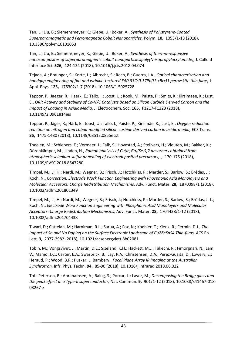Tan, L.; Liu, B.; Siemensmeyer, K.; Glebe, U.; Böker, A., *Synthesis of Polystyrene-Coated Superparamagnetic and Ferromagnetic Cobalt Nanoparticles,* Polym. **10,** 1053/1-18 (2018), 10.3390/polym10101053

Tan, L.; Liu, B.; Siemensmeyer, K.; Glebe, U.; Böker, A., *Synthesis of thermo-responsive nanocomposites of superparamagnetic cobalt nanoparticlesipoly(N-isopropylacrylamide),* J. Colloid Interface Sci. **526,** 124-134 (2018), 10.1016/j.jcis.2018.04.074

Tejada, A.; Braunger, S.; Korte, L.; Albrecht, S.; Rech, B.; Guerra, J.A., *Optical characterization and bandgap engineering of flat and wrinkle-textured FA0.83Cs0.17Pb(I1-xBrx)3 perovskite thin films,* J. Appl. Phys. **123,** 175302/1-7 (2018), 10.1063/1.5025728

Teppor, P.; Jaeger, R.; Haerk, E.; Tallo, I.; Joost, U.; Kook, M.; Paiste, P.; Smits, K.; Kirsimaee, K.; Lust, E., *ORR Activity and Stability of Co-N/C Catalysts Based on Silicon Carbide Derived Carbon and the Impact of Loading in Acidic Media,* J. Electrochem. Soc. **165,** F1217-F1223 (2018), 10.1149/2.0961814jes

Teppor, P.; Jäger, R.; Härk, E.; Joost, U.; Tallo, I.; Paiste, P.; Kirsimäe, K.; Lust, E., *Oxygen reduction reaction on nitrogen and cobalt modified silicon carbide derived carbon in acidic media,* ECS Trans. **85,** 1475-1480 (2018), 10.1149/08513.0855ecst

Theelen, M.; Schiepers, E.; Vermeer, J.; Falk, S.; Hovestad, A.; Steijvers, H.; Vleuten, M.; Bakker, K.; Dörenkämper, M.; Linden, H., *Raman analysis of Cu(In,Ga)(Se,S)2 absorbers obtained from atmospheric selenium-sulfur annealing of electrodeposited precursors,* **,** 170-175 (2018), 10.1109/PVSC.2018.8547280

Timpel, M.; Li, H.; Nardi, M.; Wegner, B.; Frisch, J.; Hotchkiss, P.; Marder, S.; Barlow, S.; Brédas, J.; Koch, N., *Correction: Electrode Work Function Engineering with Phosphonic Acid Monolayers and Molecular Acceptors: Charge Redistribution Mechanisms,* Adv. Funct. Mater. **28,** 1870098/1 (2018), 10.1002/adfm.201801349

Timpel, M.; Li, H.; Nardi, M.; Wegner, B.; Frisch, J.; Hotchkiss, P.; Marder, S.; Barlow, S.; Brédas, J.-L.; Koch, N., *Electrode Work Function Engineering with Phosphonic Acid Monolayers and Molecular Acceptors: Charge Redistribution Mechanisms,* Adv. Funct. Mater. **28,** 1704438/1-12 (2018), 10.1002/adfm.201704438

Tiwari, D.; Cattelan, M.; Harniman, R.L.; Sarua, A.; Fox, N.; Koehler, T.; Klenk, R.; Fermin, D.J., *The Impact of Sb and Na Doping on the Surface Electronic Landscape of Cu2ZnSnS4 Thin-films,* ACS En. Lett. **3,** 2977-2982 (2018), 10.1021/acsenergylett.8b02081

Tobin, M.; Vongsvivut, J.; Martin, D.E.; Sizeland, K.H.; Hackett, M.J.; Takechi, R.; Fimorgnari, N.; Lam, V.; Mamo, J.C.; Carter, E.A.; Swarbrick, B.; Lay, P.A.; Christensen, D.A.; Perez-Guaita, D.; Lowery, E.; Heraud, P.; Wood, B.R.; Puskar, L; Bambery,, *Focal Plane Array IR imaging at the Australian Synchrotron,* Infr. Phys. Techn. **94,** 85-90 (2018), 10.1016/j.infrared.2018.06.022

Toft-Petersen, R.; Abrahamsen, A.; Balog, S.; Porcar, L.; Laver, M., *Decomposing the Bragg glass and the peak effect in a Type-II superconductor,* Nat. Commun. **9,** 901/1-12 (2018), 10.1038/s41467-018- 03267-z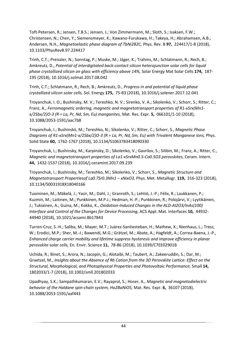Toft-Petersen, R.; Jensen, T.B.S.; Jensen, J.; Von Zimmermann, M.; Sloth, S.; Isaksen, F.W.; Christensen, N.; Chen, Y.; Siemensmeyer, K.; Kawano-Furukawa, H.; Takeya, H.; Abrahamsen, A.B.; Andersen, N.H., *Magnetoelastic phase diagram of TbNi2B2C,* Phys. Rev. B **97,** 224417/1-8 (2018), 10.1103/PhysRevB.97.224417

Trinh, C.T.; Preissler, N.; Sonntag, P.; Muske, M.; Jäger, K.; Trahms, M.; Schlatmann, R.; Rech, B.; Amkreutz, D., *Potential of interdigitated back-contact silicon heterojunction solar cells for liquid phase crystallized silicon on glass with efficiency above 14%,* Solar Energy Mat Solar Cells **174,** 187- 195 (2018), 10.1016/j.solmat.2017.08.042

Trinh, C.T.; Schlatmann, R.; Rech, B.; Amkreutz, D., *Progress in and potential of liquid phase crystallized silicon solar cells,* Sol. Energy **175,** 75-83 (2018), 10.1016/j.solener.2017.12.041

Troyanchuk, I. O.; Bushinsky, M. V.; Tereshko, N. V.; Sirenko, V. A.; Sikolenko, V.; Schorr, S.; Ritter, C.; Franz, A., *Ferromagnetic ordering, magnetic and magnetotransport properties of R1-xSrx(Mn1 x/2Sbx/2)O-3 (R = La, Pr, Nd, Sm, Eu) manganites,* Mat. Res. Expr. **5,** 066101/1-10 (2018), 10.1088/2053-1591/aac7b8

Troyanchuk, I.; Bushinskii, M.; Tereshko, N.; Sikolenko, V.; Ritter, C.; Schorr, S., *Magnetic Phase Diagrams of R1-xSrx(Mn1-x/2Sbx/2)O-3 (R = La, Pr, Nd, Sm, Eu) with Trivalent Manganese Ions,* Phys. Solid State **60,** 1762-1767 (2018), 10.1134/S1063783418090330

Troyanchuk, I.; Bushinsky, M.; Karpinsky, D.; Sikolenko, V.; Gavrilov, S.; Silibin, M.; Franz, A.; Ritter, C., *Magnetic and magnetotransport properties of La1-xSrxMn0.5-Co0.5O3 perovskites,* Ceram. Intern. **44,** 1432-1537 (2018), 10.1016/j.ceramint.2017.09.239

Troyanchuk, I.; Bushinsky, M.; Tereshko, M.; Sikolenko, V.; Schorr, S., *Magnetic Structure and Magnetotransport Propertiesof La0.7Sr0.3Mn1 – xNixO3,* Phys. Met. Metallogr. **119,** 316-323 (2018), 10.1134/S0031918X18040166

Tuominen, M.; Mäkelä, J.; Yasir, M.; Dahl, J.; Granroth, S.; Lehtiö, J.-P.; Félix, R.; Laukkanen, P.; Kuzmin, M.; Laitinen, M.; Punkkinen, M.P.J.; Hedman, H.-P.; Punkkinen, R.; Polojärvi, V.; Lyytikäinen, J.; Tukiainen, A.; Guina, M.; Kokko, K., *Oxidation-Induced Changes in the ALD-Al2O3/InAs(100) Interface and Control of the Changes for Device Processing,* ACS Appl. Mat. Interfaces **10,** 44932- 44940 (2018), 10.1021/acsami.8b17843

Turren-Cruz, S.-H.; Saliba, M.; Mayer, M.T.; Juárez-Santiesteban, H.; Mathew, X.; Nienhaus, L.; Tress, W.; Erodici, M.P.; Sher, M.-J.; Bawendi, M.G.; Grätzel, M.; Abate, A.; Hagfeldt, A.; Correa-Baena, J.-P., *Enhanced charge carrier mobility and lifetime suppress hysteresis and improve efficiency in planar perovskite solar cells,* En. Envir. Science **11,** 78-86 (2018), 10.1039/C7EE02901B

Uchida, R.; Binet, S.; Arora, N.; Jacopin, G.; Alotaibi, M.; Taubert, A.; Zakeeruddin, S.; Dar, M.; Graetzel, M., *Insights about the Absence of Rb Cation from the 3D Perovskite Lattice: Effect on the Structural, Morphological, and Photophysical Properties and Photovoltaic Performance,* Small **14,**  1802033/1-7 (2018), 10.1002/smll.201802033

Upadhyay, S.K.; Sampathkumaran, E.V.; Rayaprol, S.; Hoser, A., *Magnetic and magnetodielectric behavior of the Haldane spin-chain system, Ho2BaNiO5,* Mat. Res. Expr. **6,** 36107 (2018), 10.1088/2053-1591/aaf443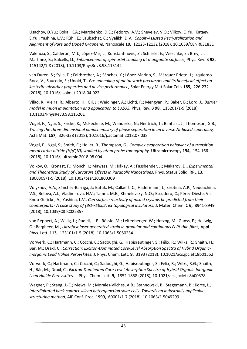Usachov, D.Yu.; Bokai, K.A.; Marchenko, D.E.; Fedorov, A.V.; Shevelev, V.O.; Vilkov, O.Yu.; Kataev, E.Yu.; Yashina, L.V.; Rühl, E.; Laubschat, C.; Vyalikh, D.V., *Cobalt-Assisted Recrystallization and Alignment of Pure and Doped Graphene,* Nanoscale **10,** 12123-12132 (2018), 10.1039/C8NR03183E

Valencia, S.; Calderón, M.J.; López-Mir, L.; Konstantinovic, Z.; Schierle, E.; Weschke, E.; Brey, L.; Martínez, B.; Balcells, Ll., *Enhancement of spin-orbit coupling at manganite surfaces,* Phys. Rev. B **98,**  115142/1-8 (2018), 10.1103/PhysRevB.98.115142

van Duren, S.; Sylla, D.; Fairbrother, A.; Sánchez, Y.; López-Marino, S.; Márquez Prieto, J.; Izquierdo-Roca, V.; Saucedo, E.; Unold, T., *Pre-annealing of metal stack precursors and its beneficial effect on kesterite absorber properties and device performance,* Solar Energy Mat Solar Cells **185,** 226-232 (2018), 10.1016/j.solmat.2018.04.022

Vilão, R.; Vieira, R.; Alberto, H.; Gil, J.; Weidinger, A.; Lichti, R.; Mengyan, P.; Baker, B.; Lord, J., *Barrier model in muon implantation and application to Lu2O3,* Phys. Rev. B **98,** 115201/1-9 (2018), 10.1103/PhysRevB.98.115201

Vogel, F.; Ngai, S.; Fricke, K.; McKechnie, M.; Wanderka, N.; Hentrich, T.; Banhart, J.; Thompson, G.B., *Tracing the three-dimensional nanochemistry of phase separation in an inverse Ni-based superalloy,* Acta Mat. **157,** 326-338 (2018), 10.1016/j.actamat.2018.07.038

Vogel, F.; Ngai, S.; Smith, C.; Holler, R.; Thompson, G., *Complex evaporation behavior of a transition metal carbo-nitride (Hf(C,N)) studied by atom probe tomography,* Ultramicroscopy **194,** 154-166 (2018), 10.1016/j.ultramic.2018.08.004

Volkov, O.; Kronast, F.; Mönch, I.; Mawass, M.; Kákay, A.; Fassbender, J.; Makarov, D., *Experimental and Theoretical Study of Curvature Effects in Parabolic Nanostripes,* Phys. Status Solidi RRL **13,**  1800309/1-5 (2018), 10.1002/pssr.201800309

Volykhov, A.A.; Sánchez-Barriga, J.; Batuk, M.; Callaert, C.; Hadermann, J.; Sirotina, A.P.; Neudachina, V.S.; Belova, A.I.; Vladimirova, N.V.; Tamm, M.E.; Khmelevsky, N.O.; Escudero, C.; Pérez-Dieste, V.; Knop-Gericke, A.; Yashina, L.V., *Can surface reactivity of mixed crystals be predicted from their counterparts? A case study of (Bi1-xSbx)2Te3 topological insulators,* J. Mater. Chem. C **6,** 8941-8949 (2018), 10.1039/C8TC02235F

von Reppert, A.; Willig, L.; Pudell, J.-E.; Rössle, M.; Leitenberger, W.; Herzog, M.; Ganss, F.; Hellwig, O.; Bargheer, M., *Ultrafast laser generated strain in granular and continuous FePt thin films,* Appl. Phys. Lett. **113,** 123101/1-5 (2018), 10.1063/1.5050234

Vorwerk, C.; Hartmann, C.; Cocchi, C.; Sadoughi, G.; Habisreutinger, S.; Félix, R.; Wilks, R.; Snaith, H.; Bär, M.; Draxl, C., *Correction: Exciton-Dominated Core-Level Absorption Spectra of Hybrid Organic-Inorganic Lead Halide Perovskites,* J. Phys. Chem. Lett. **9,** 3193 (2018), 10.1021/acs.jpclett.8b01552

Vorwerk, C.; Hartmann, C.; Cocchi, C.; Sadoughi, G.; Habisreutinger, S.; Félix, R.; Wilks, R.G.; Snaith, H.; Bär, M.; Draxl, C., *Exciton-Dominated Core-Level Absorption Spectra of Hybrid Organic-Inorganic Lead Halide Perovskites,* J. Phys. Chem. Lett. **9,** 1852-1858 (2018), 10.1021/acs.jpclett.8b00378

Wagner, P.; Stang, J.-C.; Mews, M.; Morales-Vilches, A.B.; Stannowski, B.; Stegemann, B.; Korte, L., *Interdigitated back contact silicon heterojunction solar cells: Towards an industrially applicable structuring method,* AIP Conf. Proc. **1999,** 60001/1-7 (2018), 10.1063/1.5049299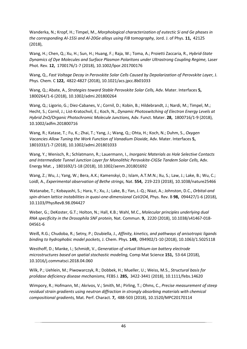Wanderka, N.; Kropf, H.; Timpel, M., *Morphological characterization of eutectic Si and Ge phases in the corresponding Al-15Si and Al-20Ge alloys using FIB tomography,* Jord. J. of Phys. **11,** 42125 (2018),

Wang, H.; Chen, Q.; Xu, H.; Sun, H.; Huang, F.; Raja, W.; Toma, A.; Proietti Zaccaria, R., *Hybrid-State Dynamics of Dye Molecules and Surface Plasmon Polaritons under Ultrastrong Coupling Regime,* Laser Phot. Rev. **12,** 1700176/1-7 (2018), 10.1002/lpor.201700176

Wang, Q., *Fast Voltage Decay in Perovskite Solar Cells Caused by Depolarization of Perovskite Layer,* J. Phys. Chem. C **122,** 4822-4827 (2018), 10.1021/acs.jpcc.8b01033

Wang, Q.; Abate, A., *Strategies toward Stable Perovskite Solar Cells,* Adv. Mater. Interfaces **5,**  1800264/1-6 (2018), 10.1002/admi.201800264

Wang, Q.; Ligorio, G.; Diez-Cabanes, V.; Cornil, D.; Kobin, B.; Hildebrandt, J.; Nardi, M.; Timpel, M.; Hecht, S.; Cornil, J.; List-Kratochvil, E.; Koch, N., *Dynamic Photoswitching of Electron Energy Levels at Hybrid ZnO/Organic Photochromic Molecule Junctions,* Adv. Funct. Mater. **28,** 1800716/1-9 (2018), 10.1002/adfm.201800716

Wang, R.; Katase, T.; Fu, K.; Zhai, T.; Yang, J.; Wang, Q.; Ohta, H.; Koch, N.; Duhm, S., *Oxygen Vacancies Allow Tuning the Work Function of Vanadium Dioxide,* Adv. Mater. Interfaces **5,**  1801033/1-7 (2018), 10.1002/admi.201801033

Wang, Y.; Wenisch, R.; Schlatmann, R.; Lauermann, I., *Inorganic Materials as Hole Selective Contacts and Intermediate Tunnel Junction Layer for Monolithic Perovskite-CIGSe Tandem Solar Cells,* Adv. Energy Mat. **,** 1801692/1-18 (2018), 10.1002/aenm.201801692

Wang, Z.; Wu, J.; Yang, W.; Bera, A.K.; Kamenskyi, D.; Islam, A.T.M.N.; Xu, S.; Law, J.; Lake, B.; Wu, C.; Loidl, A., *Experimental observation of Bethe strings,* Nat. **554,** 219-223 (2018), 10.1038/nature25466

Watanabe, T.; Kobayashi, S.; Hara, Y.; Xu, J.; Lake, B.; Yan, J.-Q.; Niazi, A.; Johnston, D.C., *Orbital-and spin-driven lattice instabilities in quasi-one-dimensional CaV2O4,* Phys. Rev. B **98,** 094427/1-6 (2018), 10.1103/PhysRevB.98.094427

Weber, G.; DeKoster, G.T.; Holton, N.; Hall, K.B.; Wahl, M.C., *Molecular principles underlying dual RNA specificity in the Drosophila SNF protein,* Nat. Commun. **9,** 2220 (2018), 10.1038/s41467-018- 04561-6

Weiß, R.G.; Chudoba, R.; Setny, P.; Dzubiella, J., *Affinity, kinetics, and pathways of anisotropic ligands binding to hydrophobic model pockets,* J. Chem. Phys. **149,** 094902/1-10 (2018), 10.1063/1.5025118

Westhoff, D.; Manke, I.; Schmidt, V., *Generation of virtual lithium-ion battery electrode microstructures based on spatial stochastic modeling,* Comp Mat Science **151,** 53-64 (2018), 10.1016/j.commatsci.2018.04.060

Wilk, P.; Uehlein, M.; Piwowarczyk, R.; Dobbek, H.; Mueller, U.; Weiss, M.S., *Structural basis for prolidase deficiency disease mechanisms,* FEBS J. **285,** 3422-3441 (2018), 10.1111/febs.14620

Wimpory, R.; Hofmann, M.; Akrivos, V.; Smith, M.; Pirling, T.; Ohms, C., *Precise measurement of steep residual strain gradients using neutron diffraction in strongly absorbing materials with chemical compositional gradients,* Mat. Perf. Charact. **7,** 488-503 (2018), 10.1520/MPC20170114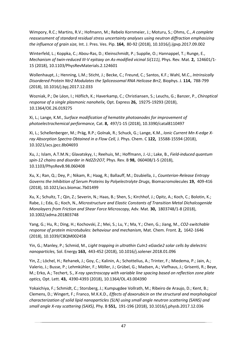Wimpory, R.C.; Martins, R.V.; Hofmann, M.; Rebelo Kornmeier, J.; Moturu, S.; Ohms, C., *A complete reassessment of standard residual stress uncertainty analyses using neutron diffraction emphasizing the influence of grain size,* Int. J. Pres. Ves. Pip. **164,** 80-92 (2018), 10.1016/j.ijpvp.2017.09.002

Winterfeld, L.; Koppka, C.; Abou-Ras, D.; Kleinschmidt, P.; Supplie, O.; Hannappel, T.; Runge, E., *Mechanism of twin-reduced III-V epitaxy on As-modified vicinal Si(111),* Phys. Rev. Mat. **2,** 124601/1- 15 (2018), 10.1103/PhysRevMaterials.2.124601

Wollenhaupt, J.; Henning, L.M.; Sticht, J.; Becke, C.; Freund, C.; Santos, K.F.; Wahl, M.C., *Intrinsically Disordered Protein Ntr2 Modulates the Spliceosomal RNA Helicase Brr2,* Biophys. J. **114,** 788-799 (2018), 10.1016/j.bpj.2017.12.033

Wozniak, P.; De Léon, I.; Höflich, K.; Haverkamp, C.; Christiansen, S.; Leuchs, G.; Banzer, P., *Chiroptical response of a single plasmonic nanohelix,* Opt. Express **26,** 19275-19293 (2018), 10.1364/OE.26.019275

Xi, L.; Lange, K.M., *Surface modification of hematite photoanodes for improvement of photoelectrochemical performance,* Cat. **8,** 497/1-15 (2018), 10.3390/catal8110497

Xi, L.; Schellenberger, M.; Präg, R.P.; Golnak, R.; Schuck, G.; Lange, K.M., *Ionic Current Mn K-edge Xray Absorption Spectra Obtained in a Flow Cell,* J. Phys. Chem. C **122,** 15588-15594 (2018), 10.1021/acs.jpcc.8b04693

Xu, J.; Islam, A.T.M.N.; Glavatskyy, I.; Reehuis, M.; Hoffmann, J.-U.; Lake, B., *Field-induced quantum spin-12 chains and disorder in Nd2Zr2O7,* Phys. Rev. B **98,** 060408/1-5 (2018), 10.1103/PhysRevB.98.060408

Xu, X.; Ran, Q.; Dey, P.; Nikam, R.; Haag, R.; Ballauff, M.; Dzubiella, J., *Counterion-Release Entropy Governs the Inhibition of Serum Proteins by Polyelectrolyte Drugs,* Biomacromolecules **19,** 409-416 (2018), 10.1021/acs.biomac.7b01499

Xu, X.; Schultz, T.; Qin, Z.; Severin, N.; Haas, B.; Shen, S.; Kirchhof, J.; Opitz, A.; Koch, C.; Bolotin, K.; Rabe, J.; Eda, G.; Koch, N., *Microstructure and Elastic Constants of Transition Metal Dichalcogenide Monolayers from Friction and Shear Force Microscopy,* Adv. Mat. **30,** 1803748/1-8 (2018), 10.1002/adma.201803748

Yang, G.; Hu, R.; Ding, H.; Kochovski, Z.; Mei, S.; Lu, Y.; Ma, Y.; Chen, G.; Jiang, M., *CO2-switchable response of protein microtubules: behaviour and mechanism,* Mat. Chem. Front. **2,** 1642-1646 (2018), 10.1039/C8QM00245B

Yin, G.; Manley, P.; Schmid, M., *Light trapping in ultrathin CuIn1-xGaxSe2 solar cells by dielectric nanoparticles,* Sol. Energy **163,** 443-452 (2018), 10.1016/j.solener.2018.01.096

Yin, Z.; Löchel, H.; Rehanek, J.; Goy, C.; Kalinin, A.; Schottelius, A.; Trinter, F.; Miedema, P.; Jain, A.; Valerio, J.; Busse, P.; Lehmkühler, F.; Möller, J.; Grübel, G.; Madsen, A.; Viefhaus, J.; Grisenti, R.; Beye, M.; Erko, A.; Techert, S., *X-ray spectroscopy with variable line spacing based on reflection zone plate optics,* Opt. Lett. **43,** 4390-4393 (2018), 10.1364/OL.43.004390

Yokaichiya, F.; Schmidt, C.; Storsberg, J.; Kumpugdee Vollrath, M.; Ribeiro de Araujo, D.; Kent, B.; Clemens, D.; Wingert, F.; Franco, M.K.K.D., *Effects of doxorubicin on the structural and morphological characterization of solid lipid nanoparticles (SLN) using small angle neutron scattering (SANS) and small angle X-ray scattering (SAXS),* Phy. B **551,** 191-196 (2018), 10.1016/j.physb.2017.12.036